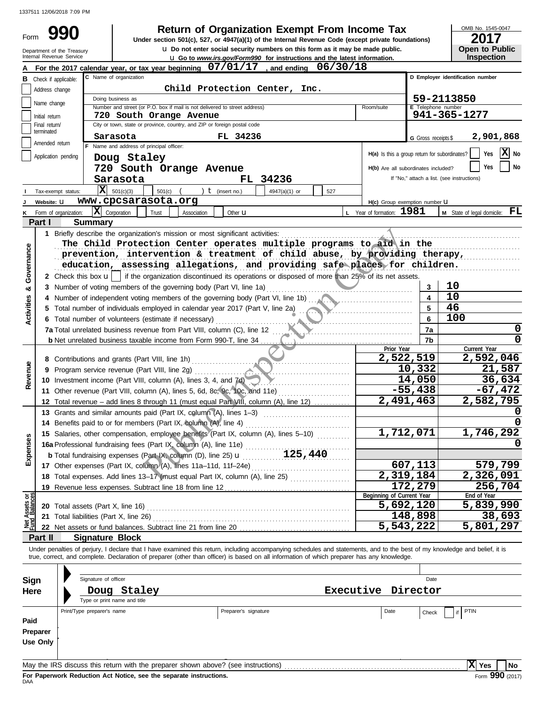Form

u **Go to** *www.irs.gov/Form990* **for instructions and the latest information.** Internal Revenue Service **u** Do not enter social security numbers on this form as it may be made public. **990 2017 2018 2017 Depending Solution Solution Solution Solution Spanization Exempt From Income Tax 2017** 

OMB No. 1545-0047

|  | <b>Open to Public</b> |
|--|-----------------------|
|  | <b>Inspection</b>     |

| <b>u</b> Do not enter social security numbers on this form as it may be made public.<br>Department of the Treasury<br>Internal Revenue Service<br><b>u</b> Go to www.irs.gov/Form990 for instructions and the latest information. |                             |                            |                                                                                                                                                                                                                                                                                                                          |                                  | <b>Open to Public</b><br><b>Inspection</b>                                                                             |                                               |                              |                                                 |
|-----------------------------------------------------------------------------------------------------------------------------------------------------------------------------------------------------------------------------------|-----------------------------|----------------------------|--------------------------------------------------------------------------------------------------------------------------------------------------------------------------------------------------------------------------------------------------------------------------------------------------------------------------|----------------------------------|------------------------------------------------------------------------------------------------------------------------|-----------------------------------------------|------------------------------|-------------------------------------------------|
|                                                                                                                                                                                                                                   |                             |                            | For the 2017 calendar year, or tax year beginning 07/01/17, and ending 06/30/18                                                                                                                                                                                                                                          |                                  |                                                                                                                        |                                               |                              |                                                 |
| в                                                                                                                                                                                                                                 | Check if applicable:        | C Name of organization     |                                                                                                                                                                                                                                                                                                                          | D Employer identification number |                                                                                                                        |                                               |                              |                                                 |
|                                                                                                                                                                                                                                   | Address change              |                            |                                                                                                                                                                                                                                                                                                                          |                                  |                                                                                                                        |                                               |                              |                                                 |
|                                                                                                                                                                                                                                   | Name change                 |                            | Doing business as                                                                                                                                                                                                                                                                                                        | Child Protection Center, Inc.    |                                                                                                                        |                                               |                              | 59-2113850                                      |
|                                                                                                                                                                                                                                   |                             |                            | Number and street (or P.O. box if mail is not delivered to street address)                                                                                                                                                                                                                                               |                                  |                                                                                                                        | Room/suite                                    | E Telephone number           |                                                 |
|                                                                                                                                                                                                                                   | Initial return              |                            | 720 South Orange Avenue                                                                                                                                                                                                                                                                                                  |                                  |                                                                                                                        |                                               |                              | 941-365-1277                                    |
|                                                                                                                                                                                                                                   | Final return/<br>terminated |                            | City or town, state or province, country, and ZIP or foreign postal code                                                                                                                                                                                                                                                 |                                  |                                                                                                                        |                                               |                              |                                                 |
|                                                                                                                                                                                                                                   | Amended return              |                            | Sarasota<br>F Name and address of principal officer:                                                                                                                                                                                                                                                                     | FL 34236                         |                                                                                                                        |                                               | G Gross receipts \$          | 2,901,868                                       |
|                                                                                                                                                                                                                                   | Application pending         |                            |                                                                                                                                                                                                                                                                                                                          |                                  |                                                                                                                        | H(a) Is this a group return for subordinates? |                              | $ \mathbf{X} $ No<br>Yes                        |
|                                                                                                                                                                                                                                   |                             |                            | Doug Staley                                                                                                                                                                                                                                                                                                              |                                  |                                                                                                                        | H(b) Are all subordinates included?           |                              | No<br>Yes                                       |
|                                                                                                                                                                                                                                   |                             |                            | 720 South Orange Avenue                                                                                                                                                                                                                                                                                                  |                                  |                                                                                                                        |                                               |                              | If "No," attach a list. (see instructions)      |
|                                                                                                                                                                                                                                   |                             |                            | Sarasota                                                                                                                                                                                                                                                                                                                 | FL 34236                         |                                                                                                                        |                                               |                              |                                                 |
|                                                                                                                                                                                                                                   | Tax-exempt status:          |                            | $ \mathbf{X} $ 501(c)(3)<br>$501(c)$ (                                                                                                                                                                                                                                                                                   | ) $t$ (insert no.)               | 4947(a)(1) or<br>527                                                                                                   |                                               |                              |                                                 |
|                                                                                                                                                                                                                                   | Website: U                  |                            | www.cpcsarasota.org                                                                                                                                                                                                                                                                                                      |                                  |                                                                                                                        | H(c) Group exemption number LI                |                              |                                                 |
|                                                                                                                                                                                                                                   | Form of organization:       |                            | $ \mathbf{X} $ Corporation<br>Trust<br>Association                                                                                                                                                                                                                                                                       | Other <b>u</b>                   |                                                                                                                        | L Year of formation: 1981                     |                              | <b>M</b> State of legal domicile: $\mathbf{FL}$ |
|                                                                                                                                                                                                                                   | Part I                      | <b>Summary</b>             |                                                                                                                                                                                                                                                                                                                          |                                  |                                                                                                                        |                                               |                              |                                                 |
|                                                                                                                                                                                                                                   |                             |                            | 1 Briefly describe the organization's mission or most significant activities:                                                                                                                                                                                                                                            |                                  |                                                                                                                        |                                               |                              |                                                 |
|                                                                                                                                                                                                                                   |                             |                            | The Child Protection Center operates multiple programs to aid in the                                                                                                                                                                                                                                                     |                                  |                                                                                                                        |                                               |                              |                                                 |
| Governance                                                                                                                                                                                                                        |                             |                            | prevention, intervention & treatment of child abuse, by providing therapy,                                                                                                                                                                                                                                               |                                  |                                                                                                                        |                                               |                              |                                                 |
|                                                                                                                                                                                                                                   |                             |                            | education, assessing allegations, and providing safe places for children.                                                                                                                                                                                                                                                |                                  |                                                                                                                        |                                               |                              |                                                 |
|                                                                                                                                                                                                                                   |                             |                            | 2 Check this box $\mathbf{u}$   if the organization discontinued its operations or disposed of more than 25% of its net assets.                                                                                                                                                                                          |                                  |                                                                                                                        |                                               |                              |                                                 |
| య                                                                                                                                                                                                                                 |                             |                            | 3 Number of voting members of the governing body (Part VI, line 1a)                                                                                                                                                                                                                                                      |                                  |                                                                                                                        |                                               | 3                            | 10<br>10                                        |
|                                                                                                                                                                                                                                   |                             |                            |                                                                                                                                                                                                                                                                                                                          |                                  |                                                                                                                        |                                               | $\overline{\mathbf{4}}$<br>5 | 46                                              |
| <b>Activities</b>                                                                                                                                                                                                                 |                             |                            | 5 Total number of individuals employed in calendar year 2017 (Part V, line 2a)                                                                                                                                                                                                                                           |                                  |                                                                                                                        |                                               | 6                            | 100                                             |
|                                                                                                                                                                                                                                   |                             |                            | 6 Total number of volunteers (estimate if necessary)                                                                                                                                                                                                                                                                     |                                  |                                                                                                                        |                                               |                              |                                                 |
|                                                                                                                                                                                                                                   |                             |                            | <b>7a</b> Total unrelated business revenue from Part VIII, column (C), line 12 $\ldots$                                                                                                                                                                                                                                  |                                  |                                                                                                                        |                                               | 7a                           | 0                                               |
|                                                                                                                                                                                                                                   |                             |                            |                                                                                                                                                                                                                                                                                                                          |                                  |                                                                                                                        | Prior Year                                    | 7b                           | Current Year                                    |
|                                                                                                                                                                                                                                   |                             |                            |                                                                                                                                                                                                                                                                                                                          |                                  |                                                                                                                        | 2,522,519                                     |                              | 2,592,046                                       |
| Revenue                                                                                                                                                                                                                           |                             |                            |                                                                                                                                                                                                                                                                                                                          |                                  |                                                                                                                        |                                               | 10,332                       | 21,587                                          |
|                                                                                                                                                                                                                                   |                             |                            | 10 Investment income (Part VIII, column (A), lines 3, 4, and 7d)                                                                                                                                                                                                                                                         |                                  |                                                                                                                        |                                               | 14,050                       | 36,634                                          |
|                                                                                                                                                                                                                                   |                             |                            | 11 Other revenue (Part VIII, column (A), lines 5, 6d, 8c, 9c, 10c, and 11e)                                                                                                                                                                                                                                              |                                  |                                                                                                                        |                                               | $-55,438$                    | $-67,472$                                       |
|                                                                                                                                                                                                                                   |                             |                            | 12 Total revenue - add lines 8 through 11 (must equal Part VIII, column (A), line 12)                                                                                                                                                                                                                                    |                                  |                                                                                                                        | 2,491,463                                     |                              | 2,582,795                                       |
|                                                                                                                                                                                                                                   |                             |                            | 13 Grants and similar amounts paid (Part IX, column (A), lines 1-3)                                                                                                                                                                                                                                                      |                                  | <u> 1986 - Johann Stoff, deutscher Stoff, der Stoff, deutscher Stoff, der Stoff, der Stoff, der Stoff, der Stoff, </u> |                                               |                              |                                                 |
|                                                                                                                                                                                                                                   |                             |                            | 14 Benefits paid to or for members (Part IX, column (A), line 4)                                                                                                                                                                                                                                                         |                                  |                                                                                                                        |                                               |                              |                                                 |
| U)                                                                                                                                                                                                                                |                             |                            | 15 Salaries, other compensation, employee benefits (Part IX, column (A), lines 5-10)                                                                                                                                                                                                                                     |                                  |                                                                                                                        | 1,712,071                                     |                              | 1,746,292                                       |
| ğ,                                                                                                                                                                                                                                |                             |                            | 16a Professional fundraising fees (Part IX, column (A), line 11e)                                                                                                                                                                                                                                                        |                                  |                                                                                                                        |                                               |                              |                                                 |
| Expen                                                                                                                                                                                                                             |                             |                            |                                                                                                                                                                                                                                                                                                                          |                                  |                                                                                                                        |                                               |                              |                                                 |
|                                                                                                                                                                                                                                   |                             |                            |                                                                                                                                                                                                                                                                                                                          |                                  |                                                                                                                        |                                               | 607,113                      | 579,799                                         |
|                                                                                                                                                                                                                                   |                             |                            | 18 Total expenses. Add lines 13-17 (must equal Part IX, column (A), line 25)                                                                                                                                                                                                                                             |                                  |                                                                                                                        | 2,319,184                                     |                              | 2,326,091                                       |
|                                                                                                                                                                                                                                   |                             |                            |                                                                                                                                                                                                                                                                                                                          |                                  |                                                                                                                        |                                               | 172,279                      | 256,704                                         |
| Net Assets or                                                                                                                                                                                                                     |                             |                            |                                                                                                                                                                                                                                                                                                                          |                                  |                                                                                                                        | Beginning of Current Year                     |                              | End of Year                                     |
|                                                                                                                                                                                                                                   |                             |                            |                                                                                                                                                                                                                                                                                                                          |                                  |                                                                                                                        | 5,692,120                                     |                              | 5,839,990                                       |
|                                                                                                                                                                                                                                   | 21                          |                            | Total liabilities (Part X, line 26)                                                                                                                                                                                                                                                                                      |                                  |                                                                                                                        |                                               | 148,898                      | 38,693                                          |
|                                                                                                                                                                                                                                   |                             |                            |                                                                                                                                                                                                                                                                                                                          |                                  |                                                                                                                        | 5,543,222                                     |                              | $\overline{5,801,297}$                          |
|                                                                                                                                                                                                                                   | Part II                     |                            | <b>Signature Block</b>                                                                                                                                                                                                                                                                                                   |                                  |                                                                                                                        |                                               |                              |                                                 |
|                                                                                                                                                                                                                                   |                             |                            | Under penalties of perjury, I declare that I have examined this return, including accompanying schedules and statements, and to the best of my knowledge and belief, it is<br>true, correct, and complete. Declaration of preparer (other than officer) is based on all information of which preparer has any knowledge. |                                  |                                                                                                                        |                                               |                              |                                                 |
|                                                                                                                                                                                                                                   |                             |                            |                                                                                                                                                                                                                                                                                                                          |                                  |                                                                                                                        |                                               |                              |                                                 |
|                                                                                                                                                                                                                                   |                             |                            | Signature of officer                                                                                                                                                                                                                                                                                                     |                                  |                                                                                                                        |                                               | Date                         |                                                 |
| Sign                                                                                                                                                                                                                              |                             |                            |                                                                                                                                                                                                                                                                                                                          |                                  |                                                                                                                        |                                               |                              |                                                 |
| <b>Here</b>                                                                                                                                                                                                                       |                             |                            | Doug Staley<br>Type or print name and title                                                                                                                                                                                                                                                                              |                                  |                                                                                                                        | Executive Director                            |                              |                                                 |
|                                                                                                                                                                                                                                   |                             | Print/Type preparer's name |                                                                                                                                                                                                                                                                                                                          | Preparer's signature             |                                                                                                                        | Date                                          |                              | PTIN                                            |
| Paid                                                                                                                                                                                                                              |                             |                            |                                                                                                                                                                                                                                                                                                                          |                                  |                                                                                                                        |                                               | Check                        | if                                              |
|                                                                                                                                                                                                                                   | Preparer                    |                            |                                                                                                                                                                                                                                                                                                                          |                                  |                                                                                                                        |                                               |                              |                                                 |
|                                                                                                                                                                                                                                   | <b>Use Only</b>             |                            |                                                                                                                                                                                                                                                                                                                          |                                  |                                                                                                                        |                                               |                              |                                                 |
|                                                                                                                                                                                                                                   |                             |                            |                                                                                                                                                                                                                                                                                                                          |                                  |                                                                                                                        |                                               |                              |                                                 |
|                                                                                                                                                                                                                                   |                             |                            |                                                                                                                                                                                                                                                                                                                          |                                  |                                                                                                                        |                                               |                              |                                                 |
|                                                                                                                                                                                                                                   |                             |                            |                                                                                                                                                                                                                                                                                                                          |                                  |                                                                                                                        |                                               |                              | X Yes<br>No                                     |

| Sign<br>Here                 | Signature of officer<br>Staley<br>Doug<br>Type or print name and title            |                      | Date<br>Executive<br>Director |       |      |     |      |
|------------------------------|-----------------------------------------------------------------------------------|----------------------|-------------------------------|-------|------|-----|------|
| Paid<br>Preparer<br>Use Only | Print/Type preparer's name                                                        | Preparer's signature | Date                          | Check | PTIN |     |      |
|                              | May the IRS discuss this return with the preparer shown above? (see instructions) |                      |                               |       |      | Yes | l No |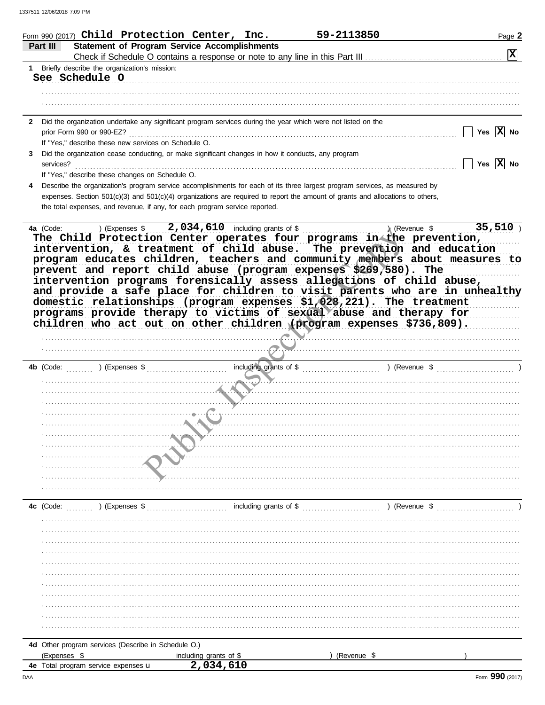|           | Form 990 (2017) $Child$ Protection Center, Inc.<br>59-2113850                                                                                                                                                                                                                                                                                                                     | Page 2                  |
|-----------|-----------------------------------------------------------------------------------------------------------------------------------------------------------------------------------------------------------------------------------------------------------------------------------------------------------------------------------------------------------------------------------|-------------------------|
| Part III  | <b>Statement of Program Service Accomplishments</b>                                                                                                                                                                                                                                                                                                                               | $\boxed{\mathbf{X}}$    |
|           |                                                                                                                                                                                                                                                                                                                                                                                   |                         |
|           | 1 Briefly describe the organization's mission:<br>See Schedule O                                                                                                                                                                                                                                                                                                                  |                         |
|           |                                                                                                                                                                                                                                                                                                                                                                                   |                         |
|           |                                                                                                                                                                                                                                                                                                                                                                                   |                         |
|           |                                                                                                                                                                                                                                                                                                                                                                                   |                         |
|           | 2 Did the organization undertake any significant program services during the year which were not listed on the                                                                                                                                                                                                                                                                    |                         |
|           | prior Form 990 or 990-EZ?                                                                                                                                                                                                                                                                                                                                                         | Yes $ X $<br>No         |
|           | If "Yes," describe these new services on Schedule O.                                                                                                                                                                                                                                                                                                                              |                         |
| 3         | Did the organization cease conducting, or make significant changes in how it conducts, any program                                                                                                                                                                                                                                                                                |                         |
| services? | <u> 1986 - Jan Barbarat, martin da shekara ta 1986 - An tsa a tsa a tsa a tsa a tsa a tsa a tsa a tsa a tsa a tsa</u>                                                                                                                                                                                                                                                             | Yes $ \overline{X} $ No |
|           | If "Yes," describe these changes on Schedule O.                                                                                                                                                                                                                                                                                                                                   |                         |
|           | Describe the organization's program service accomplishments for each of its three largest program services, as measured by                                                                                                                                                                                                                                                        |                         |
|           | expenses. Section $501(c)(3)$ and $501(c)(4)$ organizations are required to report the amount of grants and allocations to others,                                                                                                                                                                                                                                                |                         |
|           | the total expenses, and revenue, if any, for each program service reported.                                                                                                                                                                                                                                                                                                       |                         |
| 4a (Code: | $\lambda$ (Revenue \$                                                                                                                                                                                                                                                                                                                                                             | 35,510                  |
|           | intervention, & treatment of child abuse. The prevention and education<br>program educates children, teachers and community members about measures to<br>prevent and report child abuse (program expenses \$269,580). The<br>intervention programs forensically assess allegations of child abuse,<br>and provide a safe place for children to visit parents who are in unhealthy |                         |
| 4b (Code: | domestic relationships (program expenses \$1,028,221). The treatment<br>programs provide therapy to victims of sexual abuse and therapy for<br>children who act out on other children (program expenses \$736,809).                                                                                                                                                               |                         |
|           |                                                                                                                                                                                                                                                                                                                                                                                   |                         |
|           |                                                                                                                                                                                                                                                                                                                                                                                   |                         |
|           |                                                                                                                                                                                                                                                                                                                                                                                   |                         |
|           |                                                                                                                                                                                                                                                                                                                                                                                   |                         |
|           |                                                                                                                                                                                                                                                                                                                                                                                   |                         |
|           |                                                                                                                                                                                                                                                                                                                                                                                   |                         |
|           |                                                                                                                                                                                                                                                                                                                                                                                   |                         |
|           |                                                                                                                                                                                                                                                                                                                                                                                   |                         |
|           |                                                                                                                                                                                                                                                                                                                                                                                   |                         |
|           |                                                                                                                                                                                                                                                                                                                                                                                   |                         |
|           |                                                                                                                                                                                                                                                                                                                                                                                   |                         |
|           |                                                                                                                                                                                                                                                                                                                                                                                   |                         |
|           |                                                                                                                                                                                                                                                                                                                                                                                   |                         |
|           |                                                                                                                                                                                                                                                                                                                                                                                   |                         |
|           |                                                                                                                                                                                                                                                                                                                                                                                   |                         |
|           |                                                                                                                                                                                                                                                                                                                                                                                   |                         |
|           |                                                                                                                                                                                                                                                                                                                                                                                   |                         |

|  |  |  | 4d Other program services (Describe in Schedule O.) |  |
|--|--|--|-----------------------------------------------------|--|
|  |  |  |                                                     |  |

| <br>XDEI ISES                                        | arants<br>ıncludına<br>$\sim$<br>- 91<br>. . | (Re<br>evenue |  |
|------------------------------------------------------|----------------------------------------------|---------------|--|
| expenses u<br>service<br>40<br>program<br>ota<br>- - | $ -$<br>. .                                  |               |  |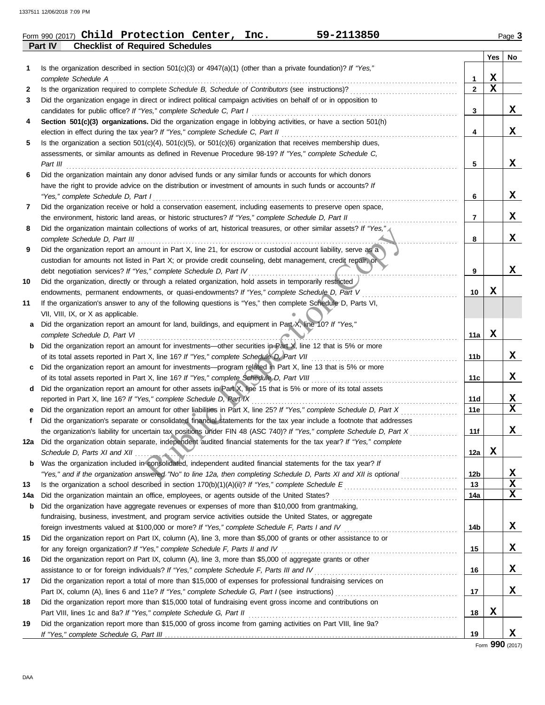|         | Form 990 (2017) Child Protection Center, | Inc. | 59-2113850 | Page 3 |
|---------|------------------------------------------|------|------------|--------|
| Part IV | <b>Checklist of Required Schedules</b>   |      |            |        |

|     |                                                                                                                         |                 | Yes         | No |
|-----|-------------------------------------------------------------------------------------------------------------------------|-----------------|-------------|----|
| 1   | Is the organization described in section $501(c)(3)$ or $4947(a)(1)$ (other than a private foundation)? If "Yes,"       |                 |             |    |
|     | complete Schedule A                                                                                                     | 1               | x           |    |
| 2   | Is the organization required to complete Schedule B, Schedule of Contributors (see instructions)?                       | $\mathbf{2}$    | $\mathbf x$ |    |
| 3   | Did the organization engage in direct or indirect political campaign activities on behalf of or in opposition to        |                 |             |    |
|     | candidates for public office? If "Yes," complete Schedule C, Part I                                                     | 3               |             | X  |
| 4   | Section 501(c)(3) organizations. Did the organization engage in lobbying activities, or have a section 501(h)           |                 |             |    |
|     | election in effect during the tax year? If "Yes," complete Schedule C, Part II                                          | 4               |             | X  |
| 5   | Is the organization a section $501(c)(4)$ , $501(c)(5)$ , or $501(c)(6)$ organization that receives membership dues,    |                 |             |    |
|     | assessments, or similar amounts as defined in Revenue Procedure 98-19? If "Yes," complete Schedule C,                   |                 |             |    |
|     | Part III                                                                                                                | 5               |             | x  |
| 6   | Did the organization maintain any donor advised funds or any similar funds or accounts for which donors                 |                 |             |    |
|     | have the right to provide advice on the distribution or investment of amounts in such funds or accounts? If             |                 |             |    |
|     | "Yes," complete Schedule D, Part I                                                                                      | 6               |             | x  |
| 7   | Did the organization receive or hold a conservation easement, including easements to preserve open space,               |                 |             |    |
|     | the environment, historic land areas, or historic structures? If "Yes," complete Schedule D, Part II                    | 7               |             | x  |
| 8   | Did the organization maintain collections of works of art, historical treasures, or other similar assets? If "Yes,",    |                 |             |    |
|     | complete Schedule D, Part III                                                                                           | 8               |             | X  |
| 9   | Did the organization report an amount in Part X, line 21, for escrow or custodial account liability, serve as a         |                 |             |    |
|     | custodian for amounts not listed in Part X; or provide credit counseling, debt management, credit repair, or            |                 |             |    |
|     | debt negotiation services? If "Yes," complete Schedule D, Part IV                                                       | 9               |             | x  |
| 10  | Did the organization, directly or through a related organization, hold assets in temporarily restricted                 |                 |             |    |
|     | endowments, permanent endowments, or quasi-endowments? If "Yes," complete Schedule D, Part V                            | 10              | x           |    |
| 11  | If the organization's answer to any of the following questions is "Yes," then complete Schedule D, Parts VI,            |                 |             |    |
|     | VII, VIII, IX, or X as applicable.                                                                                      |                 |             |    |
| a   | Did the organization report an amount for land, buildings, and equipment in Part X, line 10? If "Yes,"                  |                 |             |    |
|     | complete Schedule D, Part VI                                                                                            | 11a             | X           |    |
| b   | Did the organization report an amount for investments—other securities in Part X, line 12 that is 5% or more            |                 |             |    |
|     | of its total assets reported in Part X, line 16? If "Yes," complete Schedule D, Part VII                                | 11b             |             | x  |
| c   | Did the organization report an amount for investments—program related in Part X, line 13 that is 5% or more             |                 |             |    |
|     | of its total assets reported in Part X, line 16? If "Yes," complete Schedule D, Part VIII                               | 11c             |             | x  |
| d   | Did the organization report an amount for other assets in Part X, line 15 that is 5% or more of its total assets        |                 |             |    |
|     | reported in Part X, line 16? If "Yes," complete Schedule D, Part IX                                                     | 11d             |             | X, |
|     | Did the organization report an amount for other liabilities in Part X, line 25? If "Yes," complete Schedule D, Part X   | 11e             |             | X  |
| f   | Did the organization's separate or consolidated financial statements for the tax year include a footnote that addresses |                 |             |    |
|     | the organization's liability for uncertain tax positions under FIN 48 (ASC 740)? If "Yes," complete Schedule D, Part X  | 11f             |             | x  |
|     | 12a Did the organization obtain separate, independent audited financial statements for the tax year? If "Yes," complete |                 |             |    |
|     |                                                                                                                         | 12a             | X           |    |
|     | <b>b</b> Was the organization included in consolidated, independent audited financial statements for the tax year? If   |                 |             |    |
|     | "Yes," and if the organization answered "No" to line 12a, then completing Schedule D, Parts XI and XII is optional      | 12 <sub>b</sub> |             | X, |
| 13  |                                                                                                                         | 13              |             | X  |
| 14a | Did the organization maintain an office, employees, or agents outside of the United States?                             | 14a             |             | X  |
| b   | Did the organization have aggregate revenues or expenses of more than \$10,000 from grantmaking,                        |                 |             |    |
|     | fundraising, business, investment, and program service activities outside the United States, or aggregate               |                 |             |    |
|     |                                                                                                                         | 14b             |             | X, |
| 15  | Did the organization report on Part IX, column (A), line 3, more than \$5,000 of grants or other assistance to or       |                 |             |    |
|     | for any foreign organization? If "Yes," complete Schedule F, Parts II and IV                                            | 15              |             | X, |
| 16  | Did the organization report on Part IX, column (A), line 3, more than \$5,000 of aggregate grants or other              |                 |             |    |
|     |                                                                                                                         | 16              |             | X, |
| 17  | Did the organization report a total of more than \$15,000 of expenses for professional fundraising services on          |                 |             |    |
|     |                                                                                                                         | 17              |             | X, |
| 18  | Did the organization report more than \$15,000 total of fundraising event gross income and contributions on             |                 |             |    |
|     | Part VIII, lines 1c and 8a? If "Yes," complete Schedule G, Part II                                                      | 18              | X           |    |
| 19  | Did the organization report more than \$15,000 of gross income from gaming activities on Part VIII, line 9a?            |                 |             |    |
|     |                                                                                                                         | 19              |             | X  |

Form **990** (2017)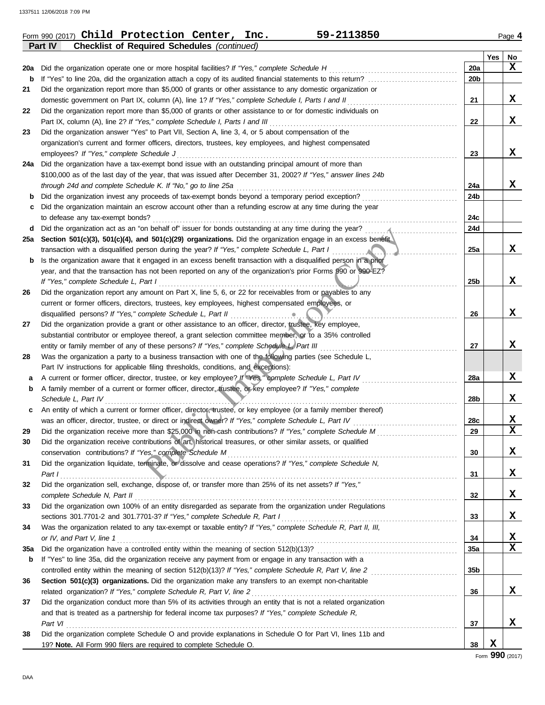**Part IV Checklist of Required Schedules** *(continued)*

|     |                                                                                                                                                                          |                 | Yes | No              |
|-----|--------------------------------------------------------------------------------------------------------------------------------------------------------------------------|-----------------|-----|-----------------|
| 20a | Did the organization operate one or more hospital facilities? If "Yes," complete Schedule H                                                                              | 20a             |     | x               |
| b   |                                                                                                                                                                          | 20b             |     |                 |
| 21  | Did the organization report more than \$5,000 of grants or other assistance to any domestic organization or                                                              |                 |     |                 |
|     |                                                                                                                                                                          | 21              |     | X               |
| 22  | Did the organization report more than \$5,000 of grants or other assistance to or for domestic individuals on                                                            |                 |     |                 |
|     | Part IX, column (A), line 2? If "Yes," complete Schedule I, Parts I and III                                                                                              | 22              |     | X               |
| 23  | Did the organization answer "Yes" to Part VII, Section A, line 3, 4, or 5 about compensation of the                                                                      |                 |     |                 |
|     | organization's current and former officers, directors, trustees, key employees, and highest compensated                                                                  |                 |     |                 |
|     | employees? If "Yes," complete Schedule J                                                                                                                                 | 23              |     | X               |
| 24a | Did the organization have a tax-exempt bond issue with an outstanding principal amount of more than                                                                      |                 |     |                 |
|     | \$100,000 as of the last day of the year, that was issued after December 31, 2002? If "Yes," answer lines 24b                                                            |                 |     |                 |
|     | through 24d and complete Schedule K. If "No," go to line 25a                                                                                                             | 24a             |     | X               |
| b   | Did the organization invest any proceeds of tax-exempt bonds beyond a temporary period exception?                                                                        | 24b             |     |                 |
| c   | Did the organization maintain an escrow account other than a refunding escrow at any time during the year                                                                |                 |     |                 |
|     | to defease any tax-exempt bonds?                                                                                                                                         | 24c             |     |                 |
| d   |                                                                                                                                                                          | 24d             |     |                 |
| 25a | Section 501(c)(3), 501(c)(4), and 501(c)(29) organizations. Did the organization engage in an excess benefit                                                             |                 |     |                 |
|     | transaction with a disqualified person during the year? If "Yes," complete Schedule L, Part I<br>.                                                                       | 25a             |     | x               |
| b   | Is the organization aware that it engaged in an excess benefit transaction with a disqualified person in a prior                                                         |                 |     |                 |
|     | year, and that the transaction has not been reported on any of the organization's prior Forms 990 or 990-EZ?                                                             |                 |     |                 |
|     | If "Yes," complete Schedule L, Part I                                                                                                                                    | 25 <sub>b</sub> |     | X               |
| 26  | Did the organization report any amount on Part X, line 5, 6, or 22 for receivables from or payables to any                                                               |                 |     |                 |
|     | current or former officers, directors, trustees, key employees, highest compensated employees, or                                                                        |                 |     |                 |
|     | disqualified persons? If "Yes," complete Schedule L, Part II<br>.                                                                                                        | 26              |     | X               |
| 27  | Did the organization provide a grant or other assistance to an officer, director, trustee, key employee,                                                                 |                 |     |                 |
|     | substantial contributor or employee thereof, a grant selection committee member, or to a 35% controlled                                                                  |                 |     |                 |
|     | entity or family member of any of these persons? If "Yes," complete Schedule L, Part III                                                                                 | 27              |     | х               |
| 28  | Was the organization a party to a business transaction with one of the following parties (see Schedule L,                                                                |                 |     |                 |
|     | Part IV instructions for applicable filing thresholds, conditions, and exceptions):                                                                                      |                 |     | X               |
| а   | A current or former officer, director, trustee, or key employee? If "Yes," complete Schedule L, Part IV                                                                  | 28a             |     |                 |
| b   | A family member of a current or former officer, director, trustee, or key employee? If "Yes," complete<br>Schedule L, Part IV                                            |                 |     | х               |
|     |                                                                                                                                                                          | 28b             |     |                 |
| c   | An entity of which a current or former officer, director, trustee, or key employee (or a family member thereof)                                                          | 28c             |     | x               |
| 29  |                                                                                                                                                                          | 29              |     | $\mathbf x$     |
| 30  | Did the organization receive contributions of art, historical treasures, or other similar assets, or qualified                                                           |                 |     |                 |
|     |                                                                                                                                                                          | 30              |     | х               |
| 31  | conservation contributions? If "Yes," complete Schedule M<br>Did the organization liquidate, terminate, or dissolve and cease operations? If "Yes," complete Schedule N, |                 |     |                 |
|     |                                                                                                                                                                          | 31              |     | X               |
| 32  | Part 1<br>Did the organization sell, exchange, dispose of, or transfer more than 25% of its net assets? If "Yes,"                                                        |                 |     |                 |
|     |                                                                                                                                                                          | 32              |     | X               |
| 33  | Did the organization own 100% of an entity disregarded as separate from the organization under Regulations                                                               |                 |     |                 |
|     |                                                                                                                                                                          | 33              |     | X               |
| 34  | Was the organization related to any tax-exempt or taxable entity? If "Yes," complete Schedule R, Part II, III,                                                           |                 |     |                 |
|     |                                                                                                                                                                          | 34              |     | x               |
| 35a |                                                                                                                                                                          | 35a             |     | $\mathbf x$     |
| b   | If "Yes" to line 35a, did the organization receive any payment from or engage in any transaction with a                                                                  |                 |     |                 |
|     | controlled entity within the meaning of section 512(b)(13)? If "Yes," complete Schedule R, Part V, line 2                                                                | 35b             |     |                 |
| 36  | Section 501(c)(3) organizations. Did the organization make any transfers to an exempt non-charitable                                                                     |                 |     |                 |
|     |                                                                                                                                                                          | 36              |     | X               |
| 37  | Did the organization conduct more than 5% of its activities through an entity that is not a related organization                                                         |                 |     |                 |
|     | and that is treated as a partnership for federal income tax purposes? If "Yes," complete Schedule R,                                                                     |                 |     |                 |
|     | Part VI                                                                                                                                                                  | 37              |     | X               |
| 38  | Did the organization complete Schedule O and provide explanations in Schedule O for Part VI, lines 11b and                                                               |                 |     |                 |
|     | 19? Note. All Form 990 filers are required to complete Schedule O.                                                                                                       | 38              | X   |                 |
|     |                                                                                                                                                                          |                 |     | Form 990 (2017) |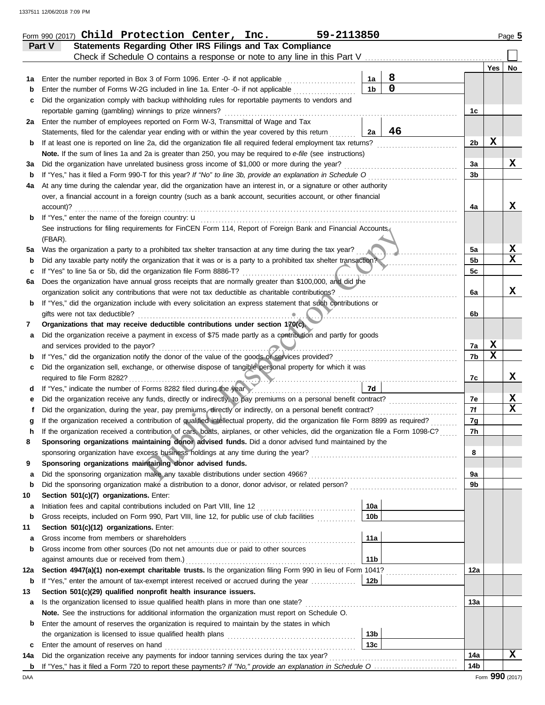|     | Statements Regarding Other IRS Filings and Tax Compliance<br>Part V                                                                                                                                                                        |                 |                  |                 |             |                 |
|-----|--------------------------------------------------------------------------------------------------------------------------------------------------------------------------------------------------------------------------------------------|-----------------|------------------|-----------------|-------------|-----------------|
|     | Check if Schedule O contains a response or note to any line in this Part V                                                                                                                                                                 |                 |                  |                 |             |                 |
|     |                                                                                                                                                                                                                                            |                 |                  |                 | Yes         | No              |
| 1а  | Enter the number reported in Box 3 of Form 1096. Enter -0- if not applicable                                                                                                                                                               | 1a              | 8<br>$\mathbf 0$ |                 |             |                 |
| b   | Enter the number of Forms W-2G included in line 1a. Enter -0- if not applicable                                                                                                                                                            | 1 <sub>b</sub>  |                  |                 |             |                 |
| с   | Did the organization comply with backup withholding rules for reportable payments to vendors and                                                                                                                                           |                 |                  |                 |             |                 |
|     | reportable gaming (gambling) winnings to prize winners?                                                                                                                                                                                    |                 |                  | 1c              |             |                 |
| 2a  | Enter the number of employees reported on Form W-3, Transmittal of Wage and Tax                                                                                                                                                            |                 | 46               |                 |             |                 |
|     | Statements, filed for the calendar year ending with or within the year covered by this return                                                                                                                                              | 2a              |                  | 2b              | х           |                 |
| b   | If at least one is reported on line 2a, did the organization file all required federal employment tax returns?<br>Note. If the sum of lines 1a and 2a is greater than 250, you may be required to e-file (see instructions)                |                 |                  |                 |             |                 |
| За  | Did the organization have unrelated business gross income of \$1,000 or more during the year?                                                                                                                                              |                 |                  | 3a              |             | x               |
| b   | If "Yes," has it filed a Form 990-T for this year? If "No" to line 3b, provide an explanation in Schedule O                                                                                                                                |                 |                  | 3b              |             |                 |
| 4a  | At any time during the calendar year, did the organization have an interest in, or a signature or other authority                                                                                                                          |                 |                  |                 |             |                 |
|     | over, a financial account in a foreign country (such as a bank account, securities account, or other financial                                                                                                                             |                 |                  |                 |             |                 |
|     | account)?                                                                                                                                                                                                                                  |                 |                  | 4a              |             | x               |
| b   |                                                                                                                                                                                                                                            |                 |                  |                 |             |                 |
|     | See instructions for filing requirements for FinCEN Form 114, Report of Foreign Bank and Financial Accounts                                                                                                                                |                 |                  |                 |             |                 |
|     | (FBAR).                                                                                                                                                                                                                                    |                 |                  |                 |             |                 |
| 5a  | Was the organization a party to a prohibited tax shelter transaction at any time during the tax year?                                                                                                                                      |                 |                  | 5a              |             | X               |
| b   | Did any taxable party notify the organization that it was or is a party to a prohibited tax shelter transaction?                                                                                                                           |                 |                  | 5b              |             | $\mathbf x$     |
| c   | If "Yes" to line 5a or 5b, did the organization file Form 8886-T?<br>.                                                                                                                                                                     |                 |                  | 5c              |             |                 |
| 6а  | Does the organization have annual gross receipts that are normally greater than \$100,000, and did the                                                                                                                                     |                 |                  |                 |             |                 |
|     | organization solicit any contributions that were not tax deductible as charitable contributions?                                                                                                                                           |                 |                  | 6a              |             | X               |
| b   | If "Yes," did the organization include with every solicitation an express statement that such contributions or                                                                                                                             |                 |                  |                 |             |                 |
|     | gifts were not tax deductible?                                                                                                                                                                                                             |                 |                  | 6b              |             |                 |
| 7   | Organizations that may receive deductible contributions under section 170(c).                                                                                                                                                              |                 |                  |                 |             |                 |
| а   | Did the organization receive a payment in excess of \$75 made partly as a contribution and partly for goods                                                                                                                                |                 |                  |                 |             |                 |
|     | and services provided to the payor?                                                                                                                                                                                                        |                 |                  | 7a              | X           |                 |
| b   | If "Yes," did the organization notify the donor of the value of the goods of services provided?                                                                                                                                            |                 |                  | 7b              | $\mathbf x$ |                 |
| c   | Did the organization sell, exchange, or otherwise dispose of tangible personal property for which it was                                                                                                                                   |                 |                  |                 |             |                 |
|     | required to file Form 8282?                                                                                                                                                                                                                |                 |                  | 7c              |             | x               |
| d   | If "Yes," indicate the number of Forms 8282 filed during the year                                                                                                                                                                          | 7d              |                  |                 |             |                 |
| е   | Did the organization receive any funds, directly or indirectly, to pay premiums on a personal benefit contract?                                                                                                                            |                 |                  | 7e              |             | X               |
| f   | Did the organization, during the year, pay premiums, directly or indirectly, on a personal benefit contract?                                                                                                                               |                 |                  | 7f              |             | X               |
| g   | If the organization received a contribution of qualified intellectual property, did the organization file Form 8899 as required?                                                                                                           |                 |                  | 7g              |             |                 |
| h   | If the organization received a contribution of cars, boats, airplanes, or other vehicles, did the organization file a Form 1098-C?<br>Sponsoring organizations maintaining donor advised funds. Did a donor advised fund maintained by the |                 |                  | 7h              |             |                 |
|     |                                                                                                                                                                                                                                            |                 |                  | 8               |             |                 |
| 9   | Sponsoring organizations maintaining donor advised funds.                                                                                                                                                                                  |                 |                  |                 |             |                 |
| a   |                                                                                                                                                                                                                                            |                 |                  | 9a              |             |                 |
| b   |                                                                                                                                                                                                                                            |                 |                  | 9b              |             |                 |
| 10  | Section 501(c)(7) organizations. Enter:                                                                                                                                                                                                    |                 |                  |                 |             |                 |
| a   |                                                                                                                                                                                                                                            | 10a             |                  |                 |             |                 |
| b   | Gross receipts, included on Form 990, Part VIII, line 12, for public use of club facilities                                                                                                                                                | 10 <sub>b</sub> |                  |                 |             |                 |
| 11  | Section 501(c)(12) organizations. Enter:                                                                                                                                                                                                   |                 |                  |                 |             |                 |
| а   |                                                                                                                                                                                                                                            | 11a             |                  |                 |             |                 |
| b   | Gross income from other sources (Do not net amounts due or paid to other sources                                                                                                                                                           |                 |                  |                 |             |                 |
|     |                                                                                                                                                                                                                                            | 11 <sub>b</sub> |                  |                 |             |                 |
| 12a | Section 4947(a)(1) non-exempt charitable trusts. Is the organization filing Form 990 in lieu of Form 1041?                                                                                                                                 |                 |                  | 12a             |             |                 |
| b   | If "Yes," enter the amount of tax-exempt interest received or accrued during the year                                                                                                                                                      | 12b             |                  |                 |             |                 |
| 13  | Section 501(c)(29) qualified nonprofit health insurance issuers.                                                                                                                                                                           |                 |                  |                 |             |                 |
| a   | Is the organization licensed to issue qualified health plans in more than one state?                                                                                                                                                       |                 |                  | 13a             |             |                 |
|     | Note. See the instructions for additional information the organization must report on Schedule O.                                                                                                                                          |                 |                  |                 |             |                 |
| b   | Enter the amount of reserves the organization is required to maintain by the states in which                                                                                                                                               |                 |                  |                 |             |                 |
|     |                                                                                                                                                                                                                                            | 13 <sub>b</sub> |                  |                 |             |                 |
| c   | Enter the amount of reserves on hand                                                                                                                                                                                                       | 13 <sub>c</sub> |                  |                 |             |                 |
| 14a | Did the organization receive any payments for indoor tanning services during the tax year?                                                                                                                                                 |                 |                  | 14a             |             | x               |
| b   |                                                                                                                                                                                                                                            |                 |                  | 14 <sub>b</sub> |             |                 |
| DAA |                                                                                                                                                                                                                                            |                 |                  |                 |             | Form 990 (2017) |

Form 990 (2017) Page **5 Child Protection Center, Inc. 59-2113850**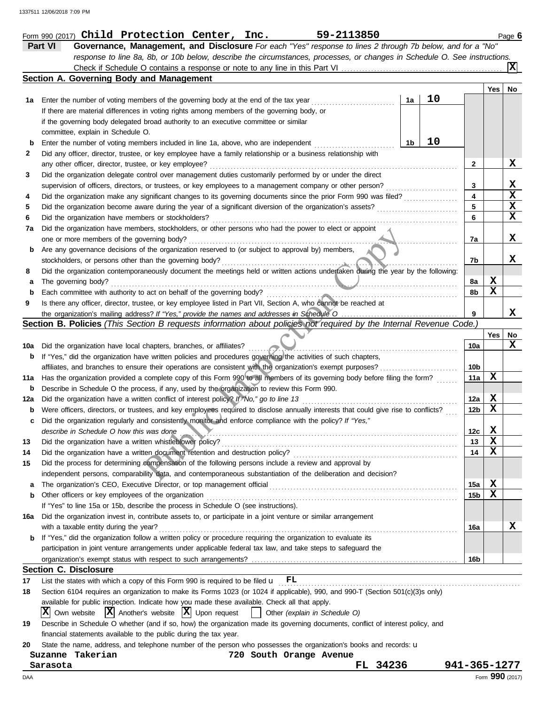|     | Part VI<br>Governance, Management, and Disclosure For each "Yes" response to lines 2 through 7b below, and for a "No"                                                                                                                            |    |    |              |                 |             |
|-----|--------------------------------------------------------------------------------------------------------------------------------------------------------------------------------------------------------------------------------------------------|----|----|--------------|-----------------|-------------|
|     | response to line 8a, 8b, or 10b below, describe the circumstances, processes, or changes in Schedule O. See instructions.                                                                                                                        |    |    |              |                 | IXI         |
|     | Section A. Governing Body and Management                                                                                                                                                                                                         |    |    |              |                 |             |
|     |                                                                                                                                                                                                                                                  |    |    |              | Yes             | No          |
| 1а  | Enter the number of voting members of the governing body at the end of the tax year                                                                                                                                                              | 1a | 10 |              |                 |             |
|     | If there are material differences in voting rights among members of the governing body, or                                                                                                                                                       |    |    |              |                 |             |
|     | if the governing body delegated broad authority to an executive committee or similar                                                                                                                                                             |    |    |              |                 |             |
|     | committee, explain in Schedule O.                                                                                                                                                                                                                |    |    |              |                 |             |
| b   | Enter the number of voting members included in line 1a, above, who are independent                                                                                                                                                               | 1b | 10 |              |                 |             |
| 2   | Did any officer, director, trustee, or key employee have a family relationship or a business relationship with                                                                                                                                   |    |    |              |                 | x           |
|     | any other officer, director, trustee, or key employee?                                                                                                                                                                                           |    |    | $\mathbf{2}$ |                 |             |
| 3   | Did the organization delegate control over management duties customarily performed by or under the direct<br>supervision of officers, directors, or trustees, or key employees to a management company or other person?                          |    |    | 3            |                 | X           |
| 4   | Did the organization make any significant changes to its governing documents since the prior Form 990 was filed?                                                                                                                                 |    |    | 4            |                 | $\mathbf x$ |
| 5   | Did the organization become aware during the year of a significant diversion of the organization's assets?                                                                                                                                       |    |    | 5            |                 | X           |
| 6   | Did the organization have members or stockholders?                                                                                                                                                                                               |    |    | 6            |                 | X           |
| 7а  | Did the organization have members, stockholders, or other persons who had the power to elect or appoint                                                                                                                                          |    |    |              |                 |             |
|     | one or more members of the governing body?                                                                                                                                                                                                       |    |    | 7а           |                 | x           |
| b   | Are any governance decisions of the organization reserved to (or subject to approval by) members,                                                                                                                                                |    |    |              |                 |             |
|     | stockholders, or persons other than the governing body?                                                                                                                                                                                          |    |    | 7b           |                 | x           |
| 8   | Did the organization contemporaneously document the meetings held or written actions undertaken during the year by the following:                                                                                                                |    |    |              |                 |             |
| а   | The governing body?                                                                                                                                                                                                                              |    |    | 8a           | X               |             |
| b   | Each committee with authority to act on behalf of the governing body?                                                                                                                                                                            |    |    | 8b           | X               |             |
| 9   | Is there any officer, director, trustee, or key employee listed in Part VII, Section A, who cannot be reached at                                                                                                                                 |    |    |              |                 |             |
|     |                                                                                                                                                                                                                                                  |    |    | 9            |                 | x           |
|     | Section B. Policies (This Section B requests information about policies not required by the Internal Revenue Code.)                                                                                                                              |    |    |              |                 |             |
|     |                                                                                                                                                                                                                                                  |    |    |              | Yes             | No          |
| 10a | Did the organization have local chapters, branches, or affiliates?                                                                                                                                                                               |    |    | 10a          |                 | x           |
| b   | If "Yes," did the organization have written policies and procedures governing the activities of such chapters,                                                                                                                                   |    |    |              |                 |             |
|     | affiliates, and branches to ensure their operations are consistent with the organization's exempt purposes?                                                                                                                                      |    |    | 10b          |                 |             |
| 11a | Has the organization provided a complete copy of this Form 990 to all members of its governing body before filing the form?                                                                                                                      |    |    | 11a          | х               |             |
| b   | Describe in Schedule O the process, if any, used by the organization to review this Form 990.                                                                                                                                                    |    |    |              |                 |             |
| 12a | Did the organization have a written conflict of interest policy? If "No," go to line 13                                                                                                                                                          |    |    | 12a          | X<br>х          |             |
| b   | Were officers, directors, or trustees, and key employees required to disclose annually interests that could give rise to conflicts?<br>Did the organization regularly and consistently monitor and enforce compliance with the policy? If "Yes," |    |    | 12b          |                 |             |
| c   | describe in Schedule O how this was done                                                                                                                                                                                                         |    |    | 12c          | X               |             |
| 13  | Did the organization have a written whistleblower policy?                                                                                                                                                                                        |    |    | 13           | $\mathbf x$     |             |
| 14  | Did the organization have a written document retention and destruction policy?                                                                                                                                                                   |    |    | 14           | $\mathbf x$     |             |
| 15  | Did the process for determining compensation of the following persons include a review and approval by                                                                                                                                           |    |    |              |                 |             |
|     | independent persons, comparability data, and contemporaneous substantiation of the deliberation and decision?                                                                                                                                    |    |    |              |                 |             |
| a   |                                                                                                                                                                                                                                                  |    |    | 15a          | X               |             |
| b   | Other officers or key employees of the organization                                                                                                                                                                                              |    |    | 15b          | х               |             |
|     | If "Yes" to line 15a or 15b, describe the process in Schedule O (see instructions).                                                                                                                                                              |    |    |              |                 |             |
| 16a | Did the organization invest in, contribute assets to, or participate in a joint venture or similar arrangement                                                                                                                                   |    |    |              |                 |             |
|     | with a taxable entity during the year?                                                                                                                                                                                                           |    |    | 16a          |                 | x           |
| b   | If "Yes," did the organization follow a written policy or procedure requiring the organization to evaluate its                                                                                                                                   |    |    |              |                 |             |
|     | participation in joint venture arrangements under applicable federal tax law, and take steps to safeguard the                                                                                                                                    |    |    |              |                 |             |
|     |                                                                                                                                                                                                                                                  |    |    | 16b          |                 |             |
|     | <b>Section C. Disclosure</b>                                                                                                                                                                                                                     |    |    |              |                 |             |
| 17  | List the states with which a copy of this Form 990 is required to be filed $\mathbf{u}$ $\mathbf{FL}$                                                                                                                                            |    |    |              |                 |             |
| 18  | Section 6104 requires an organization to make its Forms 1023 (or 1024 if applicable), 990, and 990-T (Section 501(c)(3)s only)                                                                                                                   |    |    |              |                 |             |
|     | available for public inspection. Indicate how you made these available. Check all that apply.                                                                                                                                                    |    |    |              |                 |             |
| 19  | $ X $ Own website $ X $ Another's website $ X $ Upon request<br>$\vert$ Other (explain in Schedule O)<br>Describe in Schedule O whether (and if so, how) the organization made its governing documents, conflict of interest policy, and         |    |    |              |                 |             |
|     | financial statements available to the public during the tax year.                                                                                                                                                                                |    |    |              |                 |             |
| 20  | State the name, address, and telephone number of the person who possesses the organization's books and records: u                                                                                                                                |    |    |              |                 |             |
|     | Suzanne Takerian<br>720 South Orange Avenue                                                                                                                                                                                                      |    |    |              |                 |             |
|     | FL 34236<br>Sarasota                                                                                                                                                                                                                             |    |    | 941-365-1277 |                 |             |
| DAA |                                                                                                                                                                                                                                                  |    |    |              | Form 990 (2017) |             |

Form 990 (2017) Page **6 Child Protection Center, Inc. 59-2113850**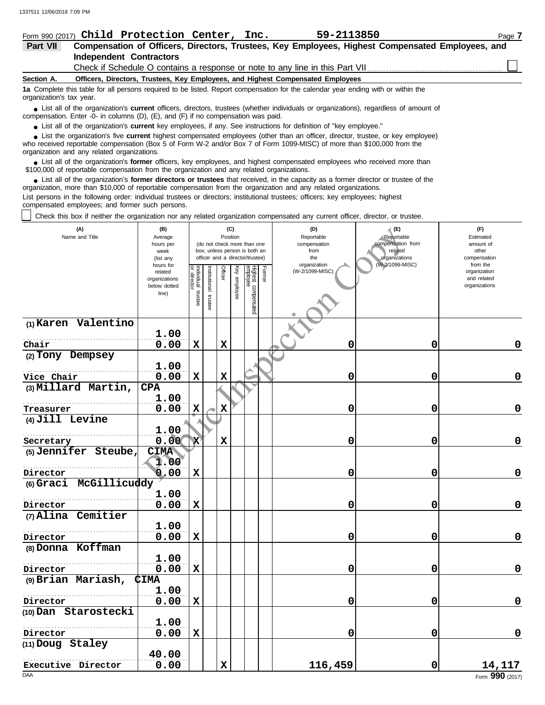|                                                                                                                                                               | Form 990 (2017) Child Protection Center, Inc.                                                                                                                                                                                     |  | 59-2113850                                                                                       | Page 7 |  |  |  |  |
|---------------------------------------------------------------------------------------------------------------------------------------------------------------|-----------------------------------------------------------------------------------------------------------------------------------------------------------------------------------------------------------------------------------|--|--------------------------------------------------------------------------------------------------|--------|--|--|--|--|
| Part VII                                                                                                                                                      |                                                                                                                                                                                                                                   |  | Compensation of Officers, Directors, Trustees, Key Employees, Highest Compensated Employees, and |        |  |  |  |  |
|                                                                                                                                                               | <b>Independent Contractors</b>                                                                                                                                                                                                    |  |                                                                                                  |        |  |  |  |  |
|                                                                                                                                                               |                                                                                                                                                                                                                                   |  | Check if Schedule O contains a response or note to any line in this Part VII                     |        |  |  |  |  |
| Section A.                                                                                                                                                    | Officers, Directors, Trustees, Key Employees, and Highest Compensated Employees                                                                                                                                                   |  |                                                                                                  |        |  |  |  |  |
| 1a Complete this table for all persons required to be listed. Report compensation for the calendar year ending with or within the<br>organization's tax year. |                                                                                                                                                                                                                                   |  |                                                                                                  |        |  |  |  |  |
|                                                                                                                                                               | List all of the organization's current officers, directors, trustees (whether individuals or organizations), regardless of amount of<br>compensation. Enter -0- in columns $(D)$ , $(E)$ , and $(F)$ if no compensation was paid. |  |                                                                                                  |        |  |  |  |  |

● List all of the organization's **current** key employees, if any. See instructions for definition of "key employee."

■ List the organization's five **current** highest compensated employees (other than an officer, director, trustee, or key employee)<br> **•** Received reportable compensation (Box 5 of Form M/-2 and/or Box 7 of Form 1099-MISC)

who received reportable compensation (Box 5 of Form W-2 and/or Box 7 of Form 1099-MISC) of more than \$100,000 from the organization and any related organizations.

■ List all of the organization's **former** officers, key employees, and highest compensated employees who received more than<br>00,000 of reportable compensation from the organization and any related organizations \$100,000 of reportable compensation from the organization and any related organizations.

List all of the organization's **former directors or trustees** that received, in the capacity as a former director or trustee of the ● List all of the organization's former directors or trustees that received, in the capacity as a former director organization, more than \$10,000 of reportable compensation from the organization and any related organizati

List persons in the following order: individual trustees or directors; institutional trustees; officers; key employees; highest compensated employees; and former such persons.

Check this box if neither the organization nor any related organization compensated any current officer, director, or trustee.

| (A)<br>Name and Title         | (B)<br>Average<br>hours per<br>week<br>(list any               |                                   |                         | Position    | (C)          | (do not check more than one<br>box, unless person is both an<br>officer and a director/trustee) |        | (D)<br>Reportable<br>compensation<br>from<br>the | A (E)<br>Reportable<br>compensation from<br>related<br>organizations | (F)<br>Estimated<br>amount of<br>other<br>compensation   |
|-------------------------------|----------------------------------------------------------------|-----------------------------------|-------------------------|-------------|--------------|-------------------------------------------------------------------------------------------------|--------|--------------------------------------------------|----------------------------------------------------------------------|----------------------------------------------------------|
|                               | hours for<br>related<br>organizations<br>below dotted<br>line) | Individual trustee<br>or director | hstitutional<br>trustee | Officer     | Key employee | Highest compensated<br>employee                                                                 | Former | organization<br>(W-2/1099-MISC)                  | (W-2/1099-MISC)                                                      | from the<br>organization<br>and related<br>organizations |
| (1) Karen Valentino           |                                                                |                                   |                         |             |              |                                                                                                 |        |                                                  |                                                                      |                                                          |
|                               | 1.00                                                           |                                   |                         |             |              |                                                                                                 |        |                                                  |                                                                      |                                                          |
| Chair<br>(2) Tony Dempsey     | 0.00                                                           | $\mathbf x$                       |                         | $\mathbf x$ |              |                                                                                                 |        | 0                                                | 0                                                                    | 0                                                        |
| Vice Chair                    | 1.00<br>0.00                                                   | $\mathbf x$                       |                         | $\mathbf x$ |              |                                                                                                 |        | 0                                                | 0                                                                    | $\mathbf 0$                                              |
| (3) Millard Martin,           | <b>CPA</b>                                                     |                                   |                         |             |              |                                                                                                 |        |                                                  |                                                                      |                                                          |
|                               | 1.00                                                           |                                   |                         |             |              |                                                                                                 |        |                                                  |                                                                      |                                                          |
| Treasurer                     | 0.00                                                           | $\mathbf x$                       |                         | X           |              |                                                                                                 |        | 0                                                | 0                                                                    | $\mathbf 0$                                              |
| (4) Jill Levine               | 1.00                                                           |                                   |                         |             |              |                                                                                                 |        |                                                  |                                                                      |                                                          |
| Secretary                     | 0.00                                                           | x                                 |                         | $\mathbf x$ |              |                                                                                                 |        | 0                                                | 0                                                                    | $\pmb{0}$                                                |
| (5) Jennifer Steube,          | <b>CIMA</b><br>1.00                                            |                                   |                         |             |              |                                                                                                 |        |                                                  |                                                                      |                                                          |
| Director                      | 0.00                                                           | $\mathbf x$                       |                         |             |              |                                                                                                 |        | 0                                                | 0                                                                    | $\mathbf 0$                                              |
| (6) Graci McGillicuddy        |                                                                |                                   |                         |             |              |                                                                                                 |        |                                                  |                                                                      |                                                          |
|                               | 1.00                                                           |                                   |                         |             |              |                                                                                                 |        |                                                  |                                                                      |                                                          |
| Director                      | 0.00                                                           | $\mathbf x$                       |                         |             |              |                                                                                                 |        | 0                                                | 0                                                                    | $\mathbf 0$                                              |
| (7) Alina Cemitier            |                                                                |                                   |                         |             |              |                                                                                                 |        |                                                  |                                                                      |                                                          |
|                               | 1.00<br>0.00                                                   | $\mathbf x$                       |                         |             |              |                                                                                                 |        | 0                                                | 0                                                                    | 0                                                        |
| Director<br>(8) Donna Koffman |                                                                |                                   |                         |             |              |                                                                                                 |        |                                                  |                                                                      |                                                          |
|                               | 1.00                                                           |                                   |                         |             |              |                                                                                                 |        |                                                  |                                                                      |                                                          |
| Director                      | 0.00                                                           | $\mathbf x$                       |                         |             |              |                                                                                                 |        | 0                                                | $\mathbf 0$                                                          | $\mathbf 0$                                              |
| (9) Brian Mariash,            | <b>CIMA</b>                                                    |                                   |                         |             |              |                                                                                                 |        |                                                  |                                                                      |                                                          |
|                               | 1.00                                                           |                                   |                         |             |              |                                                                                                 |        |                                                  |                                                                      |                                                          |
| Director                      | 0.00                                                           | $\mathbf x$                       |                         |             |              |                                                                                                 |        | 0                                                | 0                                                                    | $\pmb{0}$                                                |
| (10) Dan Starostecki          | 1.00                                                           |                                   |                         |             |              |                                                                                                 |        |                                                  |                                                                      |                                                          |
| Director                      | 0.00                                                           | $\mathbf x$                       |                         |             |              |                                                                                                 |        | 0                                                | 0                                                                    | $\mathbf 0$                                              |
| (11) Doug Staley              | 40.00                                                          |                                   |                         |             |              |                                                                                                 |        |                                                  |                                                                      |                                                          |
| Executive Director            | 0.00                                                           |                                   |                         | $\mathbf x$ |              |                                                                                                 |        | 116,459                                          | 0                                                                    | 14,117                                                   |
| <b>DAA</b>                    |                                                                |                                   |                         |             |              |                                                                                                 |        |                                                  |                                                                      | Form 990 (2017)                                          |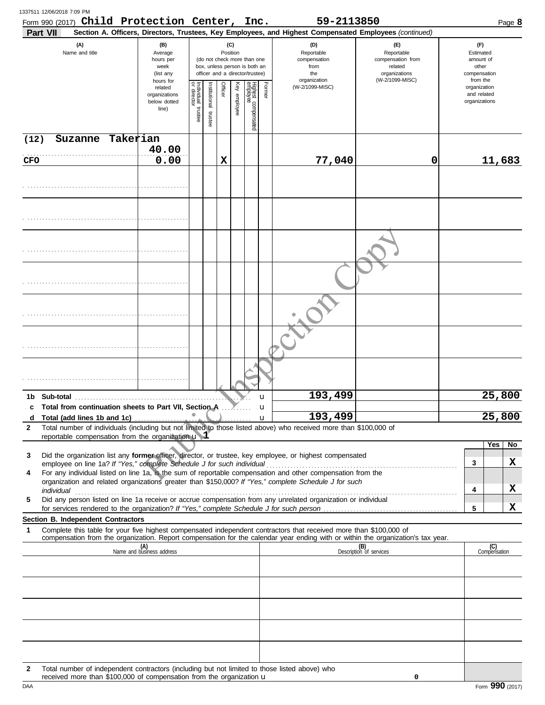|              | Form 990 (2017) Child Protection Center, Inc.<br>Part VII                                                                                                                                                            |                                                                |                                   |                         |         |                                                                                                                    |                                 |                   | 59-2113850<br>Section A. Officers, Directors, Trustees, Key Employees, and Highest Compensated Employees (continued) |                                                                                       |                                                                    | Page 8 |
|--------------|----------------------------------------------------------------------------------------------------------------------------------------------------------------------------------------------------------------------|----------------------------------------------------------------|-----------------------------------|-------------------------|---------|--------------------------------------------------------------------------------------------------------------------|---------------------------------|-------------------|----------------------------------------------------------------------------------------------------------------------|---------------------------------------------------------------------------------------|--------------------------------------------------------------------|--------|
|              | (A)<br>Name and title                                                                                                                                                                                                | (B)<br>Average<br>hours per<br>week<br>(list any               |                                   |                         |         | (C)<br>Position<br>(do not check more than one<br>box, unless person is both an<br>officer and a director/trustee) |                                 |                   | (D)<br>Reportable<br>compensation<br>from<br>the<br>organization                                                     | (E)<br>Reportable<br>compensation from<br>related<br>organizations<br>(W-2/1099-MISC) | (F)<br>Estimated<br>amount of<br>other<br>compensation<br>from the |        |
|              |                                                                                                                                                                                                                      | hours for<br>related<br>organizations<br>below dotted<br>line) | Individual trustee<br>or director | nstitutional<br>trustee | Officer | Key<br>employee                                                                                                    | Highest compensated<br>employee | Former            | (W-2/1099-MISC)                                                                                                      |                                                                                       | organization<br>and related<br>organizations                       |        |
| (12)         | Suzanne Takerian                                                                                                                                                                                                     | 40.00                                                          |                                   |                         |         |                                                                                                                    |                                 |                   |                                                                                                                      |                                                                                       |                                                                    |        |
| CFO          |                                                                                                                                                                                                                      | 0.00                                                           |                                   |                         | X       |                                                                                                                    |                                 |                   | 77,040                                                                                                               | 0                                                                                     | 11,683                                                             |        |
|              |                                                                                                                                                                                                                      |                                                                |                                   |                         |         |                                                                                                                    |                                 |                   |                                                                                                                      |                                                                                       |                                                                    |        |
|              |                                                                                                                                                                                                                      |                                                                |                                   |                         |         |                                                                                                                    |                                 |                   |                                                                                                                      |                                                                                       |                                                                    |        |
|              |                                                                                                                                                                                                                      |                                                                |                                   |                         |         |                                                                                                                    |                                 |                   |                                                                                                                      |                                                                                       |                                                                    |        |
|              |                                                                                                                                                                                                                      |                                                                |                                   |                         |         |                                                                                                                    |                                 |                   |                                                                                                                      |                                                                                       |                                                                    |        |
|              |                                                                                                                                                                                                                      |                                                                |                                   |                         |         |                                                                                                                    |                                 |                   |                                                                                                                      |                                                                                       |                                                                    |        |
|              |                                                                                                                                                                                                                      |                                                                |                                   |                         |         |                                                                                                                    |                                 |                   |                                                                                                                      |                                                                                       |                                                                    |        |
|              |                                                                                                                                                                                                                      |                                                                |                                   |                         |         |                                                                                                                    |                                 |                   |                                                                                                                      |                                                                                       |                                                                    |        |
|              |                                                                                                                                                                                                                      |                                                                |                                   |                         |         |                                                                                                                    |                                 | u                 | 193,499                                                                                                              |                                                                                       | 25,800                                                             |        |
| d            | c Total from continuation sheets to Part VII, Section A                                                                                                                                                              |                                                                | $\qquad \qquad \blacksquare$      |                         |         |                                                                                                                    |                                 | u<br>$\mathbf{u}$ | 193,499                                                                                                              |                                                                                       | 25,800                                                             |        |
| $\mathbf{2}$ | Total number of individuals (including but not limited to those listed above) who received more than \$100,000 of<br>reportable compensation from the organization $\mathbf u$ $\mathbf 1$                           |                                                                |                                   |                         |         |                                                                                                                    |                                 |                   |                                                                                                                      |                                                                                       |                                                                    |        |
|              |                                                                                                                                                                                                                      |                                                                |                                   |                         |         |                                                                                                                    |                                 |                   |                                                                                                                      |                                                                                       | Yes                                                                | No     |
| 3            | Did the organization list any former officer, director, or trustee, key employee, or highest compensated<br>employee on line 1a? If "Yes," complete Schedule J for such individual                                   |                                                                |                                   |                         |         |                                                                                                                    |                                 |                   |                                                                                                                      |                                                                                       | 3                                                                  | х      |
| 4            | For any individual listed on line 1a, is the sum of reportable compensation and other compensation from the<br>organization and related organizations greater than \$150,000? If "Yes," complete Schedule J for such |                                                                |                                   |                         |         |                                                                                                                    |                                 |                   |                                                                                                                      |                                                                                       |                                                                    |        |
| 5            | individual<br>Did any person listed on line 1a receive or accrue compensation from any unrelated organization or individual                                                                                          |                                                                |                                   |                         |         |                                                                                                                    |                                 |                   |                                                                                                                      |                                                                                       | 4                                                                  | х      |
|              |                                                                                                                                                                                                                      |                                                                |                                   |                         |         |                                                                                                                    |                                 |                   |                                                                                                                      |                                                                                       | 5                                                                  | x      |
| 1            | Section B. Independent Contractors<br>Complete this table for your five highest compensated independent contractors that received more than \$100,000 of                                                             |                                                                |                                   |                         |         |                                                                                                                    |                                 |                   |                                                                                                                      |                                                                                       |                                                                    |        |
|              | compensation from the organization. Report compensation for the calendar year ending with or within the organization's tax year.                                                                                     |                                                                |                                   |                         |         |                                                                                                                    |                                 |                   |                                                                                                                      |                                                                                       |                                                                    |        |
|              |                                                                                                                                                                                                                      | (A)<br>Name and business address                               |                                   |                         |         |                                                                                                                    |                                 |                   |                                                                                                                      | (B)<br>Description of services                                                        | (C)<br>Compensation                                                |        |
|              |                                                                                                                                                                                                                      |                                                                |                                   |                         |         |                                                                                                                    |                                 |                   |                                                                                                                      |                                                                                       |                                                                    |        |
|              |                                                                                                                                                                                                                      |                                                                |                                   |                         |         |                                                                                                                    |                                 |                   |                                                                                                                      |                                                                                       |                                                                    |        |
|              |                                                                                                                                                                                                                      |                                                                |                                   |                         |         |                                                                                                                    |                                 |                   |                                                                                                                      |                                                                                       |                                                                    |        |
|              |                                                                                                                                                                                                                      |                                                                |                                   |                         |         |                                                                                                                    |                                 |                   |                                                                                                                      |                                                                                       |                                                                    |        |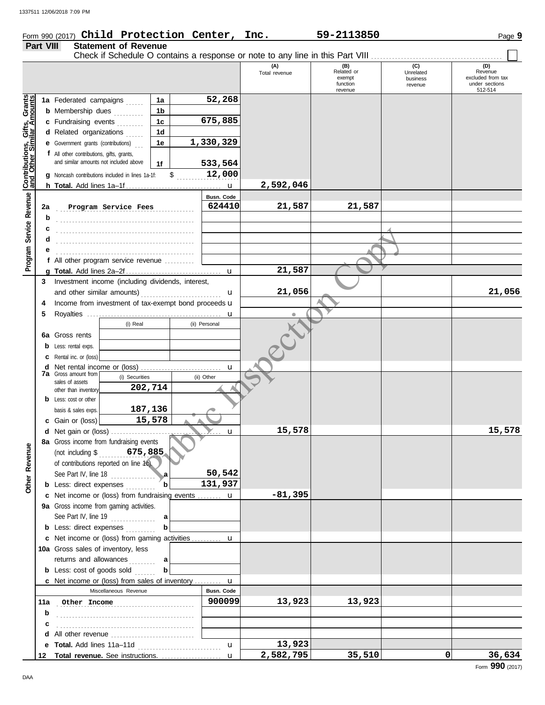## Form 990 (2017) Page **9 Child Protection Center, Inc. 59-2113850**

## **Part VIII Statement of Revenue** Check if Schedule O contains a response or note to any line in this Part VIII . . . . . . . . . . . . . . . . . . . . . . . . . . . . . . . . . . . . . . . . . . . .

|                                                           |     |                                                            |              |               | (A)<br>Total revenue | (B)<br>Related or<br>exempt | (C)<br>Unrelated<br>business | (D)<br>Revenue<br>excluded from tax |
|-----------------------------------------------------------|-----|------------------------------------------------------------|--------------|---------------|----------------------|-----------------------------|------------------------------|-------------------------------------|
|                                                           |     |                                                            |              |               |                      | function                    | revenue                      | under sections                      |
|                                                           |     | 1a Federated campaigns<br>1a                               |              | 52,268        |                      | revenue                     |                              | 512-514                             |
|                                                           |     | 1 <sub>b</sub><br><b>b</b> Membership dues                 |              |               |                      |                             |                              |                                     |
|                                                           |     | .<br>1 <sub>c</sub><br>c Fundraising events                |              | 675,885       |                      |                             |                              |                                     |
|                                                           |     | 1 <sub>d</sub><br>d Related organizations                  |              |               |                      |                             |                              |                                     |
| Contributions, Gifts, Grants<br>and Other Similar Amounts |     | 1e<br><b>e</b> Government grants (contributions)           |              | 1,330,329     |                      |                             |                              |                                     |
|                                                           |     | f All other contributions, gifts, grants,                  |              |               |                      |                             |                              |                                     |
|                                                           |     | and similar amounts not included above<br>1f               |              | 533,564       |                      |                             |                              |                                     |
|                                                           | g   | Noncash contributions included in lines 1a-1f:             | \$           | 12,000        |                      |                             |                              |                                     |
|                                                           |     |                                                            |              | $\mathbf u$   | 2,592,046            |                             |                              |                                     |
|                                                           |     |                                                            |              | Busn. Code    |                      |                             |                              |                                     |
| Program Service Revenue                                   | 2a  | Program Service Fees                                       |              | 624410        | 21,587               | 21,587                      |                              |                                     |
|                                                           | b   |                                                            |              |               |                      |                             |                              |                                     |
|                                                           | с   |                                                            |              |               |                      |                             |                              |                                     |
|                                                           | d   |                                                            |              |               |                      |                             |                              |                                     |
|                                                           |     |                                                            |              |               |                      |                             |                              |                                     |
|                                                           |     | f All other program service revenue                        |              |               |                      |                             |                              |                                     |
|                                                           |     |                                                            |              |               | 21,587               |                             |                              |                                     |
|                                                           | 3   | Investment income (including dividends, interest,          |              |               |                      |                             |                              |                                     |
|                                                           |     | and other similar amounts)                                 |              | $\mathbf u$   | 21,056               |                             |                              | 21,056                              |
|                                                           | 4   | Income from investment of tax-exempt bond proceeds u       |              |               |                      |                             |                              |                                     |
|                                                           | 5   |                                                            |              |               | $\bullet$            |                             |                              |                                     |
|                                                           |     | (i) Real                                                   |              | (ii) Personal |                      |                             |                              |                                     |
|                                                           | 6а  | Gross rents                                                |              |               |                      |                             |                              |                                     |
|                                                           | b   | Less: rental exps.                                         |              |               |                      |                             |                              |                                     |
|                                                           |     | Rental inc. or (loss)                                      |              |               |                      |                             |                              |                                     |
|                                                           | d   | Net rental income or (loss)<br><b>7a</b> Gross amount from |              | u             |                      |                             |                              |                                     |
|                                                           |     | (i) Securities<br>sales of assets                          |              | (ii) Other    |                      |                             |                              |                                     |
|                                                           |     | 202,714<br>other than inventory                            |              |               |                      |                             |                              |                                     |
|                                                           |     | <b>b</b> Less: cost or other<br>187,136                    |              |               |                      |                             |                              |                                     |
|                                                           |     | basis & sales exps.<br>15,578<br>c Gain or (loss)          |              |               |                      |                             |                              |                                     |
|                                                           |     | d Net gain or (loss)                                       |              | u             | 15,578               |                             |                              | 15,578                              |
|                                                           |     | 8a Gross income from fundraising events                    |              |               |                      |                             |                              |                                     |
| Revenue                                                   |     | 675,885<br>(not including \$                               |              |               |                      |                             |                              |                                     |
|                                                           |     | of contributions reported on line 1c)                      |              |               |                      |                             |                              |                                     |
|                                                           |     | See Part IV, line 18                                       | $\mathbf{a}$ | 50,542        |                      |                             |                              |                                     |
| Other                                                     |     | <b>b</b> Less: direct expenses                             | $\mathbf b$  | 131,937       |                      |                             |                              |                                     |
|                                                           |     | c Net income or (loss) from fundraising events  u          |              |               | $-81,395$            |                             |                              |                                     |
|                                                           |     | 9a Gross income from gaming activities.                    |              |               |                      |                             |                              |                                     |
|                                                           |     | See Part IV, line 19 $\ldots$                              | a            |               |                      |                             |                              |                                     |
|                                                           |     | <b>b</b> Less: direct expenses                             | b            |               |                      |                             |                              |                                     |
|                                                           |     | c Net income or (loss) from gaming activities  u           |              |               |                      |                             |                              |                                     |
|                                                           |     | 10a Gross sales of inventory, less                         |              |               |                      |                             |                              |                                     |
|                                                           |     | returns and allowances                                     | a            |               |                      |                             |                              |                                     |
|                                                           |     | <b>b</b> Less: cost of goods sold                          | b            |               |                      |                             |                              |                                     |
|                                                           |     | c Net income or (loss) from sales of inventory  u          |              |               |                      |                             |                              |                                     |
|                                                           |     | Miscellaneous Revenue                                      |              | Busn. Code    |                      |                             |                              |                                     |
|                                                           | 11a | Other Income                                               |              | 900099        | 13,923               | 13,923                      |                              |                                     |
|                                                           | b   |                                                            |              |               |                      |                             |                              |                                     |
|                                                           | c   |                                                            |              |               |                      |                             |                              |                                     |
|                                                           | d   | All other revenue                                          |              |               |                      |                             |                              |                                     |
|                                                           |     |                                                            |              | $\mathbf u$   | 13,923               |                             |                              |                                     |
|                                                           | 12  |                                                            |              |               | 2,582,795            | 35,510                      | 01                           | 36,634                              |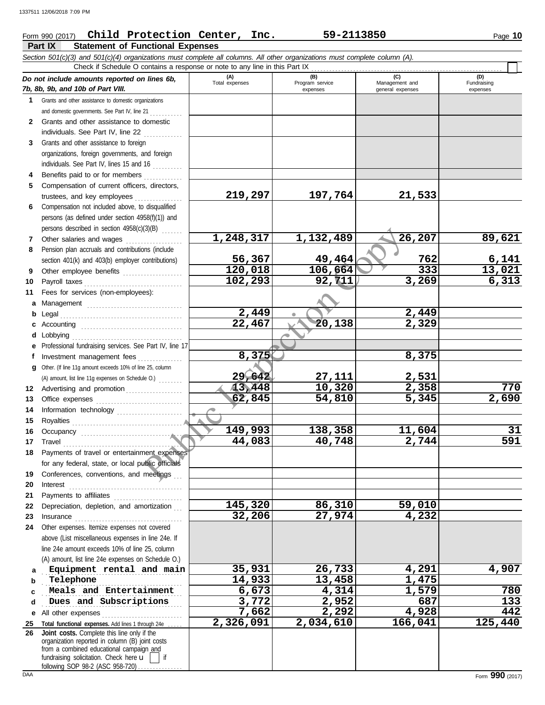# Form 990 (2017) Page **10 Child Protection Center, Inc. 59-2113850**

|              | <b>Statement of Functional Expenses</b><br>Part IX                                                                                                                                                                            |                       |                                    |                                           |                                |  |  |  |  |  |
|--------------|-------------------------------------------------------------------------------------------------------------------------------------------------------------------------------------------------------------------------------|-----------------------|------------------------------------|-------------------------------------------|--------------------------------|--|--|--|--|--|
|              | Section 501(c)(3) and 501(c)(4) organizations must complete all columns. All other organizations must complete column (A).                                                                                                    |                       |                                    |                                           |                                |  |  |  |  |  |
|              | Check if Schedule O contains a response or note to any line in this Part IX                                                                                                                                                   |                       |                                    |                                           |                                |  |  |  |  |  |
|              | Do not include amounts reported on lines 6b,<br>7b, 8b, 9b, and 10b of Part VIII.                                                                                                                                             | (A)<br>Total expenses | (B)<br>Program service<br>expenses | (C)<br>Management and<br>general expenses | (D)<br>Fundraising<br>expenses |  |  |  |  |  |
| $\mathbf 1$  | Grants and other assistance to domestic organizations                                                                                                                                                                         |                       |                                    |                                           |                                |  |  |  |  |  |
|              | and domestic governments. See Part IV, line 21                                                                                                                                                                                |                       |                                    |                                           |                                |  |  |  |  |  |
| $\mathbf{2}$ | Grants and other assistance to domestic                                                                                                                                                                                       |                       |                                    |                                           |                                |  |  |  |  |  |
|              | individuals. See Part IV, line 22                                                                                                                                                                                             |                       |                                    |                                           |                                |  |  |  |  |  |
| 3            | Grants and other assistance to foreign                                                                                                                                                                                        |                       |                                    |                                           |                                |  |  |  |  |  |
|              | organizations, foreign governments, and foreign                                                                                                                                                                               |                       |                                    |                                           |                                |  |  |  |  |  |
|              | individuals. See Part IV, lines 15 and 16                                                                                                                                                                                     |                       |                                    |                                           |                                |  |  |  |  |  |
|              | Benefits paid to or for members                                                                                                                                                                                               |                       |                                    |                                           |                                |  |  |  |  |  |
| 5            | Compensation of current officers, directors,                                                                                                                                                                                  |                       |                                    |                                           |                                |  |  |  |  |  |
|              | trustees, and key employees                                                                                                                                                                                                   | 219,297               | 197,764                            | 21,533                                    |                                |  |  |  |  |  |
| 6            | Compensation not included above, to disqualified                                                                                                                                                                              |                       |                                    |                                           |                                |  |  |  |  |  |
|              | persons (as defined under section 4958(f)(1)) and                                                                                                                                                                             |                       |                                    |                                           |                                |  |  |  |  |  |
|              | persons described in section 4958(c)(3)(B)                                                                                                                                                                                    | 1,248,317             |                                    | 26,207                                    |                                |  |  |  |  |  |
| 7            | Other salaries and wages                                                                                                                                                                                                      |                       | 1,132,489                          |                                           | 89,621                         |  |  |  |  |  |
| 8            | Pension plan accruals and contributions (include                                                                                                                                                                              | 56,367                | 49,464                             | 762                                       | 6,141                          |  |  |  |  |  |
|              | section 401(k) and 403(b) employer contributions)<br>Other employee benefits [11] [11] Other employee benefits                                                                                                                | 120,018               | 106,664                            | 333                                       | 13,021                         |  |  |  |  |  |
| 9<br>10      |                                                                                                                                                                                                                               | 102,293               | 92, 711                            | 3,269                                     | 6,313                          |  |  |  |  |  |
| 11           | Fees for services (non-employees):                                                                                                                                                                                            |                       |                                    |                                           |                                |  |  |  |  |  |
| а            | Management                                                                                                                                                                                                                    |                       |                                    |                                           |                                |  |  |  |  |  |
| b            |                                                                                                                                                                                                                               | 2,449                 |                                    | 2,449                                     |                                |  |  |  |  |  |
| c            |                                                                                                                                                                                                                               | 22,467                | 20,138                             | 2,329                                     |                                |  |  |  |  |  |
| d            | Lobbying                                                                                                                                                                                                                      |                       |                                    |                                           |                                |  |  |  |  |  |
| е            | Professional fundraising services. See Part IV, line 17                                                                                                                                                                       |                       |                                    |                                           |                                |  |  |  |  |  |
| f            | Investment management fees                                                                                                                                                                                                    | 8,375                 |                                    | 8,375                                     |                                |  |  |  |  |  |
| a            | Other. (If line 11g amount exceeds 10% of line 25, column                                                                                                                                                                     |                       |                                    |                                           |                                |  |  |  |  |  |
|              | (A) amount, list line 11g expenses on Schedule O.)                                                                                                                                                                            | 29,642                | 27,111                             | 2,531                                     |                                |  |  |  |  |  |
| 12           | Advertising and promotion                                                                                                                                                                                                     | 13,448                | 10,320                             | 2,358                                     | 770                            |  |  |  |  |  |
| 13           |                                                                                                                                                                                                                               | 62,845                | 54,810                             | 5,345                                     | 2,690                          |  |  |  |  |  |
| 14           | Information technology                                                                                                                                                                                                        |                       |                                    |                                           |                                |  |  |  |  |  |
| 15           |                                                                                                                                                                                                                               |                       |                                    |                                           |                                |  |  |  |  |  |
| 16           |                                                                                                                                                                                                                               | 149,993               | 138,358                            | 11,604                                    | 31                             |  |  |  |  |  |
| 17           | Travel                                                                                                                                                                                                                        | 44,083                | 40,748                             | 2,744                                     | 591                            |  |  |  |  |  |
| 18           | Payments of travel or entertainment expenses                                                                                                                                                                                  |                       |                                    |                                           |                                |  |  |  |  |  |
|              | for any federal, state, or local public officials                                                                                                                                                                             |                       |                                    |                                           |                                |  |  |  |  |  |
| 19           | Conferences, conventions, and meetings                                                                                                                                                                                        |                       |                                    |                                           |                                |  |  |  |  |  |
| 20           |                                                                                                                                                                                                                               |                       |                                    |                                           |                                |  |  |  |  |  |
| 21           | Payments to affiliates                                                                                                                                                                                                        |                       |                                    |                                           |                                |  |  |  |  |  |
| 22           | Depreciation, depletion, and amortization                                                                                                                                                                                     | 145,320               | 86,310                             | 59,010                                    |                                |  |  |  |  |  |
| 23           | Insurance with a continuum and the continuum of the continuum of the continuum of the continuum of the continuum of the continuum of the continuum of the continuum of the continuum of the continuum of the continuum of the | 32,206                | 27,974                             | 4,232                                     |                                |  |  |  |  |  |
| 24           | Other expenses. Itemize expenses not covered                                                                                                                                                                                  |                       |                                    |                                           |                                |  |  |  |  |  |
|              | above (List miscellaneous expenses in line 24e. If<br>line 24e amount exceeds 10% of line 25, column                                                                                                                          |                       |                                    |                                           |                                |  |  |  |  |  |
|              | (A) amount, list line 24e expenses on Schedule O.)                                                                                                                                                                            |                       |                                    |                                           |                                |  |  |  |  |  |
|              | Equipment rental and main                                                                                                                                                                                                     | 35,931                | 26,733                             | 4,291                                     | 4,907                          |  |  |  |  |  |
| a<br>b       | Telephone                                                                                                                                                                                                                     | 14,933                | 13,458                             | 1,475                                     |                                |  |  |  |  |  |
| c            | Meals and Entertainment                                                                                                                                                                                                       | 6,673                 | 4,314                              | 1,579                                     | 780                            |  |  |  |  |  |
| d            | Dues and Subscriptions                                                                                                                                                                                                        | 3,772                 | 2,952                              | 687                                       | 133                            |  |  |  |  |  |
| е            | All other expenses                                                                                                                                                                                                            | 7,662                 | 2,292                              | 4,928                                     | 442                            |  |  |  |  |  |
| 25           | Total functional expenses. Add lines 1 through 24e                                                                                                                                                                            | 2,326,091             | 2,034,610                          | 166,041                                   | 125,440                        |  |  |  |  |  |
| 26           | Joint costs. Complete this line only if the                                                                                                                                                                                   |                       |                                    |                                           |                                |  |  |  |  |  |
|              | organization reported in column (B) joint costs                                                                                                                                                                               |                       |                                    |                                           |                                |  |  |  |  |  |
|              | from a combined educational campaign and<br>fundraising solicitation. Check here $\mathbf{u}$<br>if                                                                                                                           |                       |                                    |                                           |                                |  |  |  |  |  |

following SOP 98-2 (ASC 958-720) . . . . . . . . . . . . . .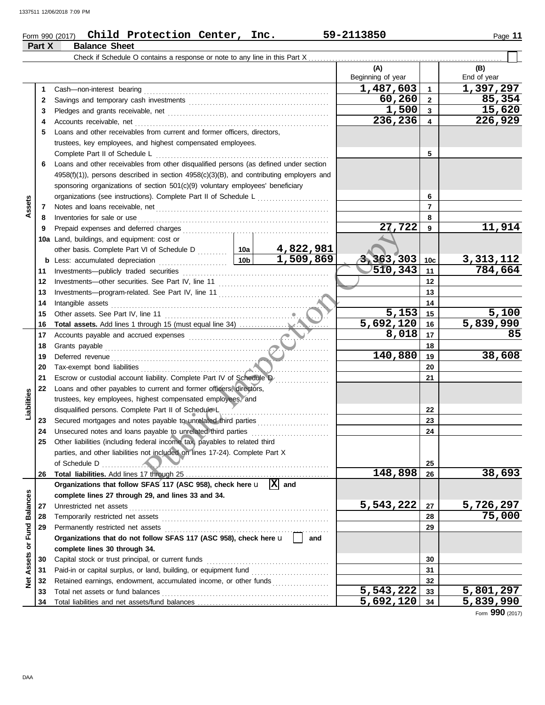## Form 990 (2017) Page **11 Child Protection Center, Inc. 59-2113850 Part X Balance Sheet**

|                 |          | Check if Schedule O contains a response or note to any line in this Part X                                                                                                                                                     |                         |           |                          |                         |                             |  |
|-----------------|----------|--------------------------------------------------------------------------------------------------------------------------------------------------------------------------------------------------------------------------------|-------------------------|-----------|--------------------------|-------------------------|-----------------------------|--|
|                 |          |                                                                                                                                                                                                                                |                         |           | (A)<br>Beginning of year |                         | (B)<br>End of year          |  |
|                 | 1        |                                                                                                                                                                                                                                |                         |           | 1,487,603                | $\mathbf 1$             | 1,397,297                   |  |
|                 | 2        |                                                                                                                                                                                                                                |                         |           | 60,260                   | $\overline{2}$          | 85,354                      |  |
|                 | 3        |                                                                                                                                                                                                                                |                         |           | 1,500                    | $\mathbf{3}$            | 15,620                      |  |
|                 | 4        |                                                                                                                                                                                                                                |                         |           | 236,236                  | $\overline{\mathbf{4}}$ | 226,929                     |  |
|                 | 5        | Loans and other receivables from current and former officers, directors,                                                                                                                                                       |                         |           |                          |                         |                             |  |
|                 |          | trustees, key employees, and highest compensated employees.                                                                                                                                                                    |                         |           |                          |                         |                             |  |
|                 |          | Complete Part II of Schedule L                                                                                                                                                                                                 |                         |           |                          | 5                       |                             |  |
|                 | 6        | Loans and other receivables from other disqualified persons (as defined under section                                                                                                                                          |                         |           |                          |                         |                             |  |
|                 |          | 4958(f)(1)), persons described in section 4958(c)(3)(B), and contributing employers and                                                                                                                                        |                         |           |                          |                         |                             |  |
|                 |          | sponsoring organizations of section 501(c)(9) voluntary employees' beneficiary                                                                                                                                                 |                         |           |                          |                         |                             |  |
|                 |          | organizations (see instructions). Complete Part II of Schedule L                                                                                                                                                               |                         |           |                          | 6                       |                             |  |
| Assets          | 7        |                                                                                                                                                                                                                                |                         |           |                          | $\overline{7}$          |                             |  |
|                 | 8        | Inventories for sale or use                                                                                                                                                                                                    |                         |           |                          | 8                       |                             |  |
|                 | 9        |                                                                                                                                                                                                                                | 9                       | 11,914    |                          |                         |                             |  |
|                 |          | 10a Land, buildings, and equipment: cost or                                                                                                                                                                                    |                         |           |                          |                         |                             |  |
|                 |          | other basis. Complete Part VI of Schedule D  10a                                                                                                                                                                               |                         | 4,822,981 |                          |                         |                             |  |
|                 |          |                                                                                                                                                                                                                                | $\lfloor$ 10b $\rfloor$ | 1,509,869 | 3, 363, 303              | 10c                     | $\frac{3,313,112}{784,664}$ |  |
|                 | 11       |                                                                                                                                                                                                                                | 510,343                 | 11        |                          |                         |                             |  |
|                 | 12       |                                                                                                                                                                                                                                |                         |           | 12                       |                         |                             |  |
|                 | 13       |                                                                                                                                                                                                                                |                         | 13        |                          |                         |                             |  |
|                 | 14       |                                                                                                                                                                                                                                |                         | 14        |                          |                         |                             |  |
|                 | 15       |                                                                                                                                                                                                                                |                         |           | 5,153                    | 15                      | 5,100                       |  |
|                 | 16       |                                                                                                                                                                                                                                |                         |           | 5,692,120                | 16                      | 5,839,990                   |  |
|                 | 17       |                                                                                                                                                                                                                                |                         |           | 8,018                    | 17                      | 85                          |  |
|                 | 18       |                                                                                                                                                                                                                                |                         |           |                          | 18                      |                             |  |
|                 | 19       | Deferred revenue contains and the container and the container and the containing of the containing of the containing of the containing of the containing of the containing of the containing of the containing of the containi | 140,880                 | 19<br>20  | 38,608                   |                         |                             |  |
|                 | 20       |                                                                                                                                                                                                                                |                         |           |                          |                         |                             |  |
|                 | 21       | Escrow or custodial account liability. Complete Part IV of Schedule D                                                                                                                                                          |                         |           |                          | 21                      |                             |  |
|                 | 22       | Loans and other payables to current and former officers, directors,                                                                                                                                                            |                         |           |                          |                         |                             |  |
| Liabilities     |          | trustees, key employees, highest compensated employees, and                                                                                                                                                                    |                         |           |                          |                         |                             |  |
|                 |          | disqualified persons. Complete Part II of Schedule L                                                                                                                                                                           |                         |           |                          | 22                      |                             |  |
|                 | 23<br>24 | Secured mortgages and notes payable to unrelated third parties<br>Unsecured notes and loans payable to unrelated third parties                                                                                                 |                         |           |                          | 23<br>24                |                             |  |
|                 | 25       | Other liabilities (including federal income tax) payables to related third                                                                                                                                                     |                         |           |                          |                         |                             |  |
|                 |          | parties, and other liabilities not included on lines 17-24). Complete Part X                                                                                                                                                   |                         |           |                          |                         |                             |  |
|                 |          | of Schedule D                                                                                                                                                                                                                  |                         |           |                          | 25                      |                             |  |
|                 | 26       |                                                                                                                                                                                                                                |                         |           | 148,898                  | 26                      | 38,693                      |  |
|                 |          | Organizations that follow SFAS 117 (ASC 958), check here u                                                                                                                                                                     | $\overline{X}$ and      |           |                          |                         |                             |  |
|                 |          | complete lines 27 through 29, and lines 33 and 34.                                                                                                                                                                             |                         |           |                          |                         |                             |  |
|                 | 27       |                                                                                                                                                                                                                                |                         |           | 5,543,222                | 27                      | 5,726,297                   |  |
| <b>Balances</b> | 28       |                                                                                                                                                                                                                                |                         |           |                          | 28                      | 75,000                      |  |
|                 | 29       |                                                                                                                                                                                                                                |                         |           |                          | 29                      |                             |  |
|                 |          | Organizations that do not follow SFAS 117 (ASC 958), check here u                                                                                                                                                              |                         | and       |                          |                         |                             |  |
| Assets or Fund  |          | complete lines 30 through 34.                                                                                                                                                                                                  |                         |           |                          |                         |                             |  |
|                 | 30       |                                                                                                                                                                                                                                |                         |           |                          | 30                      |                             |  |
|                 | 31       |                                                                                                                                                                                                                                |                         |           |                          | 31                      |                             |  |
| <b>b</b> et     | 32       | Retained earnings, endowment, accumulated income, or other funds                                                                                                                                                               |                         |           |                          | 32                      |                             |  |
|                 | 33       | Total net assets or fund balances                                                                                                                                                                                              |                         |           | 5,543,222                | 33                      | 5,801,297                   |  |
|                 | 34       |                                                                                                                                                                                                                                |                         |           | 5,692,120                | 34                      | 5,839,990                   |  |

Form **990** (2017)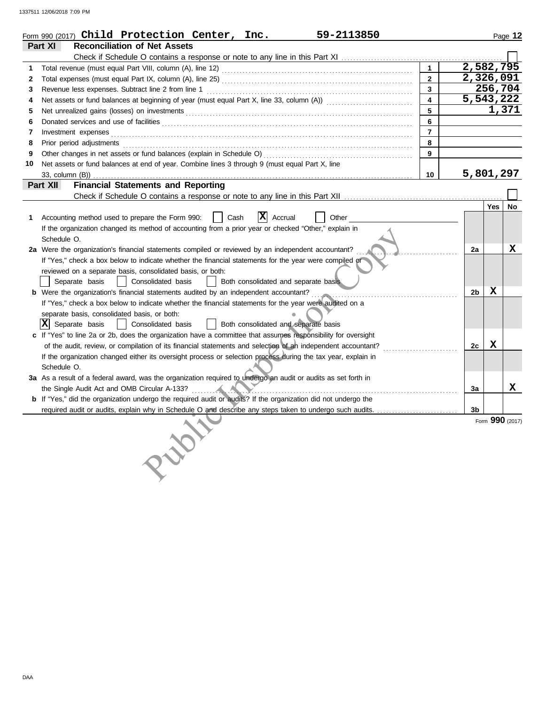|    | Form 990 (2017) $Child$ Protection Center, Inc.<br>59-2113850                                                                                                                                                                 |                         |                |         | Page 12         |
|----|-------------------------------------------------------------------------------------------------------------------------------------------------------------------------------------------------------------------------------|-------------------------|----------------|---------|-----------------|
|    | <b>Reconciliation of Net Assets</b><br>Part XI                                                                                                                                                                                |                         |                |         |                 |
|    |                                                                                                                                                                                                                               |                         |                |         |                 |
| 1  |                                                                                                                                                                                                                               | $\mathbf{1}$            | 2,582,795      |         |                 |
| 2  |                                                                                                                                                                                                                               | $\overline{2}$          | 2,326,091      |         |                 |
| 3  | Revenue less expenses. Subtract line 2 from line 1                                                                                                                                                                            | $\mathbf{3}$            |                | 256,704 |                 |
| 4  |                                                                                                                                                                                                                               | $\overline{\mathbf{4}}$ | 5,543,222      |         |                 |
| 5  | Net unrealized gains (losses) on investments [11] match and the control of the state of the state of the state of the state of the state of the state of the state of the state of the state of the state of the state of the | 5                       |                |         | 1,371           |
| 6  |                                                                                                                                                                                                                               | 6                       |                |         |                 |
| 7  |                                                                                                                                                                                                                               | $\overline{7}$          |                |         |                 |
| 8  |                                                                                                                                                                                                                               | 8                       |                |         |                 |
| 9  |                                                                                                                                                                                                                               | 9                       |                |         |                 |
| 10 | Net assets or fund balances at end of year. Combine lines 3 through 9 (must equal Part X, line                                                                                                                                |                         |                |         |                 |
|    | 33, column (B))                                                                                                                                                                                                               | 10                      | 5,801,297      |         |                 |
|    | <b>Financial Statements and Reporting</b><br>Part XII                                                                                                                                                                         |                         |                |         |                 |
|    |                                                                                                                                                                                                                               |                         |                |         |                 |
|    |                                                                                                                                                                                                                               |                         |                | Yes     | No              |
| 1. | $ \mathbf{X} $ Accrual<br>Accounting method used to prepare the Form 990:<br>Other<br>Cash                                                                                                                                    |                         |                |         |                 |
|    | If the organization changed its method of accounting from a prior year or checked "Other," explain in                                                                                                                         |                         |                |         |                 |
|    | Schedule O.                                                                                                                                                                                                                   |                         |                |         |                 |
|    | 2a Were the organization's financial statements compiled or reviewed by an independent accountant?                                                                                                                            |                         | 2a             |         | X               |
|    | If "Yes," check a box below to indicate whether the financial statements for the year were compiled or                                                                                                                        |                         |                |         |                 |
|    | reviewed on a separate basis, consolidated basis, or both:                                                                                                                                                                    |                         |                |         |                 |
|    | Both consolidated and separate basis<br>Separate basis<br>Consolidated basis                                                                                                                                                  |                         |                |         |                 |
|    | <b>b</b> Were the organization's financial statements audited by an independent accountant?                                                                                                                                   |                         | 2 <sub>b</sub> | x       |                 |
|    | If "Yes," check a box below to indicate whether the financial statements for the year were audited on a                                                                                                                       |                         |                |         |                 |
|    | separate basis, consolidated basis, or both:                                                                                                                                                                                  |                         |                |         |                 |
|    | $ \mathbf{X} $ Separate basis<br>Consolidated basis<br>  Both consolidated and separate basis                                                                                                                                 |                         |                |         |                 |
|    | c If "Yes" to line 2a or 2b, does the organization have a committee that assumes responsibility for oversight                                                                                                                 |                         |                |         |                 |
|    | of the audit, review, or compilation of its financial statements and selection of an independent accountant?                                                                                                                  |                         | 2c             | x       |                 |
|    | If the organization changed either its oversight process or selection process during the tax year, explain in                                                                                                                 |                         |                |         |                 |
|    | Schedule O.                                                                                                                                                                                                                   |                         |                |         |                 |
|    | 3a As a result of a federal award, was the organization required to undergo an audit or audits as set forth in                                                                                                                |                         |                |         |                 |
|    | the Single Audit Act and OMB Circular A-133?                                                                                                                                                                                  |                         | 3a             |         | x               |
|    | b If "Yes," did the organization undergo the required audit or audits? If the organization did not undergo the                                                                                                                |                         |                |         |                 |
|    |                                                                                                                                                                                                                               |                         | 3 <sub>b</sub> |         |                 |
|    |                                                                                                                                                                                                                               |                         |                |         | Form 990 (2017) |
|    |                                                                                                                                                                                                                               |                         |                |         |                 |
|    |                                                                                                                                                                                                                               |                         |                |         |                 |
|    |                                                                                                                                                                                                                               |                         |                |         |                 |
|    |                                                                                                                                                                                                                               |                         |                |         |                 |
|    |                                                                                                                                                                                                                               |                         |                |         |                 |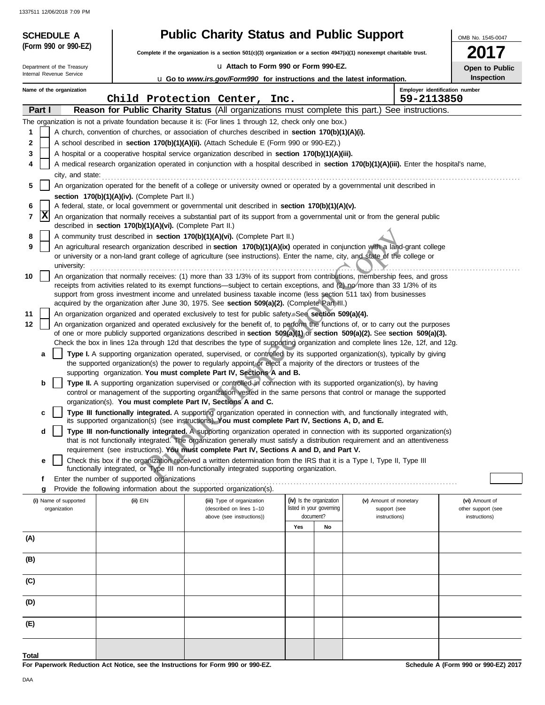| <b>SCHEDULE A</b>                     |                                                                                                                                            | <b>Public Charity Status and Public Support</b>                                                                                                                                                                                                                                                                  |                                                      |                                        | OMB No. 1545-0047                   |  |  |  |  |  |
|---------------------------------------|--------------------------------------------------------------------------------------------------------------------------------------------|------------------------------------------------------------------------------------------------------------------------------------------------------------------------------------------------------------------------------------------------------------------------------------------------------------------|------------------------------------------------------|----------------------------------------|-------------------------------------|--|--|--|--|--|
| (Form 990 or 990-EZ)                  |                                                                                                                                            | Complete if the organization is a section 501(c)(3) organization or a section 4947(a)(1) nonexempt charitable trust.                                                                                                                                                                                             |                                                      |                                        |                                     |  |  |  |  |  |
| Department of the Treasury            |                                                                                                                                            | La Attach to Form 990 or Form 990-EZ.                                                                                                                                                                                                                                                                            |                                                      |                                        | Open to Public                      |  |  |  |  |  |
| Internal Revenue Service              |                                                                                                                                            | <b>u</b> Go to www.irs.gov/Form990 for instructions and the latest information.                                                                                                                                                                                                                                  |                                                      |                                        | Inspection                          |  |  |  |  |  |
| Name of the organization              |                                                                                                                                            | Child Protection Center, Inc.                                                                                                                                                                                                                                                                                    |                                                      | 59-2113850                             | Employer identification number      |  |  |  |  |  |
| Part I                                |                                                                                                                                            | Reason for Public Charity Status (All organizations must complete this part.) See instructions.                                                                                                                                                                                                                  |                                                      |                                        |                                     |  |  |  |  |  |
|                                       |                                                                                                                                            | The organization is not a private foundation because it is: (For lines 1 through 12, check only one box.)                                                                                                                                                                                                        |                                                      |                                        |                                     |  |  |  |  |  |
| 1                                     |                                                                                                                                            | A church, convention of churches, or association of churches described in section 170(b)(1)(A)(i).                                                                                                                                                                                                               |                                                      |                                        |                                     |  |  |  |  |  |
| 2                                     |                                                                                                                                            | A school described in section 170(b)(1)(A)(ii). (Attach Schedule E (Form 990 or 990-EZ).)                                                                                                                                                                                                                        |                                                      |                                        |                                     |  |  |  |  |  |
| 3<br>4                                |                                                                                                                                            | A hospital or a cooperative hospital service organization described in section 170(b)(1)(A)(iii).                                                                                                                                                                                                                |                                                      |                                        |                                     |  |  |  |  |  |
|                                       | A medical research organization operated in conjunction with a hospital described in section 170(b)(1)(A)(iii). Enter the hospital's name, |                                                                                                                                                                                                                                                                                                                  |                                                      |                                        |                                     |  |  |  |  |  |
| 5                                     | An organization operated for the benefit of a college or university owned or operated by a governmental unit described in                  |                                                                                                                                                                                                                                                                                                                  |                                                      |                                        |                                     |  |  |  |  |  |
|                                       | section 170(b)(1)(A)(iv). (Complete Part II.)                                                                                              |                                                                                                                                                                                                                                                                                                                  |                                                      |                                        |                                     |  |  |  |  |  |
| 6                                     |                                                                                                                                            | A federal, state, or local government or governmental unit described in section 170(b)(1)(A)(v).                                                                                                                                                                                                                 |                                                      |                                        |                                     |  |  |  |  |  |
| x<br>7                                | described in section 170(b)(1)(A)(vi). (Complete Part II.)                                                                                 | An organization that normally receives a substantial part of its support from a governmental unit or from the general public                                                                                                                                                                                     |                                                      |                                        |                                     |  |  |  |  |  |
| 8                                     |                                                                                                                                            | A community trust described in section 170(b)(1)(A)(vi). (Complete Part II.)                                                                                                                                                                                                                                     |                                                      |                                        |                                     |  |  |  |  |  |
| 9<br>university:                      |                                                                                                                                            | An agricultural research organization described in section 170(b)(1)(A)(ix) operated in conjunction with a land-grant college<br>or university or a non-land grant college of agriculture (see instructions). Enter the name, city, and state of the college or                                                  |                                                      |                                        |                                     |  |  |  |  |  |
| 10                                    |                                                                                                                                            | An organization that normally receives: (1) more than 33 1/3% of its support from contributions, membership fees, and gross                                                                                                                                                                                      |                                                      |                                        |                                     |  |  |  |  |  |
|                                       |                                                                                                                                            | receipts from activities related to its exempt functions—subject to certain exceptions, and (2) no/more than 33 1/3% of its                                                                                                                                                                                      |                                                      |                                        |                                     |  |  |  |  |  |
|                                       |                                                                                                                                            | support from gross investment income and unrelated business taxable income (less section 511 tax) from businesses<br>acquired by the organization after June 30, 1975. See section 509(a)(2). (Complete Part III.)                                                                                               |                                                      |                                        |                                     |  |  |  |  |  |
| 11                                    |                                                                                                                                            | An organization organized and operated exclusively to test for public safety. See section 509(a)(4).                                                                                                                                                                                                             |                                                      |                                        |                                     |  |  |  |  |  |
| 12                                    |                                                                                                                                            | An organization organized and operated exclusively for the benefit of, to perform the functions of, or to carry out the purposes                                                                                                                                                                                 |                                                      |                                        |                                     |  |  |  |  |  |
|                                       |                                                                                                                                            | of one or more publicly supported organizations described in section 509(a)(1) or section 509(a)(2). See section 509(a)(3).                                                                                                                                                                                      |                                                      |                                        |                                     |  |  |  |  |  |
| a                                     |                                                                                                                                            | Check the box in lines 12a through 12d that describes the type of supporting organization and complete lines 12e, 12f, and 12g.<br>Type I. A supporting organization operated, supervised, or controlled by its supported organization(s), typically by giving                                                   |                                                      |                                        |                                     |  |  |  |  |  |
|                                       |                                                                                                                                            | the supported organization(s) the power to regularly appoint or elect a majority of the directors or trustees of the                                                                                                                                                                                             |                                                      |                                        |                                     |  |  |  |  |  |
|                                       |                                                                                                                                            | supporting organization. You must complete Part IV, Sections A and B.                                                                                                                                                                                                                                            |                                                      |                                        |                                     |  |  |  |  |  |
| b                                     |                                                                                                                                            | Type II. A supporting organization supervised or controlled in connection with its supported organization(s), by having<br>control or management of the supporting organization vested in the same persons that control or manage the supported<br>organization(s). You must complete Part IV, Sections A and C. |                                                      |                                        |                                     |  |  |  |  |  |
| C                                     |                                                                                                                                            | Type III functionally integrated. A supporting organization operated in connection with, and functionally integrated with,                                                                                                                                                                                       |                                                      |                                        |                                     |  |  |  |  |  |
| d                                     |                                                                                                                                            | its supported organization(s) (see instructions). You must complete Part IV, Sections A, D, and E.<br>Type III non-functionally integrated. A supporting organization operated in connection with its supported organization(s)                                                                                  |                                                      |                                        |                                     |  |  |  |  |  |
|                                       |                                                                                                                                            | that is not functionally integrated. The organization generally must satisfy a distribution requirement and an attentiveness                                                                                                                                                                                     |                                                      |                                        |                                     |  |  |  |  |  |
|                                       |                                                                                                                                            | requirement (see instructions). You must complete Part IV, Sections A and D, and Part V.                                                                                                                                                                                                                         |                                                      |                                        |                                     |  |  |  |  |  |
| е                                     |                                                                                                                                            | Check this box if the organization received a written determination from the IRS that it is a Type I, Type II, Type III<br>functionally integrated, or Type III non-functionally integrated supporting organization.                                                                                             |                                                      |                                        |                                     |  |  |  |  |  |
| f                                     |                                                                                                                                            |                                                                                                                                                                                                                                                                                                                  |                                                      |                                        |                                     |  |  |  |  |  |
| g                                     |                                                                                                                                            | Provide the following information about the supported organization(s).                                                                                                                                                                                                                                           |                                                      |                                        |                                     |  |  |  |  |  |
| (i) Name of supported<br>organization | $(ii)$ EIN                                                                                                                                 | (iii) Type of organization<br>(described on lines 1-10                                                                                                                                                                                                                                                           | (iv) Is the organization<br>listed in your governing | (v) Amount of monetary<br>support (see | (vi) Amount of                      |  |  |  |  |  |
|                                       |                                                                                                                                            | above (see instructions))                                                                                                                                                                                                                                                                                        | document?                                            | instructions)                          | other support (see<br>instructions) |  |  |  |  |  |
|                                       |                                                                                                                                            |                                                                                                                                                                                                                                                                                                                  | Yes<br>No                                            |                                        |                                     |  |  |  |  |  |
| (A)                                   |                                                                                                                                            |                                                                                                                                                                                                                                                                                                                  |                                                      |                                        |                                     |  |  |  |  |  |
| (B)                                   |                                                                                                                                            |                                                                                                                                                                                                                                                                                                                  |                                                      |                                        |                                     |  |  |  |  |  |
| (C)                                   |                                                                                                                                            |                                                                                                                                                                                                                                                                                                                  |                                                      |                                        |                                     |  |  |  |  |  |
| (D)                                   |                                                                                                                                            |                                                                                                                                                                                                                                                                                                                  |                                                      |                                        |                                     |  |  |  |  |  |
| (E)                                   |                                                                                                                                            |                                                                                                                                                                                                                                                                                                                  |                                                      |                                        |                                     |  |  |  |  |  |
|                                       |                                                                                                                                            |                                                                                                                                                                                                                                                                                                                  |                                                      |                                        |                                     |  |  |  |  |  |
| Total                                 |                                                                                                                                            |                                                                                                                                                                                                                                                                                                                  |                                                      |                                        |                                     |  |  |  |  |  |

**For Paperwork Reduction Act Notice, see the Instructions for Form 990 or 990-EZ.**

**Schedule A (Form 990 or 990-EZ) 2017**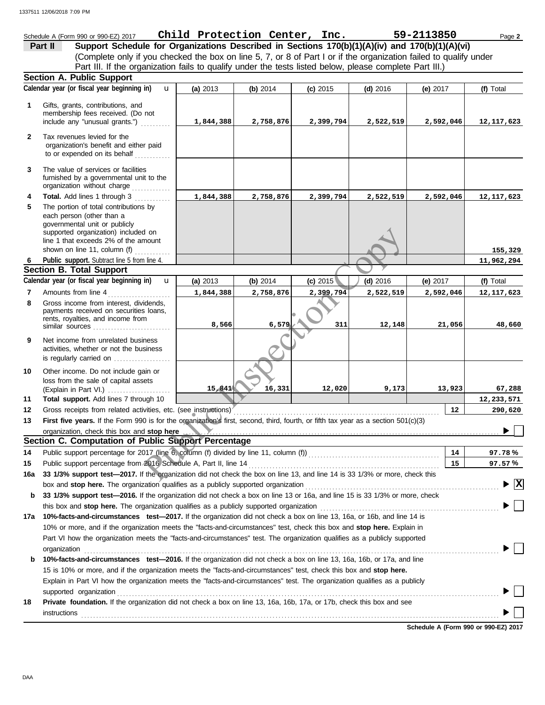## Schedule A (Form 990 or 990-EZ) 2017 Page **2 Child Protection Center, Inc. 59-2113850 Part II Support Schedule for Organizations Described in Sections 170(b)(1)(A)(iv) and 170(b)(1)(A)(vi)** (Complete only if you checked the box on line 5, 7, or 8 of Part I or if the organization failed to qualify under Part III. If the organization fails to qualify under the tests listed below, please complete Part III.) **Section A. Public Support Calendar year (or fiscal year beginning in) (f)** Total u **(a)** 2013 **(b)** 2014 **(c)** 2015 **(d)** 2016 **(e)** 2017 Gifts, grants, contributions, and **1** membership fees received. (Do not include any "unusual grants.") .......... **1,844,388 2,758,876 2,399,794 2,522,519 2,592,046 12,117,623 2** Tax revenues levied for the organization's benefit and either paid to or expended on its behalf ............ **3** The value of services or facilities furnished by a governmental unit to the organization without charge .............. **Total.** Add lines 1 through 3 ............ **4 1,844,388 2,758,876 2,399,794 2,522,519 2,592,046 12,117,623 5** The portion of total contributions by each person (other than a governmental unit or publicly supported organization) included on d on<br>
moment<br>
in line 4.<br>
in) **u** (a) 2013 (b) 2014 (c) 2015 (d) 2016<br>
1,844,388 2,758,876 2,399,794 2,522,519<br>
identics,<br>
is loans,<br>
is lost and the strength of distribution Copyright Copyright 10<br>
is lost to the organiz line 1 that exceeds 2% of the amount **155,329** shown on line 11, column (f)  $\ldots$ **Public support.** Subtract line 5 from line 4. **11,962,294 6 Section B. Total Support** Calendar year (or fiscal year beginning in)  $\bf{u}$  (a) 2013 (b) 2014 (c) 2015 (d) 2016 (e) 2017 (f) Total u **(b)** 2014 **(c)** 2015 **(d)** 2016 **(e)** 2017 **(a)** 2013 **7** Amounts from line 4 . . . . . . . . . . . . . . . . . . . . . **1,844,388 2,758,876 2,399,794 2,522,519 2,592,046 12,117,623** Gross income from interest, dividends, **8** payments received on securities loans, rents, royalties, and income from similar sources . . . . . . . . . . . . . . . . . . . . . . . . . . **8,566 6,579 311 12,148 21,056 48,660 9** Net income from unrelated business activities, whether or not the business is regularly carried on ................... **10** Other income. Do not include gain or loss from the sale of capital assets (Explain in Part VI.) ..................... **15,841 16,331 12,020 9,173 13,923 67,288 11 Total support.** Add lines 7 through 10 **12,233,571 12 12 290,620** Gross receipts from related activities, etc. (see instructions) . . . . . . . . . . . . . . . . . . . . . . . . . . . . . . . . . . . . . . . . . . . . . . . . . . . . . . . . . . . . . . . . . . . . . First five years. If the Form 990 is for the organization's first, second, third, fourth, or fifth tax year as a section 501(c)(3) **13** organization, check this box and stop here  $\blacktriangleright$ **Section C. Computation of Public Support Percentage 14 14** Public support percentage for 2017 (line 6, column (f) divided by line 11, column (f)) . . . . . . . . . . . . . . . . . . . . . . . . . . . . . . . . . . . . . . . . . . . . **% 97.78** Public support percentage from 2016 Schedule A, Part II, line 14 . . . . . . . . . . . . . . . . . . . . . . . . . . . . . . . . . . . . . . . . . . . . . . . . . . . . . . . . . . . . . . . . **15 15 % 97.57 16a 33 1/3% support test—2017.** If the organization did not check the box on line 13, and line 14 is 33 1/3% or more, check this box and **stop here.** The organization qualifies as a publicly supported organization . . . . . . . . . . . . . . . . . . . . . . . . . . . . . . . . . . . . . . . . . . . . . . . . . . . . . . . . . . . . . . . . . **X b 33 1/3% support test—2016.** If the organization did not check a box on line 13 or 16a, and line 15 is 33 1/3% or more, check this box and **stop here.** The organization qualifies as a publicly supported organization . . . . . . . . . . . . . . . . . . . . . . . . . . . . . . . . . . . . . . . . . . . . . . . . . . . . . . . . . . . . **17a 10%-facts-and-circumstances test—2017.** If the organization did not check a box on line 13, 16a, or 16b, and line 14 is 10% or more, and if the organization meets the "facts-and-circumstances" test, check this box and **stop here.** Explain in Part VI how the organization meets the "facts-and-circumstances" test. The organization qualifies as a publicly supported organization www.commutation.com/www.commutation.com/www.commutation.com/www.commutation.com/www.commutation.com **b 10%-facts-and-circumstances test—2016.** If the organization did not check a box on line 13, 16a, 16b, or 17a, and line 15 is 10% or more, and if the organization meets the "facts-and-circumstances" test, check this box and **stop here.** Explain in Part VI how the organization meets the "facts-and-circumstances" test. The organization qualifies as a publicly

**18 Private foundation.** If the organization did not check a box on line 13, 16a, 16b, 17a, or 17b, check this box and see supported organization . . . . . . . . . . . . . . . . . . . . . . . . . . . . . . . . . . . . . . . . . . . . . . . . . . . . . . . . . . . . . . . . . . . . . . . . . . . . . . . . . . . . . . . . . . . . . . . . . . . . . . . . . . . . . . . . . . . . . . . . . . . . . . . . instructions . . . . . . . . . . . . . . . . . . . . . . . . . . . . . . . . . . . . . . . . . . . . . . . . . . . . . . . . . . . . . . . . . . . . . . . . . . . . . . . . . . . . . . . . . . . . . . . . . . . . . . . . . . . . . . . . . . . . . . . . . . . . . . . . . . . . . . . . . . . .

**Schedule A (Form 990 or 990-EZ) 2017**

DAA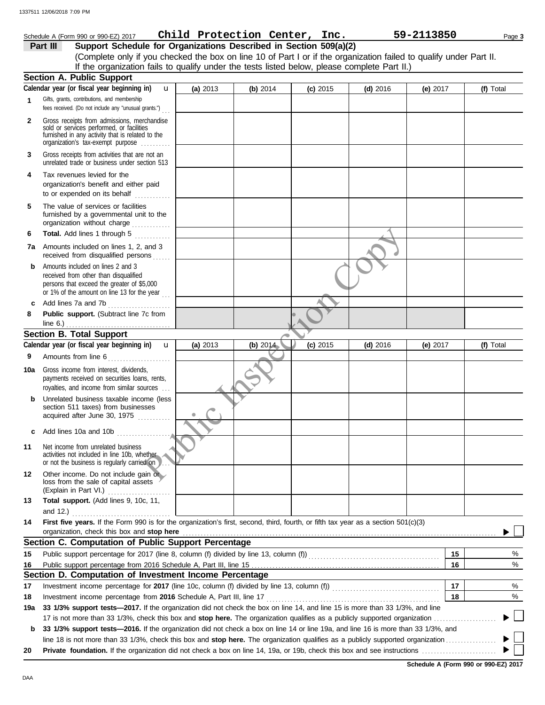|              | Schedule A (Form 990 or 990-EZ) 2017                                                                                                                                                                  |          | Child Protection Center, Inc. |            |            | 59-2113850 | Page 3    |
|--------------|-------------------------------------------------------------------------------------------------------------------------------------------------------------------------------------------------------|----------|-------------------------------|------------|------------|------------|-----------|
|              | Support Schedule for Organizations Described in Section 509(a)(2)<br>Part III                                                                                                                         |          |                               |            |            |            |           |
|              | (Complete only if you checked the box on line 10 of Part I or if the organization failed to qualify under Part II.                                                                                    |          |                               |            |            |            |           |
|              | If the organization fails to qualify under the tests listed below, please complete Part II.)                                                                                                          |          |                               |            |            |            |           |
|              | <b>Section A. Public Support</b>                                                                                                                                                                      |          |                               |            |            |            |           |
|              | Calendar year (or fiscal year beginning in)<br>$\mathbf{u}$                                                                                                                                           | (a) 2013 | (b) $2014$                    | $(c)$ 2015 | $(d)$ 2016 | (e) $2017$ | (f) Total |
| $\mathbf{1}$ | Gifts, grants, contributions, and membership<br>fees received. (Do not include any "unusual grants.")                                                                                                 |          |                               |            |            |            |           |
| $\mathbf{2}$ | Gross receipts from admissions, merchandise<br>sold or services performed, or facilities<br>furnished in any activity that is related to the<br>organization's tax-exempt purpose                     |          |                               |            |            |            |           |
| 3            | Gross receipts from activities that are not an<br>unrelated trade or business under section 513                                                                                                       |          |                               |            |            |            |           |
| 4            | Tax revenues levied for the<br>organization's benefit and either paid<br>to or expended on its behalf                                                                                                 |          |                               |            |            |            |           |
| 5            | The value of services or facilities<br>furnished by a governmental unit to the<br>organization without charge                                                                                         |          |                               |            |            |            |           |
| 6            | Total. Add lines 1 through 5                                                                                                                                                                          |          |                               |            |            |            |           |
|              | 7a Amounts included on lines 1, 2, and 3<br>received from disqualified persons                                                                                                                        |          |                               |            |            |            |           |
| b            | Amounts included on lines 2 and 3<br>received from other than disqualified<br>persons that exceed the greater of \$5,000<br>or 1% of the amount on line 13 for the year                               |          |                               |            |            |            |           |
| c            | Add lines 7a and 7b                                                                                                                                                                                   |          |                               |            |            |            |           |
| 8            | Public support. (Subtract line 7c from                                                                                                                                                                |          |                               |            |            |            |           |
|              | <b>Section B. Total Support</b>                                                                                                                                                                       |          |                               |            |            |            |           |
|              | Calendar year (or fiscal year beginning in)<br>$\mathbf{u}$                                                                                                                                           | (a) 2013 | (b) 2014                      | $(c)$ 2015 | $(d)$ 2016 | (e) $2017$ | (f) Total |
| 9            | Amounts from line 6                                                                                                                                                                                   |          |                               |            |            |            |           |
| 10a          | Gross income from interest, dividends,<br>payments received on securities loans, rents,<br>royalties, and income from similar sources                                                                 |          |                               |            |            |            |           |
| b            | Unrelated business taxable income (less<br>section 511 taxes) from businesses<br>acquired after June 30, 1975                                                                                         |          |                               |            |            |            |           |
| с            | Add lines 10a and 10b $\ldots$                                                                                                                                                                        |          |                               |            |            |            |           |
| 11           | Net income from unrelated business<br>activities not included in line 10b, whether<br>or not the business is regularly carried on                                                                     |          |                               |            |            |            |           |
| 12           | Other income. Do not include gain or<br>loss from the sale of capital assets<br>(Explain in Part VI.)                                                                                                 |          |                               |            |            |            |           |
| 13           | Total support. (Add lines 9, 10c, 11,                                                                                                                                                                 |          |                               |            |            |            |           |
| 14           | and 12.) $\ldots$<br>First five years. If the Form 990 is for the organization's first, second, third, fourth, or fifth tax year as a section 501(c)(3)<br>organization, check this box and stop here |          |                               |            |            |            |           |
|              | Section C. Computation of Public Support Percentage                                                                                                                                                   |          |                               |            |            |            |           |
| 15           |                                                                                                                                                                                                       |          |                               |            |            | 15         | %         |
| 16           | Section D. Computation of Investment Income Percentage                                                                                                                                                |          |                               |            |            | 16         | %         |
| 17           |                                                                                                                                                                                                       |          |                               |            |            | 17         | %         |
| 18           |                                                                                                                                                                                                       |          |                               |            |            | 18         | %         |
| 19a          | 33 1/3% support tests-2017. If the organization did not check the box on line 14, and line 15 is more than 33 1/3%, and line                                                                          |          |                               |            |            |            |           |
|              |                                                                                                                                                                                                       |          |                               |            |            |            |           |
| b            | 33 1/3% support tests-2016. If the organization did not check a box on line 14 or line 19a, and line 16 is more than 33 1/3%, and                                                                     |          |                               |            |            |            |           |
|              | line 18 is not more than 33 1/3%, check this box and stop here. The organization qualifies as a publicly supported organization                                                                       |          |                               |            |            |            |           |

**20 Private foundation.** If the organization did not check a box on line 14, 19a, or 19b, check this box and see instructions . . . . . . . . . . . . . . . . . . . . . . . . .

**Schedule A (Form 990 or 990-EZ) 2017**

 $\blacktriangleright \Box$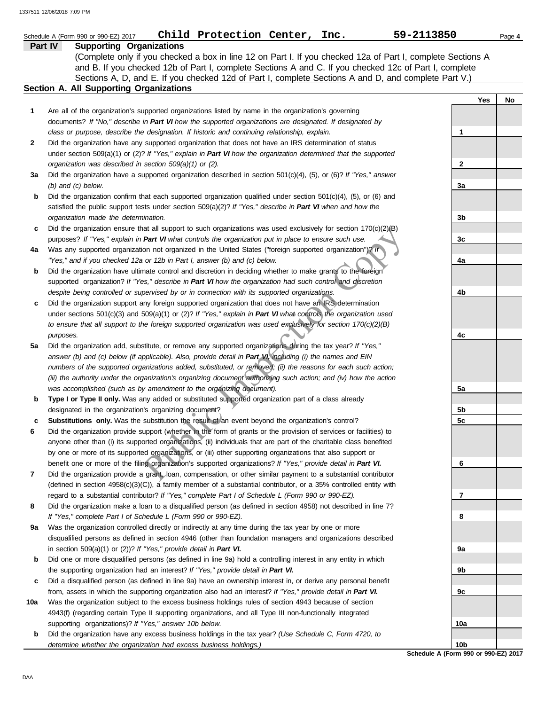|     | Child Protection Center, Inc.<br>Schedule A (Form 990 or 990-EZ) 2017                                                                                                                                                                                                                                                                                                                                                                                          | 59-2113850      |     | Page 4 |
|-----|----------------------------------------------------------------------------------------------------------------------------------------------------------------------------------------------------------------------------------------------------------------------------------------------------------------------------------------------------------------------------------------------------------------------------------------------------------------|-----------------|-----|--------|
|     | Part IV<br><b>Supporting Organizations</b><br>(Complete only if you checked a box in line 12 on Part I. If you checked 12a of Part I, complete Sections A<br>and B. If you checked 12b of Part I, complete Sections A and C. If you checked 12c of Part I, complete<br>Sections A, D, and E. If you checked 12d of Part I, complete Sections A and D, and complete Part V.)                                                                                    |                 |     |        |
|     | Section A. All Supporting Organizations                                                                                                                                                                                                                                                                                                                                                                                                                        |                 |     |        |
|     |                                                                                                                                                                                                                                                                                                                                                                                                                                                                |                 | Yes | No     |
| 1   | Are all of the organization's supported organizations listed by name in the organization's governing<br>documents? If "No," describe in Part VI how the supported organizations are designated. If designated by<br>class or purpose, describe the designation. If historic and continuing relationship, explain.                                                                                                                                              | 1               |     |        |
| 2   | Did the organization have any supported organization that does not have an IRS determination of status<br>under section 509(a)(1) or (2)? If "Yes," explain in Part VI how the organization determined that the supported                                                                                                                                                                                                                                      |                 |     |        |
| За  | organization was described in section 509(a)(1) or (2).<br>Did the organization have a supported organization described in section $501(c)(4)$ , (5), or (6)? If "Yes," answer                                                                                                                                                                                                                                                                                 | 2               |     |        |
| b   | $(b)$ and $(c)$ below.<br>Did the organization confirm that each supported organization qualified under section $501(c)(4)$ , $(5)$ , or $(6)$ and<br>satisfied the public support tests under section 509(a)(2)? If "Yes," describe in Part VI when and how the<br>organization made the determination.                                                                                                                                                       | 3a<br>3b        |     |        |
| c   | Did the organization ensure that all support to such organizations was used exclusively for section $170(c)(2)(B)$<br>purposes? If "Yes," explain in Part VI what controls the organization put in place to ensure such use.                                                                                                                                                                                                                                   | 3c              |     |        |
| 4a  | Was any supported organization not organized in the United States ("foreign supported organization")? If<br>"Yes," and if you checked 12a or 12b in Part I, answer (b) and (c) below.                                                                                                                                                                                                                                                                          | 4a              |     |        |
| b   | Did the organization have ultimate control and discretion in deciding whether to make grants to the foreign<br>supported organization? If "Yes," describe in Part VI how the organization had such control and discretion                                                                                                                                                                                                                                      |                 |     |        |
|     | despite being controlled or supervised by or in connection with its supported organizations.                                                                                                                                                                                                                                                                                                                                                                   | 4b              |     |        |
| c   | Did the organization support any foreign supported organization that does not have an IRS determination<br>under sections 501(c)(3) and 509(a)(1) or (2)? If "Yes," explain in Part VI what controls the organization used<br>to ensure that all support to the foreign supported organization was used exclusively for section $170(c)(2)(B)$                                                                                                                 |                 |     |        |
|     | purposes.                                                                                                                                                                                                                                                                                                                                                                                                                                                      | 4c              |     |        |
| 5а  | Did the organization add, substitute, or remove any supported organizations during the tax year? If "Yes,"<br>answer (b) and (c) below (if applicable). Also, provide detail in Part VI, including (i) the names and EIN<br>numbers of the supported organizations added, substituted, or removed; (ii) the reasons for each such action;<br>(iii) the authority under the organization's organizing document authorizing such action; and (iv) how the action |                 |     |        |
|     | was accomplished (such as by amendment to the organizing document).                                                                                                                                                                                                                                                                                                                                                                                            | 5a              |     |        |
| b   | Type I or Type II only. Was any added or substituted supported organization part of a class already<br>designated in the organization's organizing document?                                                                                                                                                                                                                                                                                                   | 5b              |     |        |
| c   | Substitutions only. Was the substitution the result of an event beyond the organization's control?                                                                                                                                                                                                                                                                                                                                                             | 5c              |     |        |
| 6   | Did the organization provide support (whether in the form of grants or the provision of services or facilities) to<br>anyone other than (i) its supported organizations, (ii) individuals that are part of the charitable class benefited<br>by one or more of its supported organizations, or (iii) other supporting organizations that also support or                                                                                                       |                 |     |        |
|     | benefit one or more of the filing organization's supported organizations? If "Yes," provide detail in Part VI.                                                                                                                                                                                                                                                                                                                                                 | 6               |     |        |
| 7   | Did the organization provide a grant, loan, compensation, or other similar payment to a substantial contributor<br>(defined in section $4958(c)(3)(C)$ ), a family member of a substantial contributor, or a 35% controlled entity with                                                                                                                                                                                                                        |                 |     |        |
|     | regard to a substantial contributor? If "Yes," complete Part I of Schedule L (Form 990 or 990-EZ).                                                                                                                                                                                                                                                                                                                                                             | 7               |     |        |
| 8   | Did the organization make a loan to a disqualified person (as defined in section 4958) not described in line 7?<br>If "Yes," complete Part I of Schedule L (Form 990 or 990-EZ).                                                                                                                                                                                                                                                                               | 8               |     |        |
| 9а  | Was the organization controlled directly or indirectly at any time during the tax year by one or more<br>disqualified persons as defined in section 4946 (other than foundation managers and organizations described                                                                                                                                                                                                                                           |                 |     |        |
|     | in section 509(a)(1) or (2))? If "Yes," provide detail in Part VI.                                                                                                                                                                                                                                                                                                                                                                                             | 9а              |     |        |
| b   | Did one or more disqualified persons (as defined in line 9a) hold a controlling interest in any entity in which<br>the supporting organization had an interest? If "Yes," provide detail in Part VI.                                                                                                                                                                                                                                                           | 9b              |     |        |
| c   | Did a disqualified person (as defined in line 9a) have an ownership interest in, or derive any personal benefit<br>from, assets in which the supporting organization also had an interest? If "Yes," provide detail in Part VI.                                                                                                                                                                                                                                | 9c              |     |        |
| 10a | Was the organization subject to the excess business holdings rules of section 4943 because of section<br>4943(f) (regarding certain Type II supporting organizations, and all Type III non-functionally integrated                                                                                                                                                                                                                                             |                 |     |        |
|     | supporting organizations)? If "Yes," answer 10b below.                                                                                                                                                                                                                                                                                                                                                                                                         | 10a             |     |        |
| b   | Did the organization have any excess business holdings in the tax year? (Use Schedule C, Form 4720, to<br>determine whether the organization had excess business holdings.)                                                                                                                                                                                                                                                                                    | 10 <sub>b</sub> |     |        |

**Schedule A (Form 990 or 990-EZ) 2017**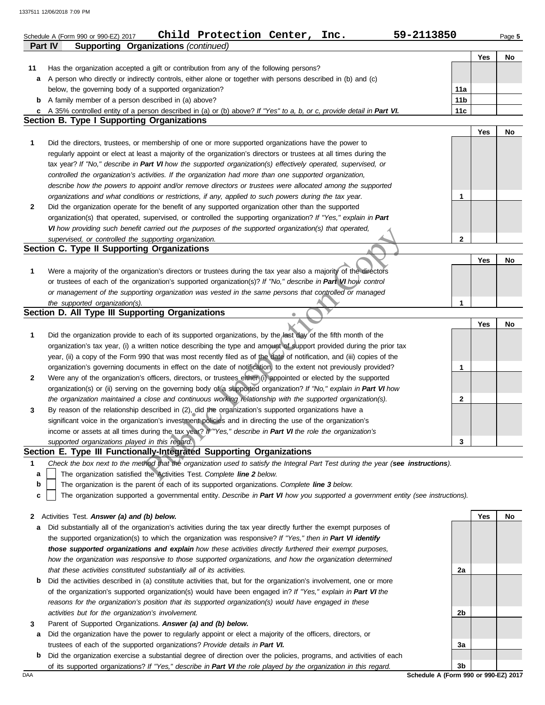|                | Child Protection Center, Inc.<br>59-2113850<br>Schedule A (Form 990 or 990-EZ) 2017                                               |                 |     | Page 5 |
|----------------|-----------------------------------------------------------------------------------------------------------------------------------|-----------------|-----|--------|
| <b>Part IV</b> | <b>Supporting Organizations (continued)</b>                                                                                       |                 |     |        |
|                |                                                                                                                                   |                 | Yes | No     |
| 11             | Has the organization accepted a gift or contribution from any of the following persons?                                           |                 |     |        |
| a              | A person who directly or indirectly controls, either alone or together with persons described in (b) and (c)                      |                 |     |        |
|                | below, the governing body of a supported organization?                                                                            | 11a             |     |        |
|                | <b>b</b> A family member of a person described in (a) above?                                                                      | 11 <sub>b</sub> |     |        |
| c              | A 35% controlled entity of a person described in (a) or (b) above? If "Yes" to a, b, or c, provide detail in Part VI.             | 11c             |     |        |
|                | Section B. Type I Supporting Organizations                                                                                        |                 |     |        |
|                |                                                                                                                                   |                 | Yes | No     |
| 1              | Did the directors, trustees, or membership of one or more supported organizations have the power to                               |                 |     |        |
|                | regularly appoint or elect at least a majority of the organization's directors or trustees at all times during the                |                 |     |        |
|                | tax year? If "No," describe in Part VI how the supported organization(s) effectively operated, supervised, or                     |                 |     |        |
|                | controlled the organization's activities. If the organization had more than one supported organization,                           |                 |     |        |
|                | describe how the powers to appoint and/or remove directors or trustees were allocated among the supported                         |                 |     |        |
|                | organizations and what conditions or restrictions, if any, applied to such powers during the tax year.                            | $\mathbf 1$     |     |        |
| 2              | Did the organization operate for the benefit of any supported organization other than the supported                               |                 |     |        |
|                | organization(s) that operated, supervised, or controlled the supporting organization? If "Yes," explain in Part                   |                 |     |        |
|                | VI how providing such benefit carried out the purposes of the supported organization(s) that operated,                            |                 |     |        |
|                | supervised, or controlled the supporting organization.                                                                            | $\mathbf{2}$    |     |        |
|                | Section C. Type II Supporting Organizations                                                                                       |                 |     |        |
|                |                                                                                                                                   |                 | Yes | No     |
| 1              | Were a majority of the organization's directors or trustees during the tax year also a majority of the directors                  |                 |     |        |
|                | or trustees of each of the organization's supported organization(s)? If "No," describe in Part VI how control                     |                 |     |        |
|                | or management of the supporting organization was vested in the same persons that controlled or managed                            |                 |     |        |
|                | the supported organization(s).                                                                                                    | $\mathbf{1}$    |     |        |
|                | Section D. All Type III Supporting Organizations                                                                                  |                 |     |        |
|                |                                                                                                                                   |                 | Yes | No     |
| 1              | Did the organization provide to each of its supported organizations, by the last day of the fifth month of the                    |                 |     |        |
|                | organization's tax year, (i) a written notice describing the type and amount of support provided during the prior tax             |                 |     |        |
|                | year, (ii) a copy of the Form 990 that was most recently filed as of the date of notification, and (iii) copies of the            |                 |     |        |
|                | organization's governing documents in effect on the date of notification, to the extent not previously provided?                  | $\mathbf 1$     |     |        |
| 2              | Were any of the organization's officers, directors, or trustees either (i) appointed or elected by the supported                  |                 |     |        |
|                | organization(s) or (ii) serving on the governing body of a supported organization? If "No," explain in Part VI how                |                 |     |        |
|                | the organization maintained a close and continuous working relationship with the supported organization(s).                       | $\mathbf{2}$    |     |        |
| 3              | By reason of the relationship described in (2), did the organization's supported organizations have a                             |                 |     |        |
|                | significant voice in the organization's investment policies and in directing the use of the organization's                        |                 |     |        |
|                | income or assets at all times during the tax year? If "Yes," describe in Part VI the role the organization's                      |                 |     |        |
|                | supported organizations played in this regard.                                                                                    | 3               |     |        |
|                | Section E. Type III Functionally-Integrated Supporting Organizations                                                              |                 |     |        |
| 1              | Check the box next to the method that the organization used to satisfy the Integral Part Test during the year (see instructions). |                 |     |        |
| a              | The organization satisfied the Activities Test. Complete line 2 below.                                                            |                 |     |        |
| b              | The organization is the parent of each of its supported organizations. Complete line 3 below.                                     |                 |     |        |
| c              | The organization supported a governmental entity. Describe in Part VI how you supported a government entity (see instructions).   |                 |     |        |
|                |                                                                                                                                   |                 |     |        |
|                | 2 Activities Test. Answer (a) and (b) below.                                                                                      |                 | Yes | No     |
| а              | Did substantially all of the organization's activities during the tax year directly further the exempt purposes of                |                 |     |        |
|                | the supported organization(s) to which the organization was responsive? If "Yes," then in Part VI identify                        |                 |     |        |
|                | those supported organizations and explain how these activities directly furthered their exempt purposes,                          |                 |     |        |
|                | how the organization was responsive to those supported organizations, and how the organization determined                         |                 |     |        |
|                | that these activities constituted substantially all of its activities.                                                            | 2a              |     |        |

- **b** Did the activities described in (a) constitute activities that, but for the organization's involvement, one or more of the organization's supported organization(s) would have been engaged in? *If "Yes," explain in Part VI the reasons for the organization's position that its supported organization(s) would have engaged in these activities but for the organization's involvement.*
- **3** Parent of Supported Organizations. *Answer (a) and (b) below.*
	- **a** Did the organization have the power to regularly appoint or elect a majority of the officers, directors, or trustees of each of the supported organizations? *Provide details in Part VI.*
	- **b** Did the organization exercise a substantial degree of direction over the policies, programs, and activities of each of its supported organizations? *If "Yes," describe in Part VI the role played by the organization in this regard.*

**2b 3a 3b**

DAA **Schedule A (Form 990 or 990-EZ) 2017**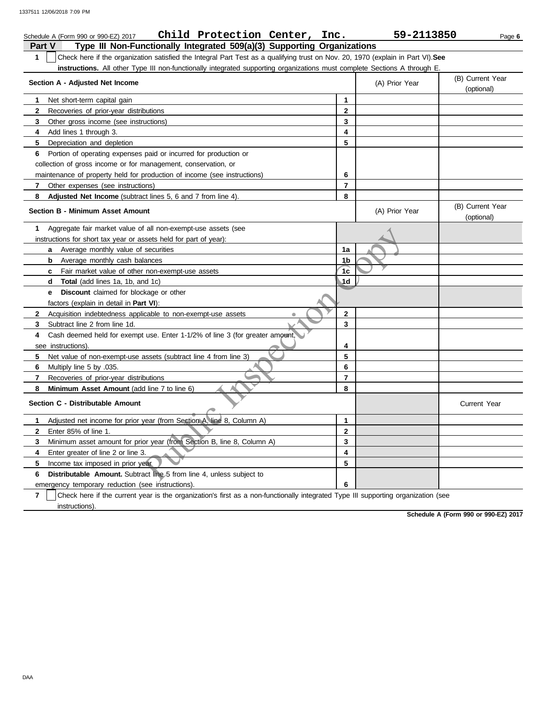|              | Child Protection Center,<br>Inc.<br>Schedule A (Form 990 or 990-EZ) 2017                                                         |                | 59-2113850     | Page 6                         |
|--------------|----------------------------------------------------------------------------------------------------------------------------------|----------------|----------------|--------------------------------|
| Part V       | Type III Non-Functionally Integrated 509(a)(3) Supporting Organizations                                                          |                |                |                                |
| $\mathbf{1}$ | Check here if the organization satisfied the Integral Part Test as a qualifying trust on Nov. 20, 1970 (explain in Part VI). See |                |                |                                |
|              | instructions. All other Type III non-functionally integrated supporting organizations must complete Sections A through E.        |                |                |                                |
|              | Section A - Adjusted Net Income                                                                                                  |                | (A) Prior Year | (B) Current Year<br>(optional) |
| 1            | Net short-term capital gain                                                                                                      | $\mathbf{1}$   |                |                                |
| $\mathbf{2}$ | Recoveries of prior-year distributions                                                                                           | $\overline{2}$ |                |                                |
| 3            | Other gross income (see instructions)                                                                                            | 3              |                |                                |
| 4            | Add lines 1 through 3.                                                                                                           | 4              |                |                                |
| 5            | Depreciation and depletion                                                                                                       | 5              |                |                                |
| 6            | Portion of operating expenses paid or incurred for production or                                                                 |                |                |                                |
|              | collection of gross income or for management, conservation, or                                                                   |                |                |                                |
|              | maintenance of property held for production of income (see instructions)                                                         | 6              |                |                                |
| 7            | Other expenses (see instructions)                                                                                                | $\overline{7}$ |                |                                |
| 8            | Adjusted Net Income (subtract lines 5, 6 and 7 from line 4).                                                                     | 8              |                |                                |
|              | <b>Section B - Minimum Asset Amount</b>                                                                                          |                | (A) Prior Year | (B) Current Year<br>(optional) |
| 1            | Aggregate fair market value of all non-exempt-use assets (see                                                                    |                |                |                                |
|              | instructions for short tax year or assets held for part of year):                                                                |                |                |                                |
|              | Average monthly value of securities<br>a                                                                                         | 1a             |                |                                |
|              | Average monthly cash balances<br>b                                                                                               | 1b             |                |                                |
|              | <b>c</b> Fair market value of other non-exempt-use assets                                                                        | 1 <sub>c</sub> |                |                                |
|              | <b>Total</b> (add lines 1a, 1b, and 1c)<br>d                                                                                     | 1d             |                |                                |
|              | <b>Discount</b> claimed for blockage or other<br>е                                                                               |                |                |                                |
|              | factors (explain in detail in <b>Part VI)</b> :                                                                                  |                |                |                                |
| $\mathbf{2}$ | Acquisition indebtedness applicable to non-exempt-use assets<br>ò                                                                | $\mathbf{2}$   |                |                                |
| 3            | Subtract line 2 from line 1d.                                                                                                    | 3              |                |                                |
| 4            | Cash deemed held for exempt use. Enter 1-1/2% of line 3 (for greater amount,                                                     |                |                |                                |
|              | see instructions).                                                                                                               | 4              |                |                                |
| 5            | Net value of non-exempt-use assets (subtract line 4 from line 3)                                                                 | 5              |                |                                |
| 6            | Multiply line 5 by .035.                                                                                                         | 6              |                |                                |
| 7            | Recoveries of prior-year distributions                                                                                           | $\overline{7}$ |                |                                |
| 8            | Minimum Asset Amount (add line 7 to line 6)                                                                                      | 8              |                |                                |
|              | Section C - Distributable Amount                                                                                                 |                |                | <b>Current Year</b>            |
| 1            | Adjusted net income for prior year (from Section A, line 8, Column A)                                                            | 1              |                |                                |
| $\mathbf{2}$ | Enter 85% of line 1.                                                                                                             | $\mathbf{2}$   |                |                                |
| 3            | Minimum asset amount for prior year (from Section B, line 8, Column A)                                                           | 3              |                |                                |
| 4            | Enter greater of line 2 or line 3.                                                                                               | 4              |                |                                |
| 5            | Income tax imposed in prior year.                                                                                                | 5              |                |                                |
| 6            | Distributable Amount. Subtract line 5 from line 4, unless subject to                                                             |                |                |                                |
|              | emergency temporary reduction (see instructions).                                                                                | 6              |                |                                |
|              |                                                                                                                                  |                |                |                                |

**7** | Check here if the current year is the organization's first as a non-functionally integrated Type III supporting organization (see instructions).

**Schedule A (Form 990 or 990-EZ) 2017**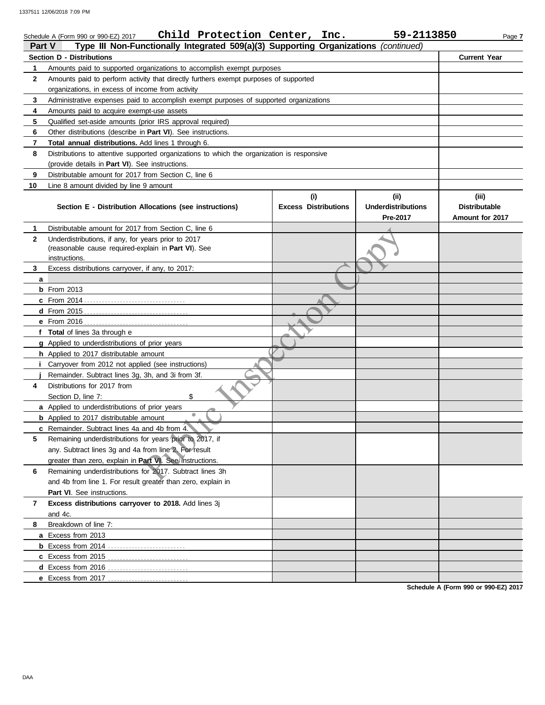| <b>Part V</b>     | Child Protection Center,<br>Schedule A (Form 990 or 990-EZ) 2017                                                                                              | Inc.                        | 59-2113850                | Page 7                        |
|-------------------|---------------------------------------------------------------------------------------------------------------------------------------------------------------|-----------------------------|---------------------------|-------------------------------|
|                   | Type III Non-Functionally Integrated 509(a)(3) Supporting Organizations (continued)                                                                           |                             |                           |                               |
|                   | Section D - Distributions                                                                                                                                     |                             |                           | <b>Current Year</b>           |
| 1<br>$\mathbf{2}$ | Amounts paid to supported organizations to accomplish exempt purposes<br>Amounts paid to perform activity that directly furthers exempt purposes of supported |                             |                           |                               |
|                   | organizations, in excess of income from activity                                                                                                              |                             |                           |                               |
|                   |                                                                                                                                                               |                             |                           |                               |
| 3                 | Administrative expenses paid to accomplish exempt purposes of supported organizations                                                                         |                             |                           |                               |
| 4                 | Amounts paid to acquire exempt-use assets                                                                                                                     |                             |                           |                               |
| 5                 | Qualified set-aside amounts (prior IRS approval required)                                                                                                     |                             |                           |                               |
| 6                 | Other distributions (describe in Part VI). See instructions.                                                                                                  |                             |                           |                               |
| 7                 | Total annual distributions. Add lines 1 through 6.                                                                                                            |                             |                           |                               |
| 8                 | Distributions to attentive supported organizations to which the organization is responsive                                                                    |                             |                           |                               |
|                   | (provide details in Part VI). See instructions.                                                                                                               |                             |                           |                               |
| 9                 | Distributable amount for 2017 from Section C, line 6                                                                                                          |                             |                           |                               |
| 10                | Line 8 amount divided by line 9 amount                                                                                                                        |                             |                           |                               |
|                   |                                                                                                                                                               | (i)                         | (ii)                      | (iii)<br><b>Distributable</b> |
|                   | Section E - Distribution Allocations (see instructions)                                                                                                       | <b>Excess Distributions</b> | <b>Underdistributions</b> |                               |
|                   |                                                                                                                                                               |                             | Pre-2017                  | Amount for 2017               |
| 1                 | Distributable amount for 2017 from Section C, line 6                                                                                                          |                             |                           |                               |
| $\mathbf{2}$      | Underdistributions, if any, for years prior to 2017<br>(reasonable cause required-explain in Part VI). See                                                    |                             |                           |                               |
|                   | instructions.                                                                                                                                                 |                             |                           |                               |
| 3                 | Excess distributions carryover, if any, to 2017:                                                                                                              |                             |                           |                               |
| a                 |                                                                                                                                                               |                             |                           |                               |
|                   | $b$ From 2013                                                                                                                                                 |                             |                           |                               |
|                   |                                                                                                                                                               |                             |                           |                               |
|                   |                                                                                                                                                               |                             |                           |                               |
|                   |                                                                                                                                                               |                             |                           |                               |
|                   | f Total of lines 3a through e                                                                                                                                 |                             |                           |                               |
|                   | g Applied to underdistributions of prior years                                                                                                                |                             |                           |                               |
|                   | h Applied to 2017 distributable amount                                                                                                                        |                             |                           |                               |
|                   | Carryover from 2012 not applied (see instructions)                                                                                                            |                             |                           |                               |
|                   | Remainder. Subtract lines 3g, 3h, and 3i from 3f.                                                                                                             |                             |                           |                               |
| 4                 | Distributions for 2017 from                                                                                                                                   |                             |                           |                               |
|                   | Section D, line 7:<br>\$                                                                                                                                      |                             |                           |                               |
|                   | a Applied to underdistributions of prior years                                                                                                                |                             |                           |                               |
|                   | <b>b</b> Applied to 2017 distributable amount                                                                                                                 |                             |                           |                               |
|                   | c Remainder. Subtract lines 4a and 4b from 4.                                                                                                                 |                             |                           |                               |
| 5                 | Remaining underdistributions for years prior to 2017, if                                                                                                      |                             |                           |                               |
|                   | any. Subtract lines 3g and 4a from line 2. For result                                                                                                         |                             |                           |                               |
|                   | greater than zero, explain in Part VI. See instructions.                                                                                                      |                             |                           |                               |
| 6                 | Remaining underdistributions for 2017. Subtract lines 3h                                                                                                      |                             |                           |                               |
|                   | and 4b from line 1. For result greater than zero, explain in                                                                                                  |                             |                           |                               |
|                   | Part VI. See instructions.                                                                                                                                    |                             |                           |                               |
| 7                 | Excess distributions carryover to 2018. Add lines 3j                                                                                                          |                             |                           |                               |
|                   | and 4c.                                                                                                                                                       |                             |                           |                               |
| 8                 | Breakdown of line 7:                                                                                                                                          |                             |                           |                               |
|                   | a Excess from 2013                                                                                                                                            |                             |                           |                               |
|                   |                                                                                                                                                               |                             |                           |                               |
|                   | <b>c</b> Excess from 2015                                                                                                                                     |                             |                           |                               |
|                   | d Excess from 2016<br>.                                                                                                                                       |                             |                           |                               |
|                   | e Excess from 2017                                                                                                                                            |                             |                           |                               |
|                   |                                                                                                                                                               |                             |                           |                               |

**Schedule A (Form 990 or 990-EZ) 2017**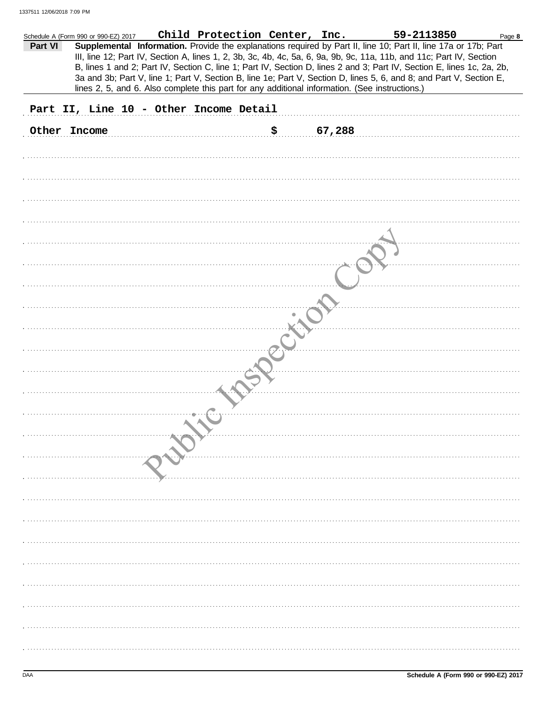|         | Schedule A (Form 990 or 990-EZ) 2017 | Child Protection Center, Inc.                                                                  |              | 59-2113850                                                                                                             | Page 8 |
|---------|--------------------------------------|------------------------------------------------------------------------------------------------|--------------|------------------------------------------------------------------------------------------------------------------------|--------|
| Part VI |                                      |                                                                                                |              | Supplemental Information. Provide the explanations required by Part II, line 10; Part II, line 17a or 17b; Part        |        |
|         |                                      |                                                                                                |              | III, line 12; Part IV, Section A, lines 1, 2, 3b, 3c, 4b, 4c, 5a, 6, 9a, 9b, 9c, 11a, 11b, and 11c; Part IV, Section   |        |
|         |                                      |                                                                                                |              | B, lines 1 and 2; Part IV, Section C, line 1; Part IV, Section D, lines 2 and 3; Part IV, Section E, lines 1c, 2a, 2b, |        |
|         |                                      |                                                                                                |              | 3a and 3b; Part V, line 1; Part V, Section B, line 1e; Part V, Section D, lines 5, 6, and 8; and Part V, Section E,    |        |
|         |                                      | lines 2, 5, and 6. Also complete this part for any additional information. (See instructions.) |              |                                                                                                                        |        |
|         |                                      |                                                                                                |              |                                                                                                                        |        |
|         |                                      |                                                                                                |              |                                                                                                                        |        |
|         |                                      | Part II, Line 10 - Other Income Detail                                                         |              |                                                                                                                        |        |
|         |                                      |                                                                                                |              |                                                                                                                        |        |
|         | Other Income                         |                                                                                                | \$<br>67,288 |                                                                                                                        |        |
|         |                                      |                                                                                                |              |                                                                                                                        |        |
|         |                                      |                                                                                                |              |                                                                                                                        |        |
|         |                                      |                                                                                                |              |                                                                                                                        |        |
|         |                                      |                                                                                                |              |                                                                                                                        |        |
|         |                                      |                                                                                                |              |                                                                                                                        |        |
|         |                                      |                                                                                                |              |                                                                                                                        |        |
|         |                                      |                                                                                                |              |                                                                                                                        |        |
|         |                                      |                                                                                                |              |                                                                                                                        |        |
|         |                                      |                                                                                                |              |                                                                                                                        |        |
|         |                                      |                                                                                                |              |                                                                                                                        |        |
|         |                                      |                                                                                                |              |                                                                                                                        |        |
|         |                                      |                                                                                                |              |                                                                                                                        |        |
|         |                                      |                                                                                                |              |                                                                                                                        |        |
|         |                                      |                                                                                                |              |                                                                                                                        |        |
|         |                                      |                                                                                                |              |                                                                                                                        |        |
|         |                                      |                                                                                                |              |                                                                                                                        |        |
|         |                                      |                                                                                                |              |                                                                                                                        |        |
|         |                                      |                                                                                                |              |                                                                                                                        |        |
|         |                                      |                                                                                                |              |                                                                                                                        |        |
|         |                                      |                                                                                                |              |                                                                                                                        |        |
|         |                                      |                                                                                                |              |                                                                                                                        |        |
|         |                                      |                                                                                                |              |                                                                                                                        |        |
|         |                                      |                                                                                                |              |                                                                                                                        |        |
|         |                                      |                                                                                                |              |                                                                                                                        |        |
|         |                                      |                                                                                                |              |                                                                                                                        |        |
|         |                                      |                                                                                                |              |                                                                                                                        |        |
|         |                                      |                                                                                                |              |                                                                                                                        |        |
|         |                                      |                                                                                                |              |                                                                                                                        |        |
|         |                                      |                                                                                                |              |                                                                                                                        |        |
|         |                                      |                                                                                                |              |                                                                                                                        |        |
|         |                                      |                                                                                                |              |                                                                                                                        |        |
|         |                                      |                                                                                                |              |                                                                                                                        |        |
|         |                                      |                                                                                                |              |                                                                                                                        |        |
|         |                                      |                                                                                                |              |                                                                                                                        |        |
|         |                                      |                                                                                                |              |                                                                                                                        |        |
|         |                                      |                                                                                                |              |                                                                                                                        |        |
|         |                                      |                                                                                                |              |                                                                                                                        |        |
|         |                                      |                                                                                                |              |                                                                                                                        |        |
|         |                                      |                                                                                                |              |                                                                                                                        |        |
|         |                                      |                                                                                                |              |                                                                                                                        |        |
|         |                                      |                                                                                                |              |                                                                                                                        |        |
|         |                                      |                                                                                                |              |                                                                                                                        |        |
|         |                                      |                                                                                                |              |                                                                                                                        |        |
|         |                                      |                                                                                                |              |                                                                                                                        |        |
|         |                                      |                                                                                                |              |                                                                                                                        |        |
|         |                                      |                                                                                                |              |                                                                                                                        |        |
|         |                                      |                                                                                                |              |                                                                                                                        |        |
|         |                                      |                                                                                                |              |                                                                                                                        |        |
|         |                                      |                                                                                                |              |                                                                                                                        |        |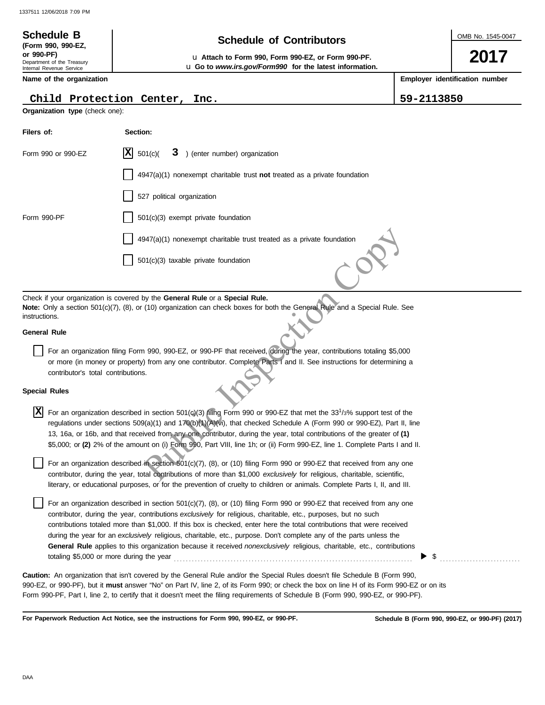Department of the Treasury Internal Revenue Service

**(Form 990, 990-EZ,**

# **Schedule of Contributors Schedule B**

OMB No. 1545-0047

**2017**

**Employer identification number**

**or 990-PF)** u **Attach to Form 990, Form 990-EZ, or Form 990-PF.** u **Go to** *www.irs.gov/Form990* **for the latest information.**

**Name of the organization**

## **Child Protection Center, Inc. 59-2113850**

| Organization type (check one):                             |                                                                                                                                                                                                                                                                                                                                                                                                                                                                                                                                                                                                                                |
|------------------------------------------------------------|--------------------------------------------------------------------------------------------------------------------------------------------------------------------------------------------------------------------------------------------------------------------------------------------------------------------------------------------------------------------------------------------------------------------------------------------------------------------------------------------------------------------------------------------------------------------------------------------------------------------------------|
| Filers of:                                                 | Section:                                                                                                                                                                                                                                                                                                                                                                                                                                                                                                                                                                                                                       |
| Form 990 or 990-EZ                                         | 3 ) (enter number) organization<br>ΙX<br>501(c)                                                                                                                                                                                                                                                                                                                                                                                                                                                                                                                                                                                |
|                                                            | $4947(a)(1)$ nonexempt charitable trust not treated as a private foundation                                                                                                                                                                                                                                                                                                                                                                                                                                                                                                                                                    |
|                                                            | 527 political organization                                                                                                                                                                                                                                                                                                                                                                                                                                                                                                                                                                                                     |
| Form 990-PF                                                | $501(c)(3)$ exempt private foundation                                                                                                                                                                                                                                                                                                                                                                                                                                                                                                                                                                                          |
|                                                            | 4947(a)(1) nonexempt charitable trust treated as a private foundation                                                                                                                                                                                                                                                                                                                                                                                                                                                                                                                                                          |
|                                                            | 501(c)(3) taxable private foundation                                                                                                                                                                                                                                                                                                                                                                                                                                                                                                                                                                                           |
| instructions.                                              | Check if your organization is covered by the General Rule or a Special Rule.<br>Note: Only a section 501(c)(7), (8), or (10) organization can check boxes for both the General Rule and a Special Rule. See                                                                                                                                                                                                                                                                                                                                                                                                                    |
| <b>General Rule</b>                                        |                                                                                                                                                                                                                                                                                                                                                                                                                                                                                                                                                                                                                                |
| contributor's total contributions.<br><b>Special Rules</b> | For an organization filing Form 990, 990-EZ, or 990-PF that received, during the year, contributions totaling \$5,000<br>or more (in money or property) from any one contributor. Complete Parts I and II. See instructions for determining a                                                                                                                                                                                                                                                                                                                                                                                  |
|                                                            |                                                                                                                                                                                                                                                                                                                                                                                                                                                                                                                                                                                                                                |
| ΙX                                                         | For an organization described in section 501(c)(3) filing Form 990 or 990-EZ that met the 33 <sup>1</sup> /3% support test of the<br>regulations under sections 509(a)(1) and 170(b)(1)(A)(vi), that checked Schedule A (Form 990 or 990-EZ), Part II, line<br>13, 16a, or 16b, and that received from any one contributor, during the year, total contributions of the greater of (1)<br>\$5,000; or (2) 2% of the amount on (i) Form 990, Part VIII, line 1h; or (ii) Form 990-EZ, line 1. Complete Parts I and II.                                                                                                          |
|                                                            | For an organization described in section 501(c)(7), (8), or (10) filing Form 990 or 990-EZ that received from any one<br>contributor, during the year, total contributions of more than \$1,000 exclusively for religious, charitable, scientific,<br>literary, or educational purposes, or for the prevention of cruelty to children or animals. Complete Parts I, II, and III.                                                                                                                                                                                                                                               |
| totaling \$5,000 or more during the year                   | For an organization described in section 501(c)(7), (8), or (10) filing Form 990 or 990-EZ that received from any one<br>contributor, during the year, contributions exclusively for religious, charitable, etc., purposes, but no such<br>contributions totaled more than \$1,000. If this box is checked, enter here the total contributions that were received<br>during the year for an exclusively religious, charitable, etc., purpose. Don't complete any of the parts unless the<br>General Rule applies to this organization because it received nonexclusively religious, charitable, etc., contributions<br>\$<br>▶ |
|                                                            | Caution: An organization that isn't covered by the General Rule and/or the Special Rules doesn't file Schedule B (Form 990,<br>990-EZ, or 990-PF), but it must answer "No" on Part IV, line 2, of its Form 990; or check the box on line H of its Form 990-EZ or on its                                                                                                                                                                                                                                                                                                                                                        |

**For Paperwork Reduction Act Notice, see the instructions for Form 990, 990-EZ, or 990-PF.**

Form 990-PF, Part I, line 2, to certify that it doesn't meet the filing requirements of Schedule B (Form 990, 990-EZ, or 990-PF).

## **Special Rules**

**Schedule B (Form 990, 990-EZ, or 990-PF) (2017)**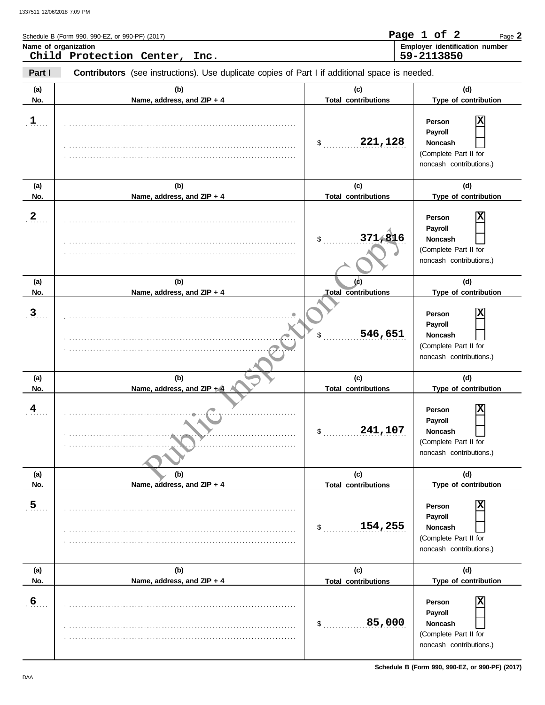|                         | Schedule B (Form 990, 990-EZ, or 990-PF) (2017)                                                |                                   | Page 1 of 2<br>Page 2                                                                 |
|-------------------------|------------------------------------------------------------------------------------------------|-----------------------------------|---------------------------------------------------------------------------------------|
|                         | Name of organization<br>Child Protection Center,<br>Inc.                                       |                                   | Employer identification number<br>59-2113850                                          |
| Part I                  | Contributors (see instructions). Use duplicate copies of Part I if additional space is needed. |                                   |                                                                                       |
| (a)<br>No.              | (b)<br>Name, address, and ZIP + 4                                                              | (c)<br><b>Total contributions</b> | (d)<br>Type of contribution                                                           |
| $\mathbf{1}$            |                                                                                                | 221,128<br>\$                     | Person<br>Payroll<br>Noncash<br>(Complete Part II for<br>noncash contributions.)      |
| (a)<br>No.              | (b)<br>Name, address, and ZIP + 4                                                              | (c)<br><b>Total contributions</b> | (d)<br>Type of contribution                                                           |
| $\overline{2}$          |                                                                                                | 371,816<br>\$                     | Person<br>Payroll<br>Noncash<br>(Complete Part II for<br>noncash contributions.)      |
| (a)<br>No.              | (b)<br>Name, address, and ZIP + 4                                                              | (d)<br><b>Total contributions</b> | (d)<br>Type of contribution                                                           |
| $\overline{3}$          |                                                                                                | 546,651                           | Person<br>Payroll<br>Noncash<br>(Complete Part II for<br>noncash contributions.)      |
| (a)<br>No.              | (b)<br>Name, address, and $ZIP + 4$                                                            | (c)<br><b>Total contributions</b> | (d)<br>Type of contribution                                                           |
| $\overline{\mathbf{4}}$ |                                                                                                | 241,107<br>\$                     | х<br>Person<br>Payroll<br>Noncash<br>(Complete Part II for<br>noncash contributions.) |
| (a)<br>No.              | (b)<br>Name, address, and ZIP + 4                                                              | (c)<br><b>Total contributions</b> | (d)<br>Type of contribution                                                           |
| $\overline{5}$          |                                                                                                | 154,255<br>\$                     | X<br>Person<br>Payroll<br>Noncash<br>(Complete Part II for<br>noncash contributions.) |
| (a)<br>No.              | (b)<br>Name, address, and ZIP + 4                                                              | (c)<br><b>Total contributions</b> | (d)<br>Type of contribution                                                           |
| $6 \overline{6}$        |                                                                                                | 85,000<br>\$                      | X<br>Person<br>Payroll<br>Noncash<br>(Complete Part II for<br>noncash contributions.) |

**Schedule B (Form 990, 990-EZ, or 990-PF) (2017)**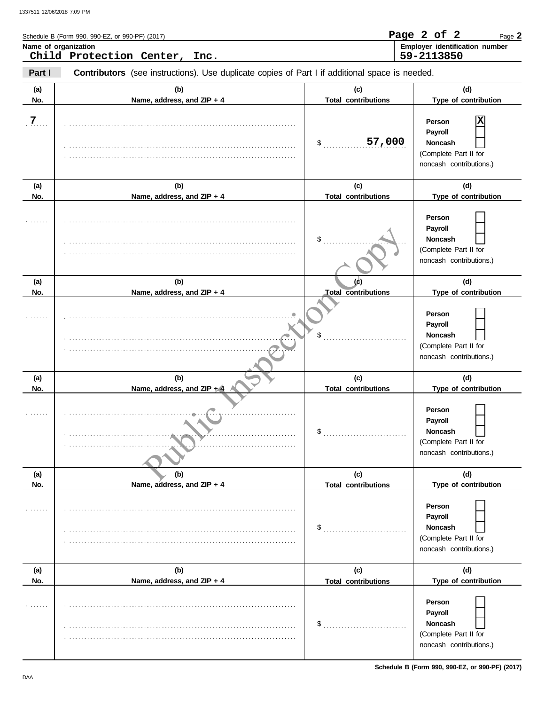|                | Schedule B (Form 990, 990-EZ, or 990-PF) (2017)                                                       |                                   | Page 2 of 2<br>Page 2                                                                   |
|----------------|-------------------------------------------------------------------------------------------------------|-----------------------------------|-----------------------------------------------------------------------------------------|
|                | Name of organization<br>Child Protection Center, Inc.                                                 |                                   | Employer identification number<br>59-2113850                                            |
| Part I         | <b>Contributors</b> (see instructions). Use duplicate copies of Part I if additional space is needed. |                                   |                                                                                         |
| (a)<br>No.     | (b)<br>Name, address, and ZIP + 4                                                                     | (c)<br><b>Total contributions</b> | (d)<br>Type of contribution                                                             |
| $\overline{7}$ |                                                                                                       | 57,000<br>\$                      | Person<br>Payroll<br><b>Noncash</b><br>(Complete Part II for<br>noncash contributions.) |
| (a)            | (b)                                                                                                   | (c)                               | (d)                                                                                     |
| No.            | Name, address, and ZIP + 4                                                                            | <b>Total contributions</b>        | Type of contribution                                                                    |
|                |                                                                                                       | \$                                | Person<br>Payroll<br><b>Noncash</b><br>(Complete Part II for<br>noncash contributions.) |
| (a)            | (b)                                                                                                   |                                   | (d)                                                                                     |
| No.            | Name, address, and ZIP + 4                                                                            | <b>Total contributions</b>        | Type of contribution                                                                    |
|                |                                                                                                       | \$                                | Person<br>Payroll<br><b>Noncash</b><br>(Complete Part II for<br>noncash contributions.) |
| (a)            | (b)                                                                                                   | (c)                               | (d)                                                                                     |
| No.            | Name, address, and ZIP $+4$                                                                           | <b>Total contributions</b>        | Type of contribution                                                                    |
|                |                                                                                                       | \$                                | Person<br>Payroll<br>Noncash<br>(Complete Part II for<br>noncash contributions.)        |
| (a)            | (b)                                                                                                   | (c)                               | (d)                                                                                     |
| No.            | Name, address, and ZIP + 4                                                                            | <b>Total contributions</b>        | Type of contribution                                                                    |
| .              |                                                                                                       |                                   | Person<br>Payroll<br><b>Noncash</b><br>(Complete Part II for<br>noncash contributions.) |
| (a)            | (b)                                                                                                   | (c)                               | (d)                                                                                     |
| No.            | Name, address, and ZIP + 4                                                                            | <b>Total contributions</b>        | Type of contribution                                                                    |
| .              |                                                                                                       | \$                                | Person<br>Payroll<br>Noncash<br>(Complete Part II for<br>noncash contributions.)        |

**Schedule B (Form 990, 990-EZ, or 990-PF) (2017)**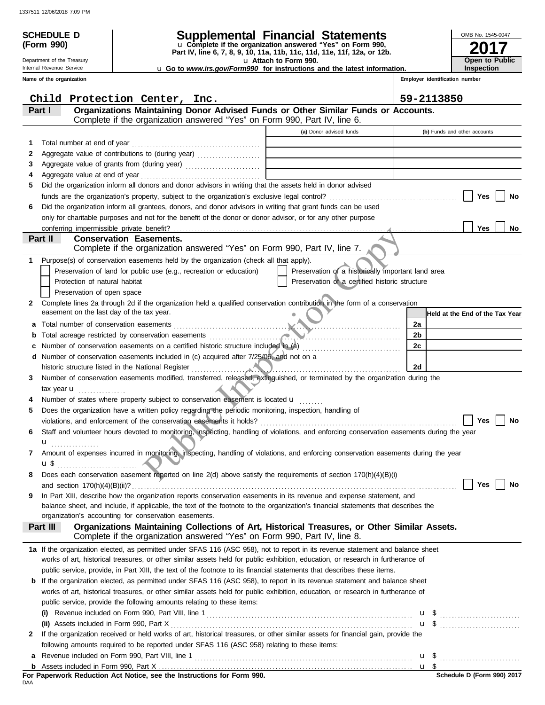|        | <b>SCHEDULE D</b>                                        |                                                                                                                                                                                                                                 | Supplemental Financial Statements                                                                 |                                | OMB No. 1545-0047               |
|--------|----------------------------------------------------------|---------------------------------------------------------------------------------------------------------------------------------------------------------------------------------------------------------------------------------|---------------------------------------------------------------------------------------------------|--------------------------------|---------------------------------|
|        | (Form 990)                                               |                                                                                                                                                                                                                                 | u Complete if the organization answered "Yes" on Form 990,                                        |                                |                                 |
|        | Department of the Treasury                               |                                                                                                                                                                                                                                 | Part IV, line 6, 7, 8, 9, 10, 11a, 11b, 11c, 11d, 11e, 11f, 12a, or 12b.<br>u Attach to Form 990. | Open to Public                 |                                 |
|        | Internal Revenue Service                                 |                                                                                                                                                                                                                                 | <b>u</b> Go to www.irs.gov/Form990 for instructions and the latest information.                   |                                | <b>Inspection</b>               |
|        | Name of the organization                                 |                                                                                                                                                                                                                                 |                                                                                                   | Employer identification number |                                 |
|        |                                                          | Child Protection Center, Inc.                                                                                                                                                                                                   |                                                                                                   | 59-2113850                     |                                 |
|        | Part I                                                   | Organizations Maintaining Donor Advised Funds or Other Similar Funds or Accounts.                                                                                                                                               |                                                                                                   |                                |                                 |
|        |                                                          | Complete if the organization answered "Yes" on Form 990, Part IV, line 6.                                                                                                                                                       |                                                                                                   |                                |                                 |
|        |                                                          |                                                                                                                                                                                                                                 | (a) Donor advised funds                                                                           |                                | (b) Funds and other accounts    |
| 1<br>2 | Total number at end of year                              |                                                                                                                                                                                                                                 |                                                                                                   |                                |                                 |
| 3      |                                                          |                                                                                                                                                                                                                                 |                                                                                                   |                                |                                 |
| 4      |                                                          |                                                                                                                                                                                                                                 |                                                                                                   |                                |                                 |
| 5      |                                                          | Did the organization inform all donors and donor advisors in writing that the assets held in donor advised                                                                                                                      |                                                                                                   |                                |                                 |
|        |                                                          |                                                                                                                                                                                                                                 |                                                                                                   |                                | Yes<br>No                       |
| 6      |                                                          | Did the organization inform all grantees, donors, and donor advisors in writing that grant funds can be used                                                                                                                    |                                                                                                   |                                |                                 |
|        |                                                          | only for charitable purposes and not for the benefit of the donor or donor advisor, or for any other purpose                                                                                                                    |                                                                                                   |                                |                                 |
|        |                                                          |                                                                                                                                                                                                                                 |                                                                                                   |                                | Yes<br>No                       |
|        | Part II                                                  | <b>Conservation Easements.</b><br>Complete if the organization answered "Yes" on Form 990, Part IV, line 7.                                                                                                                     |                                                                                                   |                                |                                 |
| 1.     |                                                          | Purpose(s) of conservation easements held by the organization (check all that apply).                                                                                                                                           |                                                                                                   |                                |                                 |
|        |                                                          | Preservation of land for public use (e.g., recreation or education)                                                                                                                                                             | Preservation of a historically important land area                                                |                                |                                 |
|        | Protection of natural habitat                            |                                                                                                                                                                                                                                 | Preservation of a certified historic structure                                                    |                                |                                 |
|        | Preservation of open space                               |                                                                                                                                                                                                                                 |                                                                                                   |                                |                                 |
| 2      |                                                          | Complete lines 2a through 2d if the organization held a qualified conservation contribution in the form of a conservation                                                                                                       |                                                                                                   |                                |                                 |
|        |                                                          | Exament on the last day of the tax year.<br>Total number of conservation easements                                                                                                                                              |                                                                                                   |                                | Held at the End of the Tax Year |
| a      |                                                          |                                                                                                                                                                                                                                 |                                                                                                   | 2a                             |                                 |
|        |                                                          | Number of conservation easements on a certified historic structure included in (a) [20]                                                                                                                                         |                                                                                                   | 2 <sub>b</sub><br>2c           |                                 |
|        |                                                          | d Number of conservation easements included in (c) acquired after 7/25/06, and not on a                                                                                                                                         |                                                                                                   |                                |                                 |
|        |                                                          | historic structure listed in the National Register                                                                                                                                                                              |                                                                                                   | 2d                             |                                 |
| 3      |                                                          | Number of conservation easements modified, transferred, released, extinguished, or terminated by the organization during the                                                                                                    |                                                                                                   |                                |                                 |
|        | tax year $\mathbf{u}$ ,                                  |                                                                                                                                                                                                                                 |                                                                                                   |                                |                                 |
|        |                                                          | Number of states where property subject to conservation easement is located u                                                                                                                                                   |                                                                                                   |                                |                                 |
|        |                                                          | Does the organization have a written policy regarding the periodic monitoring, inspection, handling of                                                                                                                          |                                                                                                   |                                |                                 |
|        |                                                          |                                                                                                                                                                                                                                 |                                                                                                   |                                |                                 |
| 6      |                                                          | Staff and volunteer hours devoted to monitoring, inspecting, handling of violations, and enforcing conservation easements during the year                                                                                       |                                                                                                   |                                |                                 |
| 7      | $\mathbf{u}_{\text{}}$ , , , , , , , , , , , , , , , , , | Amount of expenses incurred in monitoring, inspecting, handling of violations, and enforcing conservation easements during the year                                                                                             |                                                                                                   |                                |                                 |
|        |                                                          |                                                                                                                                                                                                                                 |                                                                                                   |                                |                                 |
| 8      |                                                          | Does each conservation easement reported on line 2(d) above satisfy the requirements of section 170(h)(4)(B)(i)                                                                                                                 |                                                                                                   |                                |                                 |
|        |                                                          |                                                                                                                                                                                                                                 |                                                                                                   |                                | Yes<br><b>No</b>                |
| 9      |                                                          | In Part XIII, describe how the organization reports conservation easements in its revenue and expense statement, and                                                                                                            |                                                                                                   |                                |                                 |
|        |                                                          | balance sheet, and include, if applicable, the text of the footnote to the organization's financial statements that describes the                                                                                               |                                                                                                   |                                |                                 |
|        |                                                          | organization's accounting for conservation easements.                                                                                                                                                                           |                                                                                                   |                                |                                 |
|        | Part III                                                 | Organizations Maintaining Collections of Art, Historical Treasures, or Other Similar Assets.<br>Complete if the organization answered "Yes" on Form 990, Part IV, line 8.                                                       |                                                                                                   |                                |                                 |
|        |                                                          | 1a If the organization elected, as permitted under SFAS 116 (ASC 958), not to report in its revenue statement and balance sheet                                                                                                 |                                                                                                   |                                |                                 |
|        |                                                          | works of art, historical treasures, or other similar assets held for public exhibition, education, or research in furtherance of                                                                                                |                                                                                                   |                                |                                 |
|        |                                                          | public service, provide, in Part XIII, the text of the footnote to its financial statements that describes these items.                                                                                                         |                                                                                                   |                                |                                 |
| b      |                                                          | If the organization elected, as permitted under SFAS 116 (ASC 958), to report in its revenue statement and balance sheet                                                                                                        |                                                                                                   |                                |                                 |
|        |                                                          | works of art, historical treasures, or other similar assets held for public exhibition, education, or research in furtherance of                                                                                                |                                                                                                   |                                |                                 |
|        |                                                          | public service, provide the following amounts relating to these items:                                                                                                                                                          |                                                                                                   |                                |                                 |
|        |                                                          |                                                                                                                                                                                                                                 |                                                                                                   |                                |                                 |
|        |                                                          |                                                                                                                                                                                                                                 |                                                                                                   |                                |                                 |
| 2      |                                                          | If the organization received or held works of art, historical treasures, or other similar assets for financial gain, provide the<br>following amounts required to be reported under SFAS 116 (ASC 958) relating to these items: |                                                                                                   |                                |                                 |
| a      |                                                          |                                                                                                                                                                                                                                 |                                                                                                   |                                |                                 |
|        |                                                          |                                                                                                                                                                                                                                 |                                                                                                   |                                |                                 |

| For Paperwork Reduction Act Notice, see the Instructions for Form 990. |  |  |  |
|------------------------------------------------------------------------|--|--|--|
| DAA                                                                    |  |  |  |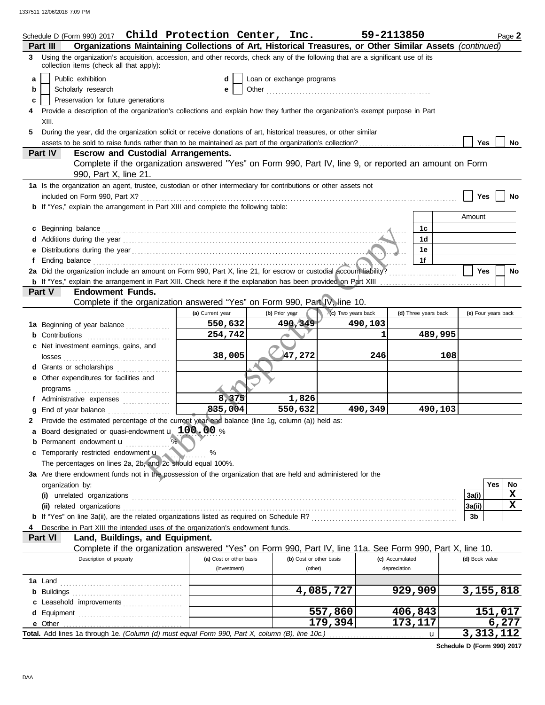|   | Schedule D (Form 990) 2017 $\>$ Child Protection Center, Inc.                                                                                                                                                                  |                         |                           |                         |                    | 59-2113850           | Page 2              |             |
|---|--------------------------------------------------------------------------------------------------------------------------------------------------------------------------------------------------------------------------------|-------------------------|---------------------------|-------------------------|--------------------|----------------------|---------------------|-------------|
|   | Organizations Maintaining Collections of Art, Historical Treasures, or Other Similar Assets (continued)<br>Part III                                                                                                            |                         |                           |                         |                    |                      |                     |             |
|   | 3 Using the organization's acquisition, accession, and other records, check any of the following that are a significant use of its<br>collection items (check all that apply):                                                 |                         |                           |                         |                    |                      |                     |             |
| a | Public exhibition                                                                                                                                                                                                              | d                       | Loan or exchange programs |                         |                    |                      |                     |             |
| b | Scholarly research                                                                                                                                                                                                             | е                       |                           |                         |                    |                      |                     |             |
| c | Preservation for future generations                                                                                                                                                                                            |                         |                           |                         |                    |                      |                     |             |
|   | Provide a description of the organization's collections and explain how they further the organization's exempt purpose in Part                                                                                                 |                         |                           |                         |                    |                      |                     |             |
|   | XIII.                                                                                                                                                                                                                          |                         |                           |                         |                    |                      |                     |             |
| 5 | During the year, did the organization solicit or receive donations of art, historical treasures, or other similar                                                                                                              |                         |                           |                         |                    |                      |                     |             |
|   |                                                                                                                                                                                                                                |                         |                           |                         |                    |                      | <b>Yes</b>          | No          |
|   | <b>Escrow and Custodial Arrangements.</b><br>Part IV                                                                                                                                                                           |                         |                           |                         |                    |                      |                     |             |
|   | Complete if the organization answered "Yes" on Form 990, Part IV, line 9, or reported an amount on Form<br>990, Part X, line 21.                                                                                               |                         |                           |                         |                    |                      |                     |             |
|   | 1a Is the organization an agent, trustee, custodian or other intermediary for contributions or other assets not                                                                                                                |                         |                           |                         |                    |                      |                     |             |
|   |                                                                                                                                                                                                                                |                         |                           |                         |                    |                      | Yes                 | No          |
|   | <b>b</b> If "Yes," explain the arrangement in Part XIII and complete the following table:                                                                                                                                      |                         |                           |                         |                    |                      |                     |             |
|   |                                                                                                                                                                                                                                |                         |                           |                         |                    |                      | Amount              |             |
|   | c Beginning balance contract and contract and contract and contract and contract and contract and contract and contract and contract and contract and contract and contract and contract and contract and contract and contrac |                         |                           |                         |                    | 1c                   |                     |             |
|   |                                                                                                                                                                                                                                |                         |                           |                         |                    | 1 <sub>d</sub>       |                     |             |
|   |                                                                                                                                                                                                                                |                         |                           |                         |                    | 1e                   |                     |             |
|   | Ending balance communications are all the contract of the contract of the contract of the contract of the contract of the contract of the contract of the contract of the contract of the contract of the contract of the cont |                         |                           |                         |                    | 1f                   |                     |             |
|   | 2a Did the organization include an amount on Form 990, Part X, line 21, for escrow or custodial account liability?                                                                                                             |                         |                           |                         |                    |                      | <b>Yes</b>          | No          |
|   |                                                                                                                                                                                                                                |                         |                           |                         |                    |                      |                     |             |
|   | <b>Endowment Funds.</b><br>Part V                                                                                                                                                                                              |                         |                           |                         |                    |                      |                     |             |
|   | Complete if the organization answered "Yes" on Form 990, Part IV, line 10.                                                                                                                                                     |                         |                           |                         |                    |                      |                     |             |
|   |                                                                                                                                                                                                                                | (a) Current year        | (b) Prior year            |                         | (c) Two years back | (d) Three years back | (e) Four years back |             |
|   | 1a Beginning of year balance                                                                                                                                                                                                   | 550,632                 |                           | 490,349                 | 490,103            |                      |                     |             |
|   | <b>b</b> Contributions <b>contributions</b>                                                                                                                                                                                    | 254,742                 |                           |                         |                    | 489,995<br>1         |                     |             |
|   | Net investment earnings, gains, and                                                                                                                                                                                            |                         |                           |                         |                    |                      |                     |             |
|   |                                                                                                                                                                                                                                | 38,005                  |                           | 47,272                  | 246                |                      | 108                 |             |
|   | d Grants or scholarships                                                                                                                                                                                                       |                         |                           |                         |                    |                      |                     |             |
|   | e Other expenditures for facilities and                                                                                                                                                                                        |                         |                           |                         |                    |                      |                     |             |
|   |                                                                                                                                                                                                                                |                         |                           |                         |                    |                      |                     |             |
|   | f Administrative expenses                                                                                                                                                                                                      | 8,375                   |                           | 1,826                   |                    |                      |                     |             |
|   | g End of year balance                                                                                                                                                                                                          | 835,004                 |                           | 550,632                 | 490,349            | 490,103              |                     |             |
|   | 2 Provide the estimated percentage of the current year end balance (line 1g, column (a)) held as:                                                                                                                              |                         |                           |                         |                    |                      |                     |             |
|   | Board designated or quasi-endowment u 100.00 %                                                                                                                                                                                 |                         |                           |                         |                    |                      |                     |             |
|   | <b>b</b> Permanent endowment $\mathbf{u}$                                                                                                                                                                                      |                         |                           |                         |                    |                      |                     |             |
|   | Temporarily restricted endowment u                                                                                                                                                                                             | %<br><b>William</b>     |                           |                         |                    |                      |                     |             |
|   | The percentages on lines 2a, 2b, and 2c should equal 100%.                                                                                                                                                                     |                         |                           |                         |                    |                      |                     |             |
|   | 3a Are there endowment funds not in the possession of the organization that are held and administered for the                                                                                                                  |                         |                           |                         |                    |                      |                     |             |
|   | organization by:                                                                                                                                                                                                               |                         |                           |                         |                    |                      | <b>Yes</b>          | No          |
|   |                                                                                                                                                                                                                                |                         |                           |                         |                    |                      | 3a(i)               | $\mathbf x$ |
|   |                                                                                                                                                                                                                                |                         |                           |                         |                    |                      | 3a(ii)              | $\mathbf x$ |
|   |                                                                                                                                                                                                                                |                         |                           |                         |                    |                      | 3b                  |             |
|   | Describe in Part XIII the intended uses of the organization's endowment funds.                                                                                                                                                 |                         |                           |                         |                    |                      |                     |             |
|   | Land, Buildings, and Equipment.<br>Part VI                                                                                                                                                                                     |                         |                           |                         |                    |                      |                     |             |
|   | Complete if the organization answered "Yes" on Form 990, Part IV, line 11a. See Form 990, Part X, line 10.                                                                                                                     |                         |                           |                         |                    |                      |                     |             |
|   | Description of property                                                                                                                                                                                                        | (a) Cost or other basis |                           | (b) Cost or other basis |                    | (c) Accumulated      | (d) Book value      |             |
|   |                                                                                                                                                                                                                                | (investment)            |                           | (other)                 |                    | depreciation         |                     |             |
|   | <b>1a</b> Land                                                                                                                                                                                                                 |                         |                           |                         |                    |                      |                     |             |
|   |                                                                                                                                                                                                                                |                         |                           |                         | 4,085,727          | 929,909              | 3,155,818           |             |
|   | c Leasehold improvements                                                                                                                                                                                                       |                         |                           |                         |                    |                      |                     |             |
|   |                                                                                                                                                                                                                                |                         |                           |                         | 557,860            | 406,843              | 151,017             |             |
|   |                                                                                                                                                                                                                                |                         |                           |                         | 179,394            | 173,117              | 6,277               |             |
|   | Total. Add lines 1a through 1e. (Column (d) must equal Form 990, Part X, column (B), line 10c.)                                                                                                                                |                         |                           |                         |                    | $\mathbf u$          | 3,313,112           |             |

**Schedule D (Form 990) 2017**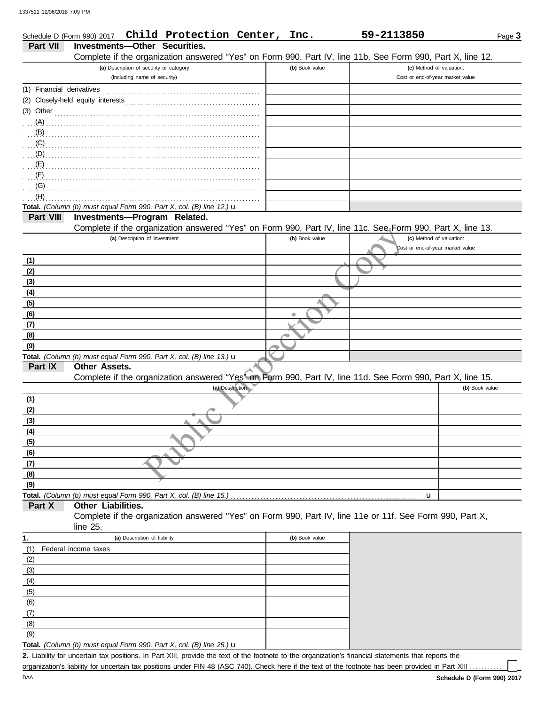| Investments-Other Securities.<br>Part VII<br>Complete if the organization answered "Yes" on Form 990, Part IV, line 11b. See Form 990, Part X, line 12.<br>(a) Description of security or category<br>(b) Book value<br>(c) Method of valuation:<br>(including name of security)<br>Cost or end-of-year market value<br>$(3)$ Other<br>$\mathbf{B}$<br>(F)<br>(G)<br>(H)<br>Total. (Column (b) must equal Form 990, Part X, col. (B) line 12.) u<br>Part VIII<br>Investments-Program Related.<br>Complete if the organization answered "Yes" on Form 990, Part IV, line 11c. See Form 990, Part X, line 13.<br>(a) Description of investment<br>(b) Book value<br>(c) Method of valuation:<br>Cost or end-of-year market value<br>(1)<br>(2)<br>(3)<br>(4)<br>(5)<br>(6)<br>(7)<br>(8)<br>(9)<br>Total. (Column (b) must equal Form 990, Part X, col. (B) line 13.) $\mathbf u$<br>Part IX<br><b>Other Assets.</b><br>Complete if the organization answered "Yes" on Form 990, Part IV, line 11d. See Form 990, Part X, line 15.<br>(a) Description<br>(b) Book value<br>(1)<br>(2)<br>(3)<br>(4)<br>(5)<br>(6) | Schedule D (Form 990) 2017 | Child Protection Center, | Inc. | 59-2113850 | Page 3 |
|-----------------------------------------------------------------------------------------------------------------------------------------------------------------------------------------------------------------------------------------------------------------------------------------------------------------------------------------------------------------------------------------------------------------------------------------------------------------------------------------------------------------------------------------------------------------------------------------------------------------------------------------------------------------------------------------------------------------------------------------------------------------------------------------------------------------------------------------------------------------------------------------------------------------------------------------------------------------------------------------------------------------------------------------------------------------------------------------------------------------|----------------------------|--------------------------|------|------------|--------|
|                                                                                                                                                                                                                                                                                                                                                                                                                                                                                                                                                                                                                                                                                                                                                                                                                                                                                                                                                                                                                                                                                                                 |                            |                          |      |            |        |
|                                                                                                                                                                                                                                                                                                                                                                                                                                                                                                                                                                                                                                                                                                                                                                                                                                                                                                                                                                                                                                                                                                                 |                            |                          |      |            |        |
|                                                                                                                                                                                                                                                                                                                                                                                                                                                                                                                                                                                                                                                                                                                                                                                                                                                                                                                                                                                                                                                                                                                 |                            |                          |      |            |        |
|                                                                                                                                                                                                                                                                                                                                                                                                                                                                                                                                                                                                                                                                                                                                                                                                                                                                                                                                                                                                                                                                                                                 |                            |                          |      |            |        |
|                                                                                                                                                                                                                                                                                                                                                                                                                                                                                                                                                                                                                                                                                                                                                                                                                                                                                                                                                                                                                                                                                                                 |                            |                          |      |            |        |
|                                                                                                                                                                                                                                                                                                                                                                                                                                                                                                                                                                                                                                                                                                                                                                                                                                                                                                                                                                                                                                                                                                                 |                            |                          |      |            |        |
|                                                                                                                                                                                                                                                                                                                                                                                                                                                                                                                                                                                                                                                                                                                                                                                                                                                                                                                                                                                                                                                                                                                 |                            |                          |      |            |        |
|                                                                                                                                                                                                                                                                                                                                                                                                                                                                                                                                                                                                                                                                                                                                                                                                                                                                                                                                                                                                                                                                                                                 |                            |                          |      |            |        |
|                                                                                                                                                                                                                                                                                                                                                                                                                                                                                                                                                                                                                                                                                                                                                                                                                                                                                                                                                                                                                                                                                                                 |                            |                          |      |            |        |
|                                                                                                                                                                                                                                                                                                                                                                                                                                                                                                                                                                                                                                                                                                                                                                                                                                                                                                                                                                                                                                                                                                                 |                            |                          |      |            |        |
|                                                                                                                                                                                                                                                                                                                                                                                                                                                                                                                                                                                                                                                                                                                                                                                                                                                                                                                                                                                                                                                                                                                 |                            |                          |      |            |        |
|                                                                                                                                                                                                                                                                                                                                                                                                                                                                                                                                                                                                                                                                                                                                                                                                                                                                                                                                                                                                                                                                                                                 |                            |                          |      |            |        |
|                                                                                                                                                                                                                                                                                                                                                                                                                                                                                                                                                                                                                                                                                                                                                                                                                                                                                                                                                                                                                                                                                                                 |                            |                          |      |            |        |
|                                                                                                                                                                                                                                                                                                                                                                                                                                                                                                                                                                                                                                                                                                                                                                                                                                                                                                                                                                                                                                                                                                                 |                            |                          |      |            |        |
|                                                                                                                                                                                                                                                                                                                                                                                                                                                                                                                                                                                                                                                                                                                                                                                                                                                                                                                                                                                                                                                                                                                 |                            |                          |      |            |        |
|                                                                                                                                                                                                                                                                                                                                                                                                                                                                                                                                                                                                                                                                                                                                                                                                                                                                                                                                                                                                                                                                                                                 |                            |                          |      |            |        |
|                                                                                                                                                                                                                                                                                                                                                                                                                                                                                                                                                                                                                                                                                                                                                                                                                                                                                                                                                                                                                                                                                                                 |                            |                          |      |            |        |
|                                                                                                                                                                                                                                                                                                                                                                                                                                                                                                                                                                                                                                                                                                                                                                                                                                                                                                                                                                                                                                                                                                                 |                            |                          |      |            |        |
|                                                                                                                                                                                                                                                                                                                                                                                                                                                                                                                                                                                                                                                                                                                                                                                                                                                                                                                                                                                                                                                                                                                 |                            |                          |      |            |        |
|                                                                                                                                                                                                                                                                                                                                                                                                                                                                                                                                                                                                                                                                                                                                                                                                                                                                                                                                                                                                                                                                                                                 |                            |                          |      |            |        |
|                                                                                                                                                                                                                                                                                                                                                                                                                                                                                                                                                                                                                                                                                                                                                                                                                                                                                                                                                                                                                                                                                                                 |                            |                          |      |            |        |
|                                                                                                                                                                                                                                                                                                                                                                                                                                                                                                                                                                                                                                                                                                                                                                                                                                                                                                                                                                                                                                                                                                                 |                            |                          |      |            |        |
|                                                                                                                                                                                                                                                                                                                                                                                                                                                                                                                                                                                                                                                                                                                                                                                                                                                                                                                                                                                                                                                                                                                 |                            |                          |      |            |        |
|                                                                                                                                                                                                                                                                                                                                                                                                                                                                                                                                                                                                                                                                                                                                                                                                                                                                                                                                                                                                                                                                                                                 |                            |                          |      |            |        |
|                                                                                                                                                                                                                                                                                                                                                                                                                                                                                                                                                                                                                                                                                                                                                                                                                                                                                                                                                                                                                                                                                                                 |                            |                          |      |            |        |
|                                                                                                                                                                                                                                                                                                                                                                                                                                                                                                                                                                                                                                                                                                                                                                                                                                                                                                                                                                                                                                                                                                                 |                            |                          |      |            |        |
|                                                                                                                                                                                                                                                                                                                                                                                                                                                                                                                                                                                                                                                                                                                                                                                                                                                                                                                                                                                                                                                                                                                 |                            |                          |      |            |        |
|                                                                                                                                                                                                                                                                                                                                                                                                                                                                                                                                                                                                                                                                                                                                                                                                                                                                                                                                                                                                                                                                                                                 |                            |                          |      |            |        |
|                                                                                                                                                                                                                                                                                                                                                                                                                                                                                                                                                                                                                                                                                                                                                                                                                                                                                                                                                                                                                                                                                                                 |                            |                          |      |            |        |
|                                                                                                                                                                                                                                                                                                                                                                                                                                                                                                                                                                                                                                                                                                                                                                                                                                                                                                                                                                                                                                                                                                                 |                            |                          |      |            |        |
|                                                                                                                                                                                                                                                                                                                                                                                                                                                                                                                                                                                                                                                                                                                                                                                                                                                                                                                                                                                                                                                                                                                 |                            |                          |      |            |        |
|                                                                                                                                                                                                                                                                                                                                                                                                                                                                                                                                                                                                                                                                                                                                                                                                                                                                                                                                                                                                                                                                                                                 |                            |                          |      |            |        |
|                                                                                                                                                                                                                                                                                                                                                                                                                                                                                                                                                                                                                                                                                                                                                                                                                                                                                                                                                                                                                                                                                                                 |                            |                          |      |            |        |
|                                                                                                                                                                                                                                                                                                                                                                                                                                                                                                                                                                                                                                                                                                                                                                                                                                                                                                                                                                                                                                                                                                                 |                            |                          |      |            |        |
|                                                                                                                                                                                                                                                                                                                                                                                                                                                                                                                                                                                                                                                                                                                                                                                                                                                                                                                                                                                                                                                                                                                 |                            |                          |      |            |        |
|                                                                                                                                                                                                                                                                                                                                                                                                                                                                                                                                                                                                                                                                                                                                                                                                                                                                                                                                                                                                                                                                                                                 |                            |                          |      |            |        |
|                                                                                                                                                                                                                                                                                                                                                                                                                                                                                                                                                                                                                                                                                                                                                                                                                                                                                                                                                                                                                                                                                                                 |                            |                          |      |            |        |
|                                                                                                                                                                                                                                                                                                                                                                                                                                                                                                                                                                                                                                                                                                                                                                                                                                                                                                                                                                                                                                                                                                                 |                            |                          |      |            |        |
| (7)                                                                                                                                                                                                                                                                                                                                                                                                                                                                                                                                                                                                                                                                                                                                                                                                                                                                                                                                                                                                                                                                                                             |                            |                          |      |            |        |
| (8)                                                                                                                                                                                                                                                                                                                                                                                                                                                                                                                                                                                                                                                                                                                                                                                                                                                                                                                                                                                                                                                                                                             |                            |                          |      |            |        |
| (9)                                                                                                                                                                                                                                                                                                                                                                                                                                                                                                                                                                                                                                                                                                                                                                                                                                                                                                                                                                                                                                                                                                             |                            |                          |      |            |        |
| Total. (Column (b) must equal Form 990, Part X, col. (B) line 15.)<br>u                                                                                                                                                                                                                                                                                                                                                                                                                                                                                                                                                                                                                                                                                                                                                                                                                                                                                                                                                                                                                                         |                            |                          |      |            |        |
| Other Liabilities.<br>Part X                                                                                                                                                                                                                                                                                                                                                                                                                                                                                                                                                                                                                                                                                                                                                                                                                                                                                                                                                                                                                                                                                    |                            |                          |      |            |        |
| Complete if the organization answered "Yes" on Form 990, Part IV, line 11e or 11f. See Form 990, Part X,                                                                                                                                                                                                                                                                                                                                                                                                                                                                                                                                                                                                                                                                                                                                                                                                                                                                                                                                                                                                        |                            |                          |      |            |        |
| line 25.<br>(a) Description of liability<br>(b) Book value                                                                                                                                                                                                                                                                                                                                                                                                                                                                                                                                                                                                                                                                                                                                                                                                                                                                                                                                                                                                                                                      |                            |                          |      |            |        |
| 1.                                                                                                                                                                                                                                                                                                                                                                                                                                                                                                                                                                                                                                                                                                                                                                                                                                                                                                                                                                                                                                                                                                              |                            |                          |      |            |        |
| (1)<br>Federal income taxes                                                                                                                                                                                                                                                                                                                                                                                                                                                                                                                                                                                                                                                                                                                                                                                                                                                                                                                                                                                                                                                                                     |                            |                          |      |            |        |
| (2)<br>(3)                                                                                                                                                                                                                                                                                                                                                                                                                                                                                                                                                                                                                                                                                                                                                                                                                                                                                                                                                                                                                                                                                                      |                            |                          |      |            |        |
| (4)                                                                                                                                                                                                                                                                                                                                                                                                                                                                                                                                                                                                                                                                                                                                                                                                                                                                                                                                                                                                                                                                                                             |                            |                          |      |            |        |
| (5)                                                                                                                                                                                                                                                                                                                                                                                                                                                                                                                                                                                                                                                                                                                                                                                                                                                                                                                                                                                                                                                                                                             |                            |                          |      |            |        |
| (6)                                                                                                                                                                                                                                                                                                                                                                                                                                                                                                                                                                                                                                                                                                                                                                                                                                                                                                                                                                                                                                                                                                             |                            |                          |      |            |        |
| (7)                                                                                                                                                                                                                                                                                                                                                                                                                                                                                                                                                                                                                                                                                                                                                                                                                                                                                                                                                                                                                                                                                                             |                            |                          |      |            |        |
| (8)                                                                                                                                                                                                                                                                                                                                                                                                                                                                                                                                                                                                                                                                                                                                                                                                                                                                                                                                                                                                                                                                                                             |                            |                          |      |            |        |
| (9)                                                                                                                                                                                                                                                                                                                                                                                                                                                                                                                                                                                                                                                                                                                                                                                                                                                                                                                                                                                                                                                                                                             |                            |                          |      |            |        |
| Total. (Column (b) must equal Form 990, Part X, col. (B) line 25.) $\mathbf u$                                                                                                                                                                                                                                                                                                                                                                                                                                                                                                                                                                                                                                                                                                                                                                                                                                                                                                                                                                                                                                  |                            |                          |      |            |        |

Liability for uncertain tax positions. In Part XIII, provide the text of the footnote to the organization's financial statements that reports the **2.** organization's liability for uncertain tax positions under FIN 48 (ASC 740). Check here if the text of the footnote has been provided in Part XIII . . . . . . .

| 9-2113850 |
|-----------|
|-----------|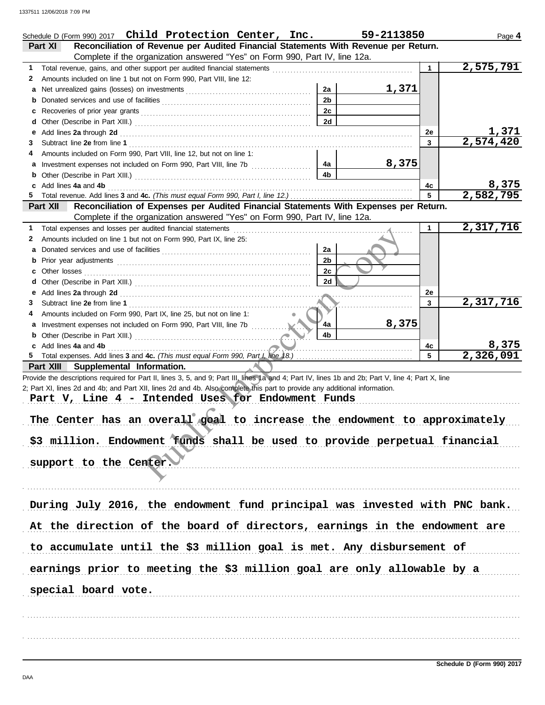|   | Schedule D (Form 990) 2017 Child Protection Center, Inc.                                                                                                                                                                                                                                                                               |                | 59-2113850 |    | Page 4                 |
|---|----------------------------------------------------------------------------------------------------------------------------------------------------------------------------------------------------------------------------------------------------------------------------------------------------------------------------------------|----------------|------------|----|------------------------|
|   | Reconciliation of Revenue per Audited Financial Statements With Revenue per Return.<br>Part XI                                                                                                                                                                                                                                         |                |            |    |                        |
|   | Complete if the organization answered "Yes" on Form 990, Part IV, line 12a.                                                                                                                                                                                                                                                            |                |            |    |                        |
| 1 | Total revenue, gains, and other support per audited financial statements                                                                                                                                                                                                                                                               |                |            |    | 2,575,791              |
| 2 | Amounts included on line 1 but not on Form 990, Part VIII, line 12:                                                                                                                                                                                                                                                                    |                |            |    |                        |
| a |                                                                                                                                                                                                                                                                                                                                        | 2a             | 1,371      |    |                        |
| b |                                                                                                                                                                                                                                                                                                                                        | 2 <sub>b</sub> |            |    |                        |
| c |                                                                                                                                                                                                                                                                                                                                        | 2c             |            |    |                        |
| d |                                                                                                                                                                                                                                                                                                                                        | 2d             |            |    |                        |
| е | Add lines 2a through 2d [11] Additional Property and Property and Property and Property and Property and Property and Property and Property and Property and Property and Property and Property and Property and Property and                                                                                                          |                |            | 2е | <u>1,371</u>           |
| 3 |                                                                                                                                                                                                                                                                                                                                        |                |            | 3  | $\overline{2,574,420}$ |
| 4 | Amounts included on Form 990, Part VIII, line 12, but not on line 1:                                                                                                                                                                                                                                                                   |                |            |    |                        |
| a |                                                                                                                                                                                                                                                                                                                                        | 4a             | 8,375      |    |                        |
| b |                                                                                                                                                                                                                                                                                                                                        | 4b             |            |    |                        |
|   | c Add lines 4a and 4b                                                                                                                                                                                                                                                                                                                  |                |            | 4c | 8,375                  |
| 5 |                                                                                                                                                                                                                                                                                                                                        |                |            | 5  | 2,582,795              |
|   | Reconciliation of Expenses per Audited Financial Statements With Expenses per Return.<br>Part XII                                                                                                                                                                                                                                      |                |            |    |                        |
|   | Complete if the organization answered "Yes" on Form 990, Part IV, line 12a.                                                                                                                                                                                                                                                            |                |            |    |                        |
| 1 | Total expenses and losses per audited financial statements                                                                                                                                                                                                                                                                             |                |            | 1  | 2,317,716              |
| 2 | Amounts included on line 1 but not on Form 990, Part IX, line 25:                                                                                                                                                                                                                                                                      |                |            |    |                        |
| a |                                                                                                                                                                                                                                                                                                                                        | 2a             |            |    |                        |
| b |                                                                                                                                                                                                                                                                                                                                        | 2 <sub>b</sub> |            |    |                        |
| c |                                                                                                                                                                                                                                                                                                                                        | 2c             |            |    |                        |
| d |                                                                                                                                                                                                                                                                                                                                        | 2d             |            |    |                        |
| е |                                                                                                                                                                                                                                                                                                                                        |                |            | 2e |                        |
| 3 |                                                                                                                                                                                                                                                                                                                                        |                |            | 3  | 2,317,716              |
| 4 | Amounts included on Form 990, Part IX, line 25, but not on line 1:                                                                                                                                                                                                                                                                     |                |            |    |                        |
| a | Investment expenses not included on Form 990, Part VIII, line 7b                                                                                                                                                                                                                                                                       | 4a             | 8,375      |    |                        |
|   |                                                                                                                                                                                                                                                                                                                                        | 4b             |            |    |                        |
|   | c Add lines 4a and 4b                                                                                                                                                                                                                                                                                                                  |                |            | 4с | 8,375                  |
|   |                                                                                                                                                                                                                                                                                                                                        |                |            | 5  | 2,326,091              |
|   | Part XIII Supplemental Information.                                                                                                                                                                                                                                                                                                    |                |            |    |                        |
|   | Provide the descriptions required for Part II, lines 3, 5, and 9; Part III, lines 1a and 4; Part IV, lines 1b and 2b; Part V, line 4; Part X, line<br>2; Part XI, lines 2d and 4b; and Part XII, lines 2d and 4b. Also complete this part to provide any additional information.<br>Part V, Line 4 - Intended Uses for Endowment Funds |                |            |    |                        |
|   |                                                                                                                                                                                                                                                                                                                                        |                |            |    |                        |
|   | The Center has an overall goal to increase the endowment to approximately                                                                                                                                                                                                                                                              |                |            |    |                        |
|   |                                                                                                                                                                                                                                                                                                                                        |                |            |    |                        |
|   | \$3 million. Endowment funds shall be used to provide perpetual financial                                                                                                                                                                                                                                                              |                |            |    |                        |
|   |                                                                                                                                                                                                                                                                                                                                        |                |            |    |                        |
|   | support to the Center.                                                                                                                                                                                                                                                                                                                 |                |            |    |                        |
|   |                                                                                                                                                                                                                                                                                                                                        |                |            |    |                        |
|   |                                                                                                                                                                                                                                                                                                                                        |                |            |    |                        |
|   |                                                                                                                                                                                                                                                                                                                                        |                |            |    |                        |
|   | During July 2016, the endowment fund principal was invested with PNC bank.                                                                                                                                                                                                                                                             |                |            |    |                        |
|   | At the direction of the board of directors, earnings in the endowment are                                                                                                                                                                                                                                                              |                |            |    |                        |
|   | to accumulate until the \$3 million goal is met. Any disbursement of                                                                                                                                                                                                                                                                   |                |            |    |                        |
|   | earnings prior to meeting the \$3 million goal are only allowable by a                                                                                                                                                                                                                                                                 |                |            |    |                        |
|   | special board vote.                                                                                                                                                                                                                                                                                                                    |                |            |    |                        |
|   |                                                                                                                                                                                                                                                                                                                                        |                |            |    |                        |
|   |                                                                                                                                                                                                                                                                                                                                        |                |            |    |                        |
|   |                                                                                                                                                                                                                                                                                                                                        |                |            |    |                        |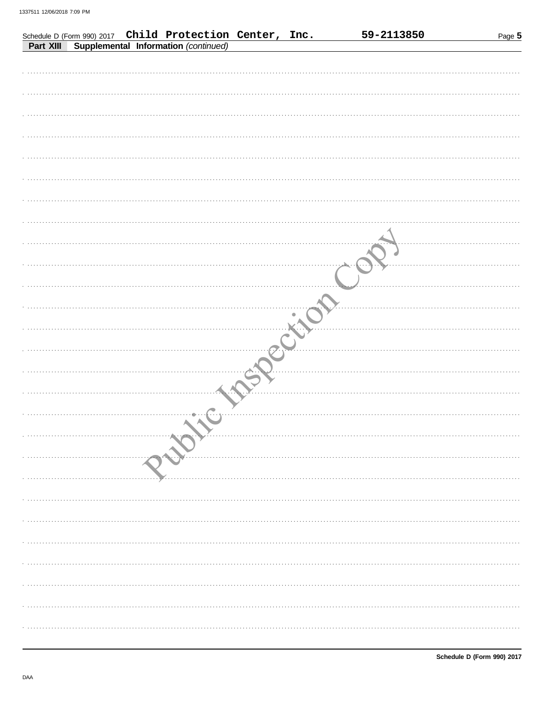|           |  | Schedule D (Form 990) 2017 Child Protection Center, Inc. |  | 59-2113850 | Page 5 |
|-----------|--|----------------------------------------------------------|--|------------|--------|
| Part XIII |  | Supplemental Information (continued)                     |  |            |        |
|           |  |                                                          |  |            |        |
|           |  |                                                          |  |            |        |
|           |  |                                                          |  |            |        |
|           |  |                                                          |  |            |        |
|           |  |                                                          |  |            |        |
|           |  |                                                          |  |            |        |
|           |  |                                                          |  |            |        |
|           |  |                                                          |  |            |        |
|           |  |                                                          |  |            |        |
|           |  |                                                          |  |            |        |
|           |  |                                                          |  |            |        |
|           |  |                                                          |  |            |        |
|           |  |                                                          |  |            |        |
|           |  |                                                          |  |            |        |
|           |  |                                                          |  |            |        |
|           |  |                                                          |  |            |        |
|           |  |                                                          |  |            |        |
|           |  |                                                          |  |            |        |
|           |  |                                                          |  |            |        |
|           |  |                                                          |  |            |        |
|           |  |                                                          |  |            |        |
|           |  |                                                          |  |            |        |
|           |  |                                                          |  |            |        |
|           |  |                                                          |  |            |        |
|           |  |                                                          |  |            |        |
|           |  |                                                          |  |            |        |
|           |  |                                                          |  |            |        |
|           |  |                                                          |  |            |        |
|           |  |                                                          |  |            |        |
|           |  |                                                          |  |            |        |
|           |  |                                                          |  |            |        |
|           |  |                                                          |  |            |        |
|           |  |                                                          |  |            |        |
|           |  |                                                          |  |            |        |
|           |  |                                                          |  |            |        |
|           |  |                                                          |  |            |        |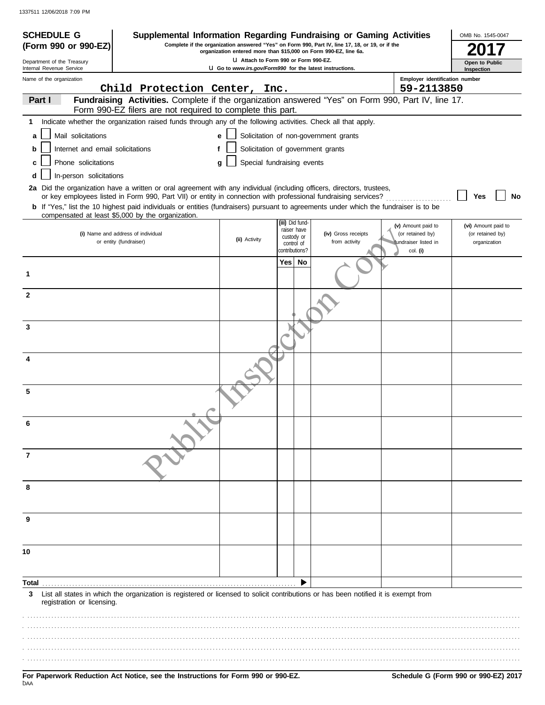| <b>SCHEDULE G</b>                                      | Supplemental Information Regarding Fundraising or Gaming Activities                                                                                                                                                                      |                                                                                                          |                              |                                                                                                 |                                  | OMB No. 1545-0047            |
|--------------------------------------------------------|------------------------------------------------------------------------------------------------------------------------------------------------------------------------------------------------------------------------------------------|----------------------------------------------------------------------------------------------------------|------------------------------|-------------------------------------------------------------------------------------------------|----------------------------------|------------------------------|
| (Form 990 or 990-EZ)                                   |                                                                                                                                                                                                                                          | organization entered more than \$15,000 on Form 990-EZ, line 6a.                                         |                              | Complete if the organization answered "Yes" on Form 990, Part IV, line 17, 18, or 19, or if the |                                  |                              |
| Department of the Treasury<br>Internal Revenue Service |                                                                                                                                                                                                                                          | LI Attach to Form 990 or Form 990-EZ.<br><b>U</b> Go to www.irs.gov/Form990 for the latest instructions. |                              |                                                                                                 |                                  | Open to Public<br>Inspection |
| Name of the organization                               |                                                                                                                                                                                                                                          |                                                                                                          |                              |                                                                                                 | Employer identification number   |                              |
|                                                        | Child Protection Center, Inc.                                                                                                                                                                                                            |                                                                                                          |                              |                                                                                                 | 59-2113850                       |                              |
| Part I                                                 | Fundraising Activities. Complete if the organization answered "Yes" on Form 990, Part IV, line 17.<br>Form 990-EZ filers are not required to complete this part.                                                                         |                                                                                                          |                              |                                                                                                 |                                  |                              |
| 1                                                      | Indicate whether the organization raised funds through any of the following activities. Check all that apply.                                                                                                                            |                                                                                                          |                              |                                                                                                 |                                  |                              |
| Mail solicitations<br>a                                |                                                                                                                                                                                                                                          | e                                                                                                        |                              | Solicitation of non-government grants                                                           |                                  |                              |
| Internet and email solicitations<br>b                  |                                                                                                                                                                                                                                          | f                                                                                                        |                              | Solicitation of government grants                                                               |                                  |                              |
| Phone solicitations<br>c                               |                                                                                                                                                                                                                                          | g                                                                                                        | Special fundraising events   |                                                                                                 |                                  |                              |
| In-person solicitations<br>d                           |                                                                                                                                                                                                                                          |                                                                                                          |                              |                                                                                                 |                                  |                              |
|                                                        | 2a Did the organization have a written or oral agreement with any individual (including officers, directors, trustees,<br>or key employees listed in Form 990, Part VII) or entity in connection with professional fundraising services? |                                                                                                          |                              |                                                                                                 |                                  | No                           |
|                                                        | <b>b</b> If "Yes," list the 10 highest paid individuals or entities (fundraisers) pursuant to agreements under which the fundraiser is to be                                                                                             |                                                                                                          |                              |                                                                                                 |                                  | Yes                          |
|                                                        | compensated at least \$5,000 by the organization.                                                                                                                                                                                        |                                                                                                          | (iii) Did fund-              |                                                                                                 | (v) Amount paid to               | (vi) Amount paid to          |
|                                                        | (i) Name and address of individual                                                                                                                                                                                                       |                                                                                                          | raiser have<br>custody or    | (iv) Gross receipts                                                                             | (or retained by)                 | (or retained by)             |
|                                                        | or entity (fundraiser)                                                                                                                                                                                                                   | (ii) Activity                                                                                            | control of<br>contributions? | from activity                                                                                   | fundraiser listed in<br>col. (i) | organization                 |
|                                                        |                                                                                                                                                                                                                                          |                                                                                                          | Yes l<br>No                  |                                                                                                 |                                  |                              |
| 1                                                      |                                                                                                                                                                                                                                          |                                                                                                          |                              |                                                                                                 |                                  |                              |
| $\mathbf{2}$                                           |                                                                                                                                                                                                                                          |                                                                                                          |                              |                                                                                                 |                                  |                              |
|                                                        |                                                                                                                                                                                                                                          |                                                                                                          |                              |                                                                                                 |                                  |                              |
| 3                                                      |                                                                                                                                                                                                                                          |                                                                                                          |                              |                                                                                                 |                                  |                              |
|                                                        |                                                                                                                                                                                                                                          |                                                                                                          |                              |                                                                                                 |                                  |                              |
|                                                        |                                                                                                                                                                                                                                          |                                                                                                          |                              |                                                                                                 |                                  |                              |
|                                                        |                                                                                                                                                                                                                                          |                                                                                                          |                              |                                                                                                 |                                  |                              |
| 5                                                      |                                                                                                                                                                                                                                          |                                                                                                          |                              |                                                                                                 |                                  |                              |
|                                                        |                                                                                                                                                                                                                                          |                                                                                                          |                              |                                                                                                 |                                  |                              |
|                                                        |                                                                                                                                                                                                                                          |                                                                                                          |                              |                                                                                                 |                                  |                              |
| 7                                                      |                                                                                                                                                                                                                                          |                                                                                                          |                              |                                                                                                 |                                  |                              |
| 8                                                      |                                                                                                                                                                                                                                          |                                                                                                          |                              |                                                                                                 |                                  |                              |
|                                                        |                                                                                                                                                                                                                                          |                                                                                                          |                              |                                                                                                 |                                  |                              |
| 9                                                      |                                                                                                                                                                                                                                          |                                                                                                          |                              |                                                                                                 |                                  |                              |
|                                                        |                                                                                                                                                                                                                                          |                                                                                                          |                              |                                                                                                 |                                  |                              |
| 10                                                     |                                                                                                                                                                                                                                          |                                                                                                          |                              |                                                                                                 |                                  |                              |
| Total                                                  |                                                                                                                                                                                                                                          |                                                                                                          |                              |                                                                                                 |                                  |                              |
| 3<br>registration or licensing.                        | List all states in which the organization is registered or licensed to solicit contributions or has been notified it is exempt from                                                                                                      |                                                                                                          |                              |                                                                                                 |                                  |                              |
|                                                        |                                                                                                                                                                                                                                          |                                                                                                          |                              |                                                                                                 |                                  |                              |
|                                                        |                                                                                                                                                                                                                                          |                                                                                                          |                              |                                                                                                 |                                  |                              |
|                                                        |                                                                                                                                                                                                                                          |                                                                                                          |                              |                                                                                                 |                                  |                              |
|                                                        |                                                                                                                                                                                                                                          |                                                                                                          |                              |                                                                                                 |                                  |                              |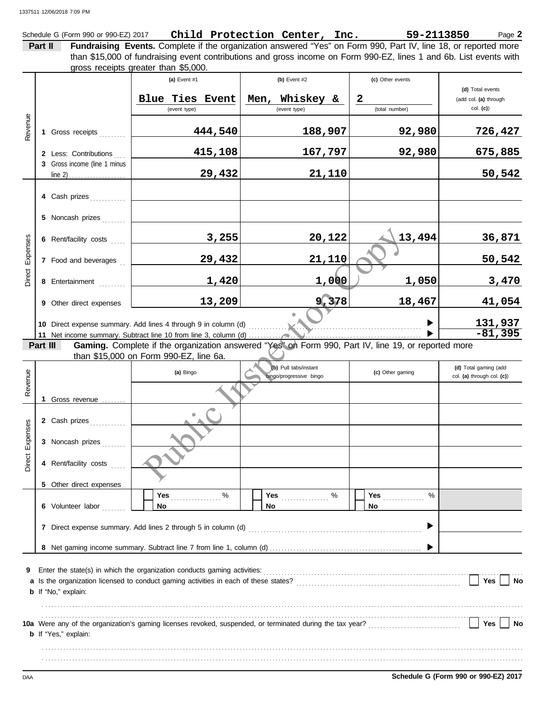Schedule G (Form 990 or 990-EZ) 2017 **Child Protection Center, Inc.** 59-2113850 Page 2

**Part II Fundraising Events.** Complete if the organization answered "Yes" on Form 990, Part IV, line 18, or reported more than \$15,000 of fundraising event contributions and gross income on Form 990-EZ, lines 1 and 6b. List events with areas reseints areas than \$5,000.

|                 |                              |                                                                | gross receipts greater than \$5,000.   |              |                                                  |        |                                                                                                     |                                                     |
|-----------------|------------------------------|----------------------------------------------------------------|----------------------------------------|--------------|--------------------------------------------------|--------|-----------------------------------------------------------------------------------------------------|-----------------------------------------------------|
|                 |                              |                                                                | (a) Event #1                           |              | (b) Event #2                                     |        | (c) Other events                                                                                    | (d) Total events                                    |
| Revenue         |                              |                                                                | Blue Ties<br>(event type)              | <b>Event</b> | Men, Whiskey &<br>(event type)                   |        | $\overline{\mathbf{2}}$<br>(total number)                                                           | (add col. (a) through<br>col. (c)                   |
|                 |                              |                                                                |                                        |              |                                                  |        |                                                                                                     |                                                     |
|                 |                              | 444,540<br>1 Gross receipts                                    |                                        | 188,907      |                                                  | 92,980 | 726,427                                                                                             |                                                     |
|                 |                              | 2 Less: Contributions                                          |                                        | 415,108      | 167,797                                          |        | 92,980                                                                                              | 675,885                                             |
|                 | 3 Gross income (line 1 minus |                                                                |                                        | 29,432       |                                                  | 21,110 |                                                                                                     | 50,542                                              |
|                 |                              |                                                                |                                        |              |                                                  |        |                                                                                                     |                                                     |
|                 |                              | 4 Cash prizes                                                  |                                        |              |                                                  |        |                                                                                                     |                                                     |
|                 |                              | 5 Noncash prizes                                               |                                        |              |                                                  |        |                                                                                                     |                                                     |
|                 |                              | 6 Rent/facility costs                                          |                                        | 3,255        |                                                  | 20,122 | 13,494                                                                                              | 36,871                                              |
| Direct Expenses |                              | 7 Food and beverages                                           |                                        | 29,432       |                                                  | 21,110 |                                                                                                     | 50,542                                              |
|                 |                              | 8 Entertainment                                                |                                        | 1,420        |                                                  | 1,000  | 1,050                                                                                               | 3,470                                               |
|                 |                              | 9 Other direct expenses                                        |                                        | 13,209       |                                                  | 9,378  | 18,467                                                                                              | 41,054                                              |
|                 |                              |                                                                |                                        |              |                                                  |        |                                                                                                     |                                                     |
|                 |                              | 10 Direct expense summary. Add lines 4 through 9 in column (d) | <u>131,937<br/>-81,395</u>             |              |                                                  |        |                                                                                                     |                                                     |
|                 |                              |                                                                |                                        |              |                                                  |        |                                                                                                     |                                                     |
|                 | Part III                     |                                                                |                                        |              |                                                  |        | Gaming. Complete if the organization answered "Yes" on Form 990, Part IV, line 19, or reported more |                                                     |
|                 |                              |                                                                | than \$15,000 on Form 990-EZ, line 6a. |              |                                                  |        |                                                                                                     |                                                     |
| Revenue         |                              |                                                                | (a) Bingo                              |              | (b) Pull tabs/instant<br>bingo/progressive bingo |        | (c) Other gaming                                                                                    | (d) Total gaming (add<br>col. (a) through col. (c)) |
|                 |                              | 1 Gross revenue                                                |                                        |              |                                                  |        |                                                                                                     |                                                     |
| Direct Expenses |                              | 2 Cash prizes                                                  |                                        |              |                                                  |        |                                                                                                     |                                                     |
|                 |                              | 3 Noncash prizes                                               |                                        |              |                                                  |        |                                                                                                     |                                                     |
|                 |                              | 4 Rent/facility costs                                          |                                        |              |                                                  |        |                                                                                                     |                                                     |
|                 |                              | 5 Other direct expenses                                        |                                        |              |                                                  |        |                                                                                                     |                                                     |

**Yes** . . . . . . . . . . . . . . **Yes** . . . . . . . . . . . . . . . . % % % **Yes** . . . . . . . . . . . . . . . . % **No No No 6** Volunteer labor .......  $\blacktriangleright$ **7** Direct expense summary. Add lines 2 through 5 in column (d) . . . . . . . . . . . . . . . . . . . . . . . . . . . . . . . . . . . . . . . . . . . . . . . . . . . . . . . . . .  $\blacktriangleright$ **8** Net gaming income summary. Subtract line 7 from line 1, column (d) . . . . . . . . . . . . . . . . . . . . . . . . . . . . . . . . . . . . . . . . . . . . . . . . . . . **9** Enter the state(s) in which the organization conducts gaming activities:

| <b>3</b> Liner the state(s) in writer the organization conducts gaming activities.                        |            |  |
|-----------------------------------------------------------------------------------------------------------|------------|--|
| a Is the organization licensed to conduct gaming activities in each of these states?                      | Yes        |  |
| <b>b</b> If "No," explain:                                                                                |            |  |
|                                                                                                           |            |  |
|                                                                                                           |            |  |
| 10a Were any of the organization's gaming licenses revoked, suspended, or terminated during the tax year? | <b>Yes</b> |  |
| <b>b</b> If "Yes," explain:                                                                               |            |  |
|                                                                                                           |            |  |
|                                                                                                           |            |  |
|                                                                                                           |            |  |

DAA **Schedule G (Form 990 or 990-EZ) 2017**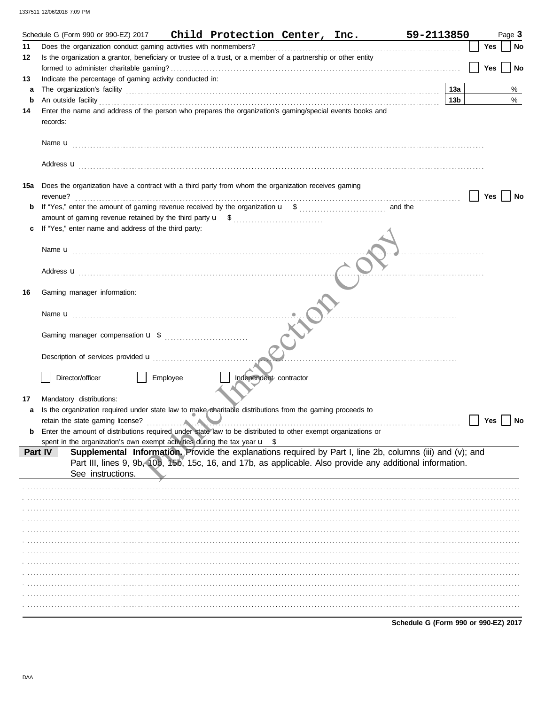|     | Schedule G (Form 990 or 990-EZ) 2017                                                                                                                                                                                                |          | Child Protection Center, Inc. |  | 59-2113850 |                 |            | Page 3 |                |
|-----|-------------------------------------------------------------------------------------------------------------------------------------------------------------------------------------------------------------------------------------|----------|-------------------------------|--|------------|-----------------|------------|--------|----------------|
| 11  |                                                                                                                                                                                                                                     |          |                               |  |            |                 | <b>Yes</b> |        | <b>No</b>      |
| 12  | Is the organization a grantor, beneficiary or trustee of a trust, or a member of a partnership or other entity                                                                                                                      |          |                               |  |            |                 |            |        |                |
|     |                                                                                                                                                                                                                                     |          |                               |  |            |                 | Yes        |        | N <sub>o</sub> |
| 13  | Indicate the percentage of gaming activity conducted in:                                                                                                                                                                            |          |                               |  |            |                 |            |        |                |
| a   |                                                                                                                                                                                                                                     |          |                               |  |            |                 |            |        | %              |
| b   | An outside facility <i>contained</i> and the contact of a contact the contact of a contact of a contact of a contact of a contact of a contact of a contact of a contact of a contact of a contact of a contact of a contact of a c |          |                               |  |            | 13 <sub>b</sub> |            |        | $\%$           |
| 14  | Enter the name and address of the person who prepares the organization's gaming/special events books and                                                                                                                            |          |                               |  |            |                 |            |        |                |
|     | records:                                                                                                                                                                                                                            |          |                               |  |            |                 |            |        |                |
|     |                                                                                                                                                                                                                                     |          |                               |  |            |                 |            |        |                |
|     |                                                                                                                                                                                                                                     |          |                               |  |            |                 |            |        |                |
|     |                                                                                                                                                                                                                                     |          |                               |  |            |                 |            |        |                |
|     | Address <b>u</b>                                                                                                                                                                                                                    |          |                               |  |            |                 |            |        |                |
|     |                                                                                                                                                                                                                                     |          |                               |  |            |                 |            |        |                |
| 15a | Does the organization have a contract with a third party from whom the organization receives gaming                                                                                                                                 |          |                               |  |            |                 |            |        |                |
|     | revenue?                                                                                                                                                                                                                            |          |                               |  |            |                 | Yes        |        | No             |
| b   |                                                                                                                                                                                                                                     |          |                               |  |            |                 |            |        |                |
|     |                                                                                                                                                                                                                                     |          |                               |  |            |                 |            |        |                |
| c   | If "Yes," enter name and address of the third party:                                                                                                                                                                                |          |                               |  |            |                 |            |        |                |
|     |                                                                                                                                                                                                                                     |          |                               |  |            |                 |            |        |                |
|     |                                                                                                                                                                                                                                     |          |                               |  |            |                 |            |        |                |
|     |                                                                                                                                                                                                                                     |          |                               |  |            |                 |            |        |                |
|     |                                                                                                                                                                                                                                     |          |                               |  |            |                 |            |        |                |
|     |                                                                                                                                                                                                                                     |          |                               |  |            |                 |            |        |                |
| 16  | Gaming manager information:                                                                                                                                                                                                         |          |                               |  |            |                 |            |        |                |
|     |                                                                                                                                                                                                                                     |          |                               |  |            |                 |            |        |                |
|     |                                                                                                                                                                                                                                     |          |                               |  |            |                 |            |        |                |
|     |                                                                                                                                                                                                                                     |          |                               |  |            |                 |            |        |                |
|     |                                                                                                                                                                                                                                     |          |                               |  |            |                 |            |        |                |
|     |                                                                                                                                                                                                                                     |          |                               |  |            |                 |            |        |                |
|     | Description of services provided <b>u</b> [1, 2001]                                                                                                                                                                                 |          |                               |  |            |                 |            |        |                |
|     |                                                                                                                                                                                                                                     |          |                               |  |            |                 |            |        |                |
|     | Director/officer                                                                                                                                                                                                                    | Employee | Independent contractor        |  |            |                 |            |        |                |
|     |                                                                                                                                                                                                                                     |          |                               |  |            |                 |            |        |                |
| 17  | Mandatory distributions:                                                                                                                                                                                                            |          |                               |  |            |                 |            |        |                |
| a   | Is the organization required under state law to make charitable distributions from the gaming proceeds to                                                                                                                           |          |                               |  |            |                 |            |        |                |
|     |                                                                                                                                                                                                                                     |          |                               |  |            |                 | Yes        |        | No             |
|     | Enter the amount of distributions required under state law to be distributed to other exempt organizations or                                                                                                                       |          |                               |  |            |                 |            |        |                |
|     | spent in the organization's own exempt activities during the tax year $\mathbf{u}$ \$                                                                                                                                               |          |                               |  |            |                 |            |        |                |
|     | Supplemental Information. Provide the explanations required by Part I, line 2b, columns (iii) and (v); and<br>Part IV                                                                                                               |          |                               |  |            |                 |            |        |                |
|     | Part III, lines 9, 9b, 10b, 15b, 15c, 16, and 17b, as applicable. Also provide any additional information.                                                                                                                          |          |                               |  |            |                 |            |        |                |
|     | See instructions.                                                                                                                                                                                                                   |          |                               |  |            |                 |            |        |                |
|     |                                                                                                                                                                                                                                     |          |                               |  |            |                 |            |        |                |
|     |                                                                                                                                                                                                                                     |          |                               |  |            |                 |            |        |                |
|     |                                                                                                                                                                                                                                     |          |                               |  |            |                 |            |        |                |
|     |                                                                                                                                                                                                                                     |          |                               |  |            |                 |            |        |                |
|     |                                                                                                                                                                                                                                     |          |                               |  |            |                 |            |        |                |
|     |                                                                                                                                                                                                                                     |          |                               |  |            |                 |            |        |                |
|     |                                                                                                                                                                                                                                     |          |                               |  |            |                 |            |        |                |
|     |                                                                                                                                                                                                                                     |          |                               |  |            |                 |            |        |                |
|     |                                                                                                                                                                                                                                     |          |                               |  |            |                 |            |        |                |
|     |                                                                                                                                                                                                                                     |          |                               |  |            |                 |            |        |                |
|     |                                                                                                                                                                                                                                     |          |                               |  |            |                 |            |        |                |
|     |                                                                                                                                                                                                                                     |          |                               |  |            |                 |            |        |                |
|     |                                                                                                                                                                                                                                     |          |                               |  |            |                 |            |        |                |
|     |                                                                                                                                                                                                                                     |          |                               |  |            |                 |            |        |                |

Schedule G (Form 990 or 990-EZ) 2017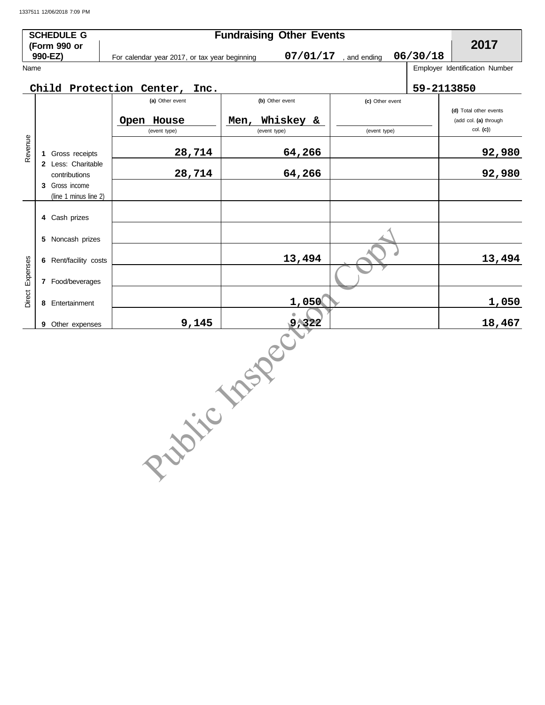|          | <b>SCHEDULE G</b><br>(Form 990 or                     |                                               | <b>Fundraising Other Events</b>   |                 |            | 2017                                                           |
|----------|-------------------------------------------------------|-----------------------------------------------|-----------------------------------|-----------------|------------|----------------------------------------------------------------|
|          | 990-EZ)                                               | For calendar year 2017, or tax year beginning | 07/01/17                          | and ending      | 06/30/18   |                                                                |
| Name     |                                                       |                                               |                                   |                 |            | Employer Identification Number                                 |
|          |                                                       | Child Protection Center,<br>Inc.              |                                   |                 | 59-2113850 |                                                                |
|          |                                                       | (a) Other event                               | (b) Other event                   | (c) Other event |            |                                                                |
|          |                                                       | Open House<br>(event type)                    | Whiskey &<br>Men,<br>(event type) | (event type)    |            | (d) Total other events<br>(add col. (a) through<br>$col.$ (c)) |
| Revenue  | 1 Gross receipts                                      | 28,714                                        | 64,266                            |                 |            | 92,980                                                         |
|          | 2 Less: Charitable<br>contributions<br>3 Gross income | 28,714                                        | 64,266                            |                 |            | 92,980                                                         |
|          | (line 1 minus line 2)<br>4 Cash prizes                |                                               |                                   |                 |            |                                                                |
|          | Noncash prizes<br>5                                   |                                               |                                   |                 |            |                                                                |
|          | 6 Rent/facility costs                                 |                                               | 13,494                            |                 |            | 13,494                                                         |
| Expenses | 7 Food/beverages                                      |                                               |                                   |                 |            |                                                                |
| Direct   | 8 Entertainment                                       |                                               | 1,050                             |                 |            | 1,050                                                          |
|          | 9 Other expenses                                      | 9,145                                         | 9,322                             |                 |            | 18,467                                                         |
|          |                                                       | Projec                                        | 1 MSP PC                          |                 |            |                                                                |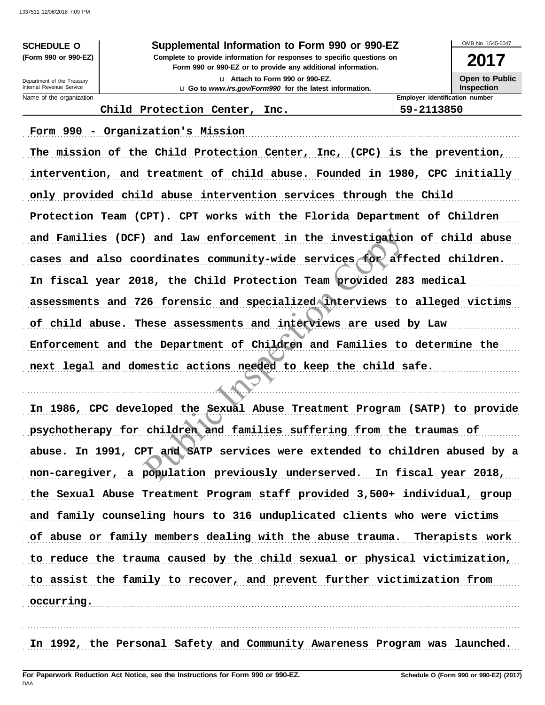## **SCHEDULE O Supplemental Information to Form 990 or 990-EZ**

**Form 990 or 990-EZ or to provide any additional information. (Form 990 or 990-EZ) Complete to provide information for responses to specific questions on** u **Attach to Form 990 or 990-EZ.**

u **Go to** *www.irs.gov/Form990* **for the latest information.**

OMB No. 1545-0047

**2017 Open to Public**

**Inspection**

Name of the organization **Employer identification number Employer identification number** Internal Revenue Service Department of the Treasury

## **Child Protection Center, Inc. 59-2113850**

Form 990 - Organization's Mission (1998) 75-10 and 2012 12:30 and 2013 The mission of the Child Protection Center, Inc, (CPC) is the prevention, intervention, and treatment of child abuse. Founded in 1980, CPC initially only provided child abuse intervention services through the Child Protection Team (CPT). CPT works with the Florida Department of Children and Families (DCF) and law enforcement in the investigation of child abuse cases and also coordinates community-wide services for affected children. In fiscal year 2018, the Child Protection Team provided 283 medical assessments and 726 forensic and specialized interviews to alleged victims of child abuse. These assessments and interviews are used by Law Enforcement and the Department of Children and Families to determine the next legal and domestic actions needed to keep the child safe. . . . . . . . . . . . . . . . . . . . . . . . . . . . . . . . . . . . . . . . . . . . . . . . . . . . . . . . . . . . . . . . . . . . . . . . . . . . . . . . . . . . . . . . . . . . . . . . . . . . . . . . . . . . . . . . . . . . . . . . . . . . . . . . . . . . . . . . . . . . . . . . . . . . . . . . . . . . . . . . . . . . . . . and law enforcement in the investigation<br>ordinates community-wide services for aff<br>18, the Child Protection Team provided 28<br>26 forensic and specialized interviews to<br>hese assessments and interviews are used<br>the Department

In 1986, CPC developed the Sexual Abuse Treatment Program (SATP) to provide psychotherapy for children and families suffering from the traumas of abuse. In 1991, CPT and SATP services were extended to children abused by a non-caregiver, a population previously underserved. In fiscal year 2018, the Sexual Abuse Treatment Program staff provided 3,500+ individual, group and family counseling hours to 316 unduplicated clients who were victims of abuse or family members dealing with the abuse trauma. Therapists work to reduce the trauma caused by the child sexual or physical victimization, to assist the family to recover, and prevent further victimization from . . . . . . . . . . . . . . . . . . . . . . . . . . . . . . . . . . . . . . . . . . . . . . . . . . . . . . . . . . . . . . . . . . . . . . . . . . . . . . . . . . . . . . . . . . . . . . . . . . . . . . . . . . . . . . . . . . . . . . . . . . . . . . . . . . . . . . . . . . . . . . . . . . . . . . . . . . . . . . . . . . . . . . **occurring.**

. . . . . . . . . . . . . . . . . . . . . . . . . . . . . . . . . . . . . . . . . . . . . . . . . . . . . . . . . . . . . . . . . . . . . . . . . . . . . . . . . . . . . . . . . . . . . . . . . . . . . . . . . . . . . . . . . . . . . . . . . . . . . . . . . . . . . . . . . . . . . . . . . . . . . . . . . . . . . . . . . . . . . . In 1992, the Personal Safety and Community Awareness Program was launched.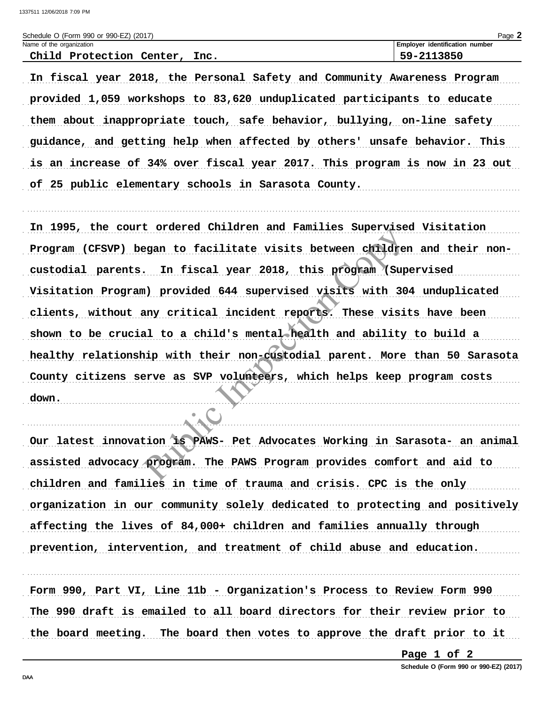| Schedule O (Form 990 or 990-EZ) (2017) | Page.                                 |
|----------------------------------------|---------------------------------------|
| Name of the organization               | <b>Employer identification number</b> |
| Chi 1d<br>Protection<br>Tnc.<br>Center | $-2113850$<br>г∩.                     |

In fiscal year 2018, the Personal Safety and Community Awareness Program provided 1,059 workshops to 83,620 unduplicated participants to educate them about inappropriate touch, safe behavior, bullying, on-line safety guidance, and getting help when affected by others' unsafe behavior. This is an increase of 34% over fiscal year 2017. This program is now in 23 out of 25 public elementary schools in Sarasota County.

In 1995, the court ordered Children and Families Supervised Visitation Program (CFSVP) began to facilitate visits between children and their noncustodial parents. In fiscal year 2018, this program (Supervised Visitation Program) provided 644 supervised visits with 304 unduplicated clients, without any critical incident reports. These visits have been shown to be crucial to a child's mental health and ability to build a healthy relationship with their non-custodial parent. More than 50 Sarasota County citizens serve as SVP volunteers, which helps keep program costs down.

Our latest innovation is PAWS- Pet Advocates Working in Sarasota- an animal assisted advocacy program. The PAWS Program provides comfort and aid to children and families in time of trauma and crisis. CPC is the only organization in our community solely dedicated to protecting and positively affecting the lives of 84,000+ children and families annually through prevention, intervention, and treatment of child abuse and education.

Form 990, Part VI, Line 11b - Organization's Process to Review Form 990 The 990 draft is emailed to all board directors for their review prior to the board meeting. The board then votes to approve the draft prior to it

Page 1 of 2